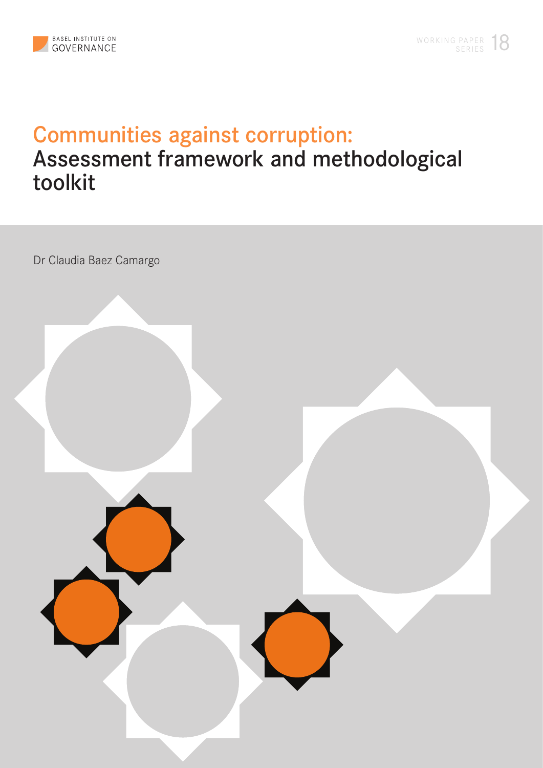

# Communities against corruption: Assessment framework and methodological toolkit

Dr Claudia Baez Camargo

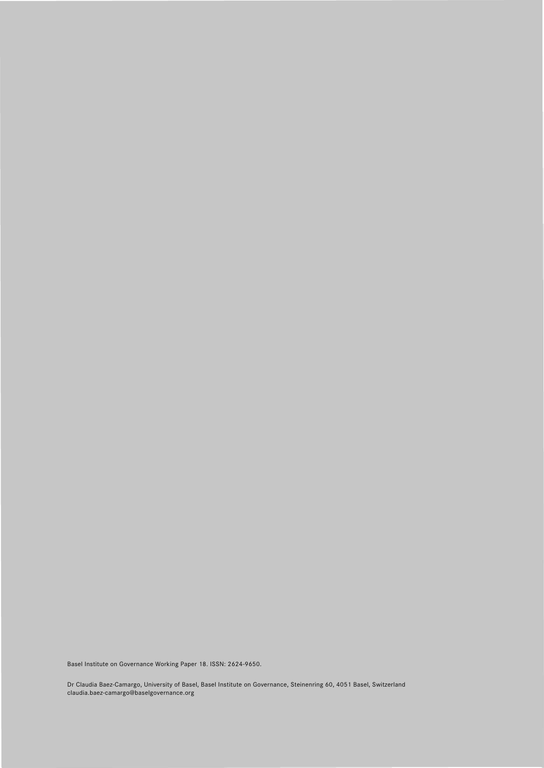Basel Institute on Governance Working Paper 18. ISSN: 2624-9650.

Dr Claudia Baez-Camargo, University of Basel, Basel Institute on Governance, Steinenring 60, 4051 Basel, Switzerland claudia.baez-camargo@baselgovernance.org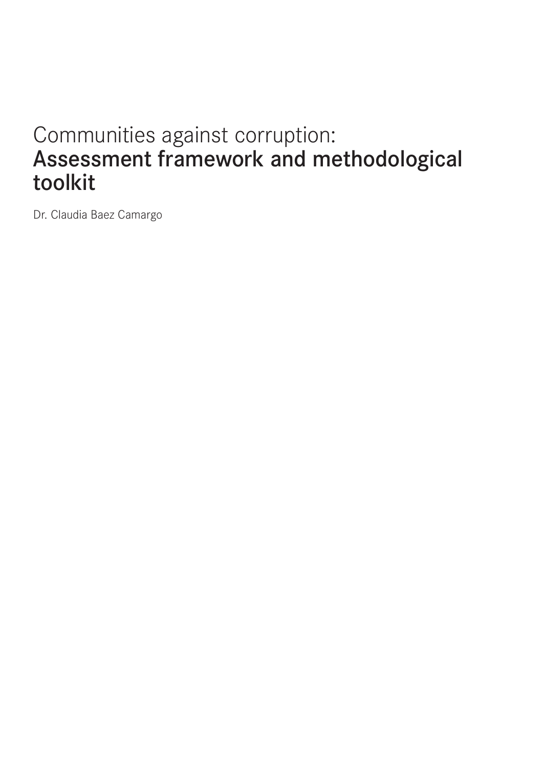# Communities against corruption: Assessment framework and methodological toolkit

Dr. Claudia Baez Camargo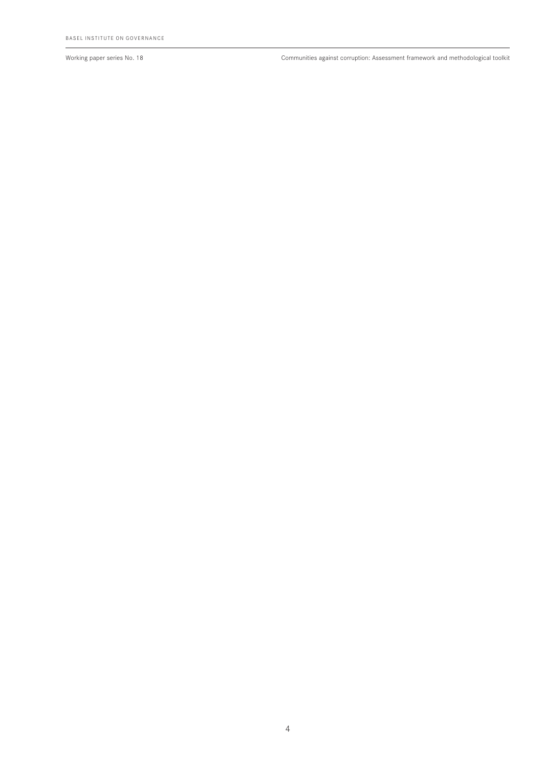Communities against corruption: Assessment framework and methodological toolkit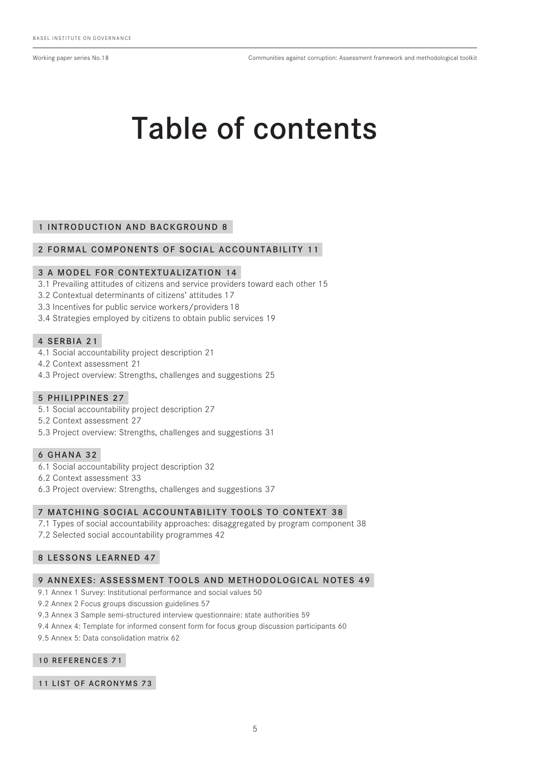# Table of contents

## 1 INTRODUCTION AND BACKGROUND 8

## 2 FORMAL COMPONENTS OF SOCIAL ACCOUNTABILITY 11

## 3 A MODEL FOR CONTEXTUALIZATION 14

- 3.1 Prevailing attitudes of citizens and service providers toward each other 15
- 3.2 Contextual determinants of citizens' attitudes 17
- 3.3 Incentives for public service workers/providers 18
- 3.4 Strategies employed by citizens to obtain public services 19

## 4 SERBIA 21

- 4.1 Social accountability project description 21
- 4.2 Context assessment 21
- 4.3 Project overview: Strengths, challenges and suggestions 25

## 5 PHILIPPINES 27

- 5.1 Social accountability project description 27
- 5.2 Context assessment 27
- 5.3 Project overview: Strengths, challenges and suggestions 31

## 6 GHANA 32

- 6.1 Social accountability project description 32
- 6.2 Context assessment 33
- 6.3 Project overview: Strengths, challenges and suggestions 37

## 7 MATCHING SOCIAL ACCOUNTABILITY TOOLS TO CONTEXT 38

- 7.1 Types of social accountability approaches: disaggregated by program component 38
- 7.2 Selected social accountability programmes 42

## 8 LESSONS LEARNED 47

## 9 ANNEXES: ASSESSMENT TOOLS AND METHODOLOGICAL NOTES 49

- 9.1 Annex 1 Survey: Institutional performance and social values 50
- 9.2 Annex 2 Focus groups discussion guidelines 57
- 9.3 Annex 3 Sample semi-structured interview questionnaire: state authorities 59
- 9.4 Annex 4: Template for informed consent form for focus group discussion participants 60
- 9.5 Annex 5: Data consolidation matrix 62

## 10 REFERENCES 71

## 11 LIST OF ACRONYMS 73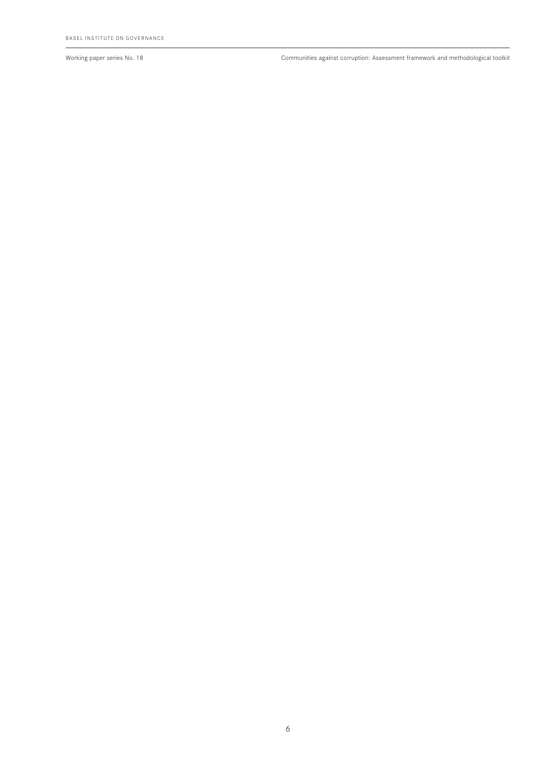Communities against corruption: Assessment framework and methodological toolkit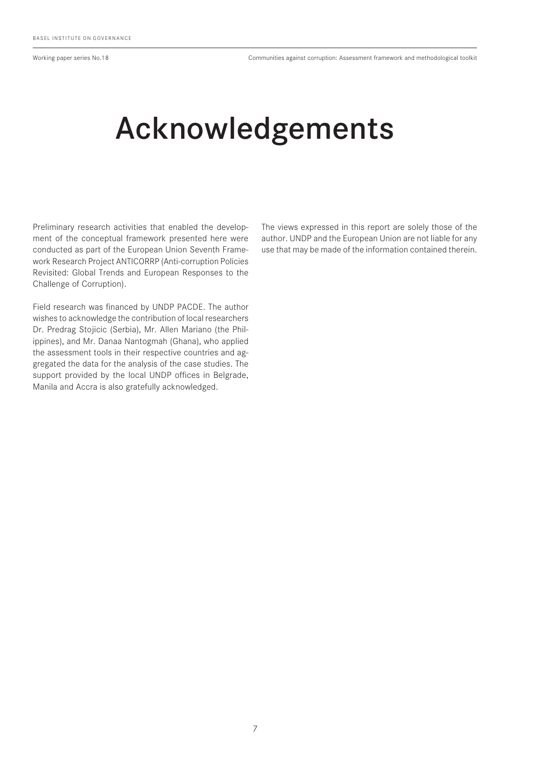# Acknowledgements

Preliminary research activities that enabled the development of the conceptual framework presented here were conducted as part of the European Union Seventh Framework Research Project ANTICORRP (Anti-corruption Policies Revisited: Global Trends and European Responses to the Challenge of Corruption).

Field research was financed by UNDP PACDE. The author wishes to acknowledge the contribution of local researchers Dr. Predrag Stojicic (Serbia), Mr. Allen Mariano (the Philippines), and Mr. Danaa Nantogmah (Ghana), who applied the assessment tools in their respective countries and aggregated the data for the analysis of the case studies. The support provided by the local UNDP offices in Belgrade, Manila and Accra is also gratefully acknowledged.

The views expressed in this report are solely those of the author. UNDP and the European Union are not liable for any use that may be made of the information contained therein.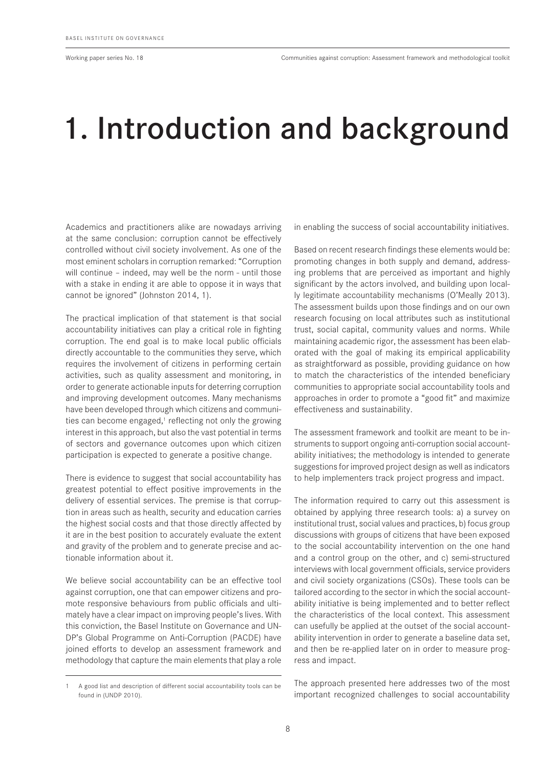# 1. Introduction and background

Academics and practitioners alike are nowadays arriving at the same conclusion: corruption cannot be effectively controlled without civil society involvement. As one of the most eminent scholars in corruption remarked: "Corruption will continue – indeed, may well be the norm - until those with a stake in ending it are able to oppose it in ways that cannot be ignored" (Johnston 2014, 1).

The practical implication of that statement is that social accountability initiatives can play a critical role in fighting corruption. The end goal is to make local public officials directly accountable to the communities they serve, which requires the involvement of citizens in performing certain activities, such as quality assessment and monitoring, in order to generate actionable inputs for deterring corruption and improving development outcomes. Many mechanisms have been developed through which citizens and communities can become engaged,<sup>1</sup> reflecting not only the growing interest in this approach, but also the vast potential in terms of sectors and governance outcomes upon which citizen participation is expected to generate a positive change.

There is evidence to suggest that social accountability has greatest potential to effect positive improvements in the delivery of essential services. The premise is that corruption in areas such as health, security and education carries the highest social costs and that those directly affected by it are in the best position to accurately evaluate the extent and gravity of the problem and to generate precise and actionable information about it.

We believe social accountability can be an effective tool against corruption, one that can empower citizens and promote responsive behaviours from public officials and ultimately have a clear impact on improving people's lives. With this conviction, the Basel Institute on Governance and UN-DP's Global Programme on Anti-Corruption (PACDE) have joined efforts to develop an assessment framework and methodology that capture the main elements that play a role

1 A good list and description of different social accountability tools can be found in (UNDP 2010).

in enabling the success of social accountability initiatives.

Based on recent research findings these elements would be: promoting changes in both supply and demand, addressing problems that are perceived as important and highly significant by the actors involved, and building upon locally legitimate accountability mechanisms (O'Meally 2013). The assessment builds upon those findings and on our own research focusing on local attributes such as institutional trust, social capital, community values and norms. While maintaining academic rigor, the assessment has been elaborated with the goal of making its empirical applicability as straightforward as possible, providing guidance on how to match the characteristics of the intended beneficiary communities to appropriate social accountability tools and approaches in order to promote a "good fit" and maximize effectiveness and sustainability.

The assessment framework and toolkit are meant to be instruments to support ongoing anti-corruption social accountability initiatives; the methodology is intended to generate suggestions for improved project design as well as indicators to help implementers track project progress and impact.

The information required to carry out this assessment is obtained by applying three research tools: a) a survey on institutional trust, social values and practices, b) focus group discussions with groups of citizens that have been exposed to the social accountability intervention on the one hand and a control group on the other, and c) semi-structured interviews with local government officials, service providers and civil society organizations (CSOs). These tools can be tailored according to the sector in which the social accountability initiative is being implemented and to better reflect the characteristics of the local context. This assessment can usefully be applied at the outset of the social accountability intervention in order to generate a baseline data set, and then be re-applied later on in order to measure progress and impact.

The approach presented here addresses two of the most important recognized challenges to social accountability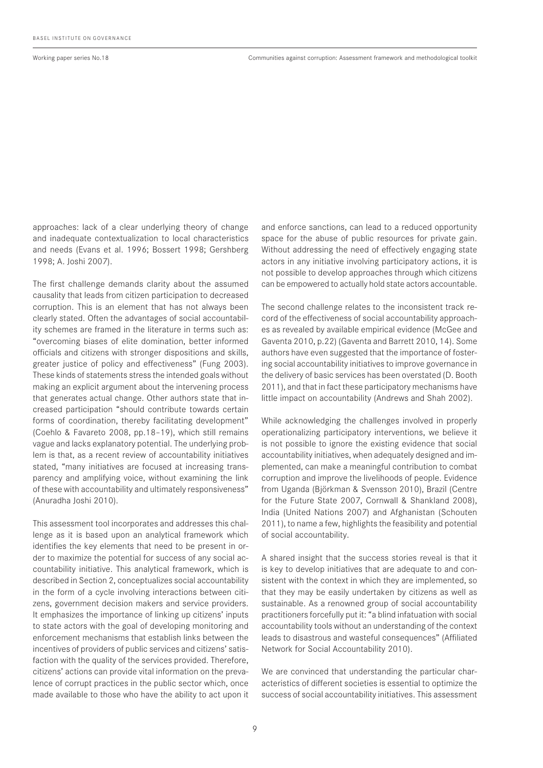Communities against corruption: Assessment framework and methodological toolkit

approaches: lack of a clear underlying theory of change and inadequate contextualization to local characteristics and needs (Evans et al. 1996; Bossert 1998; Gershberg 1998; A. Joshi 2007).

The first challenge demands clarity about the assumed causality that leads from citizen participation to decreased corruption. This is an element that has not always been clearly stated. Often the advantages of social accountability schemes are framed in the literature in terms such as: "overcoming biases of elite domination, better informed officials and citizens with stronger dispositions and skills, greater justice of policy and effectiveness" (Fung 2003). These kinds of statements stress the intended goals without making an explicit argument about the intervening process that generates actual change. Other authors state that increased participation "should contribute towards certain forms of coordination, thereby facilitating development" (Coehlo & Favareto 2008, pp.18–19), which still remains vague and lacks explanatory potential. The underlying problem is that, as a recent review of accountability initiatives stated, "many initiatives are focused at increasing transparency and amplifying voice, without examining the link of these with accountability and ultimately responsiveness" (Anuradha Joshi 2010).

This assessment tool incorporates and addresses this challenge as it is based upon an analytical framework which identifies the key elements that need to be present in order to maximize the potential for success of any social accountability initiative. This analytical framework, which is described in Section 2, conceptualizes social accountability in the form of a cycle involving interactions between citizens, government decision makers and service providers. It emphasizes the importance of linking up citizens' inputs to state actors with the goal of developing monitoring and enforcement mechanisms that establish links between the incentives of providers of public services and citizens' satisfaction with the quality of the services provided. Therefore, citizens' actions can provide vital information on the prevalence of corrupt practices in the public sector which, once made available to those who have the ability to act upon it

and enforce sanctions, can lead to a reduced opportunity space for the abuse of public resources for private gain. Without addressing the need of effectively engaging state actors in any initiative involving participatory actions, it is not possible to develop approaches through which citizens can be empowered to actually hold state actors accountable.

The second challenge relates to the inconsistent track record of the effectiveness of social accountability approaches as revealed by available empirical evidence (McGee and Gaventa 2010, p.22) (Gaventa and Barrett 2010, 14). Some authors have even suggested that the importance of fostering social accountability initiatives to improve governance in the delivery of basic services has been overstated (D. Booth 2011), and that in fact these participatory mechanisms have little impact on accountability (Andrews and Shah 2002).

While acknowledging the challenges involved in properly operationalizing participatory interventions, we believe it is not possible to ignore the existing evidence that social accountability initiatives, when adequately designed and implemented, can make a meaningful contribution to combat corruption and improve the livelihoods of people. Evidence from Uganda (Björkman & Svensson 2010), Brazil (Centre for the Future State 2007, Cornwall & Shankland 2008), India (United Nations 2007) and Afghanistan (Schouten 2011), to name a few, highlights the feasibility and potential of social accountability.

A shared insight that the success stories reveal is that it is key to develop initiatives that are adequate to and consistent with the context in which they are implemented, so that they may be easily undertaken by citizens as well as sustainable. As a renowned group of social accountability practitioners forcefully put it: "a blind infatuation with social accountability tools without an understanding of the context leads to disastrous and wasteful consequences" (Affiliated Network for Social Accountability 2010).

We are convinced that understanding the particular characteristics of different societies is essential to optimize the success of social accountability initiatives. This assessment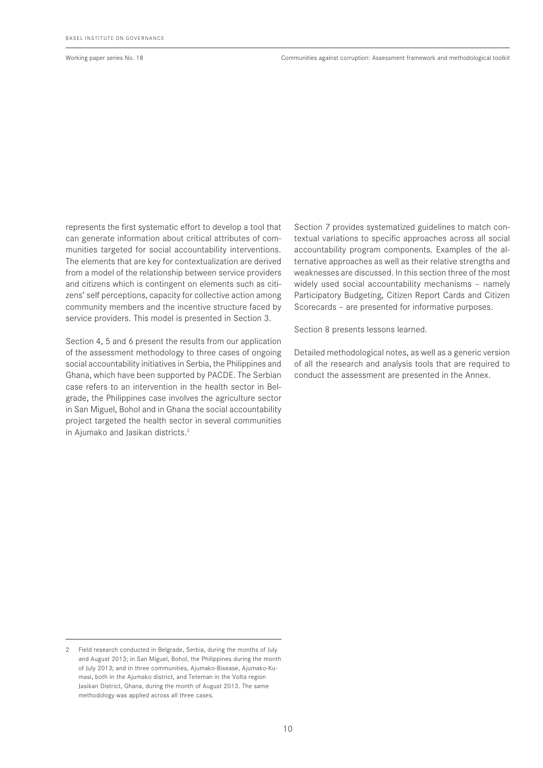Communities against corruption: Assessment framework and methodological toolkit

represents the first systematic effort to develop a tool that can generate information about critical attributes of communities targeted for social accountability interventions. The elements that are key for contextualization are derived from a model of the relationship between service providers and citizens which is contingent on elements such as citizens' self perceptions, capacity for collective action among community members and the incentive structure faced by service providers. This model is presented in Section 3.

Section 4, 5 and 6 present the results from our application of the assessment methodology to three cases of ongoing social accountability initiatives in Serbia, the Philippines and Ghana, which have been supported by PACDE. The Serbian case refers to an intervention in the health sector in Belgrade, the Philippines case involves the agriculture sector in San Miguel, Bohol and in Ghana the social accountability project targeted the health sector in several communities in Ajumako and Jasikan districts.<sup>2</sup>

Section 7 provides systematized guidelines to match contextual variations to specific approaches across all social accountability program components. Examples of the alternative approaches as well as their relative strengths and weaknesses are discussed. In this section three of the most widely used social accountability mechanisms – namely Participatory Budgeting, Citizen Report Cards and Citizen Scorecards – are presented for informative purposes.

Section 8 presents lessons learned.

Detailed methodological notes, as well as a generic version of all the research and analysis tools that are required to conduct the assessment are presented in the Annex.

<sup>2</sup> Field research conducted in Belgrade, Serbia, during the months of July and August 2013; in San Miguel, Bohol, the Philippines during the month of July 2013; and in three communities, Ajumako-Bisease, Ajumako-Kumasi, both in the Ajumako district, and Teteman in the Volta region Jasikan District, Ghana, during the month of August 2013. The same methodology was applied across all three cases.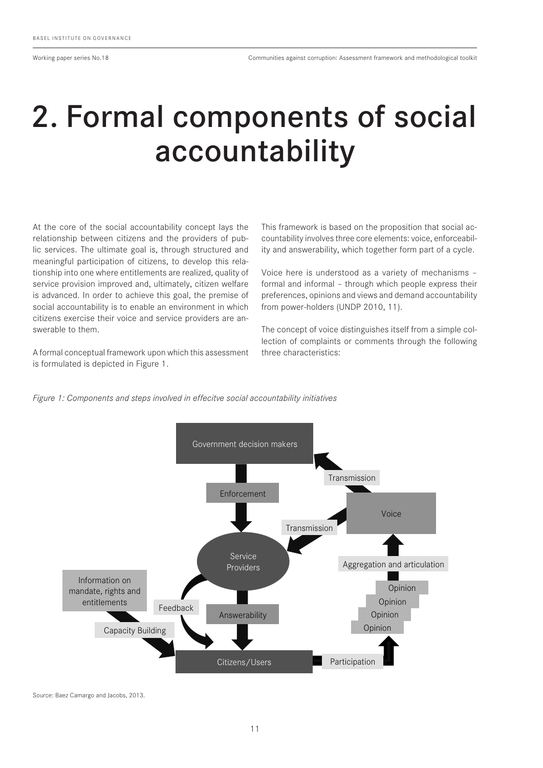# 2. Formal components of social accountability

At the core of the social accountability concept lays the relationship between citizens and the providers of public services. The ultimate goal is, through structured and meaningful participation of citizens, to develop this relationship into one where entitlements are realized, quality of service provision improved and, ultimately, citizen welfare is advanced. In order to achieve this goal, the premise of social accountability is to enable an environment in which citizens exercise their voice and service providers are answerable to them.

A formal conceptual framework upon which this assessment is formulated is depicted in Figure 1.

This framework is based on the proposition that social accountability involves three core elements: voice, enforceability and answerability, which together form part of a cycle.

Voice here is understood as a variety of mechanisms – formal and informal – through which people express their preferences, opinions and views and demand accountability from power-holders (UNDP 2010, 11).

The concept of voice distinguishes itself from a simple collection of complaints or comments through the following three characteristics:





Source: Baez Camargo and Jacobs, 2013.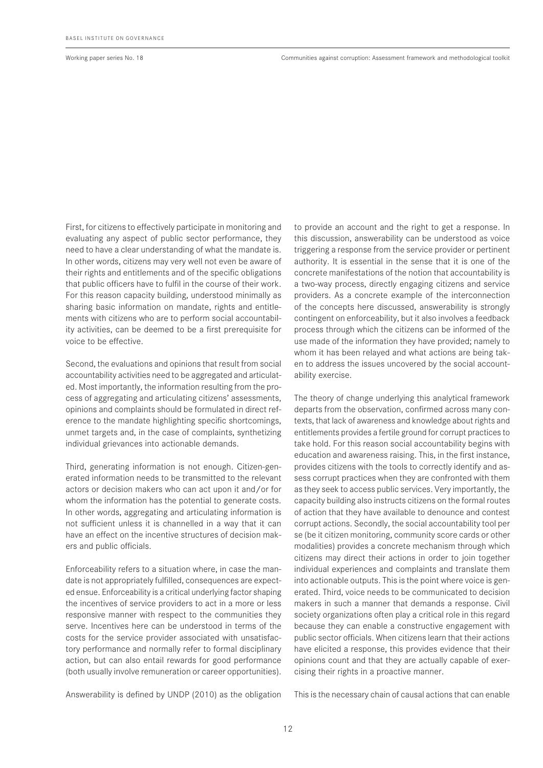Communities against corruption: Assessment framework and methodological toolkit

First, for citizens to effectively participate in monitoring and evaluating any aspect of public sector performance, they need to have a clear understanding of what the mandate is. In other words, citizens may very well not even be aware of their rights and entitlements and of the specific obligations that public officers have to fulfil in the course of their work. For this reason capacity building, understood minimally as sharing basic information on mandate, rights and entitlements with citizens who are to perform social accountability activities, can be deemed to be a first prerequisite for voice to be effective.

Second, the evaluations and opinions that result from social accountability activities need to be aggregated and articulated. Most importantly, the information resulting from the process of aggregating and articulating citizens' assessments, opinions and complaints should be formulated in direct reference to the mandate highlighting specific shortcomings, unmet targets and, in the case of complaints, synthetizing individual grievances into actionable demands.

Third, generating information is not enough. Citizen-generated information needs to be transmitted to the relevant actors or decision makers who can act upon it and/or for whom the information has the potential to generate costs. In other words, aggregating and articulating information is not sufficient unless it is channelled in a way that it can have an effect on the incentive structures of decision makers and public officials.

Enforceability refers to a situation where, in case the mandate is not appropriately fulfilled, consequences are expected ensue. Enforceability is a critical underlying factor shaping the incentives of service providers to act in a more or less responsive manner with respect to the communities they serve. Incentives here can be understood in terms of the costs for the service provider associated with unsatisfactory performance and normally refer to formal disciplinary action, but can also entail rewards for good performance (both usually involve remuneration or career opportunities).

to provide an account and the right to get a response. In this discussion, answerability can be understood as voice triggering a response from the service provider or pertinent authority. It is essential in the sense that it is one of the concrete manifestations of the notion that accountability is a two-way process, directly engaging citizens and service providers. As a concrete example of the interconnection of the concepts here discussed, answerability is strongly contingent on enforceability, but it also involves a feedback process through which the citizens can be informed of the use made of the information they have provided; namely to whom it has been relayed and what actions are being taken to address the issues uncovered by the social accountability exercise.

The theory of change underlying this analytical framework departs from the observation, confirmed across many contexts, that lack of awareness and knowledge about rights and entitlements provides a fertile ground for corrupt practices to take hold. For this reason social accountability begins with education and awareness raising. This, in the first instance, provides citizens with the tools to correctly identify and assess corrupt practices when they are confronted with them as they seek to access public services. Very importantly, the capacity building also instructs citizens on the formal routes of action that they have available to denounce and contest corrupt actions. Secondly, the social accountability tool per se (be it citizen monitoring, community score cards or other modalities) provides a concrete mechanism through which citizens may direct their actions in order to join together individual experiences and complaints and translate them into actionable outputs. This is the point where voice is generated. Third, voice needs to be communicated to decision makers in such a manner that demands a response. Civil society organizations often play a critical role in this regard because they can enable a constructive engagement with public sector officials. When citizens learn that their actions have elicited a response, this provides evidence that their opinions count and that they are actually capable of exercising their rights in a proactive manner.

Answerability is defined by UNDP (2010) as the obligation

This is the necessary chain of causal actions that can enable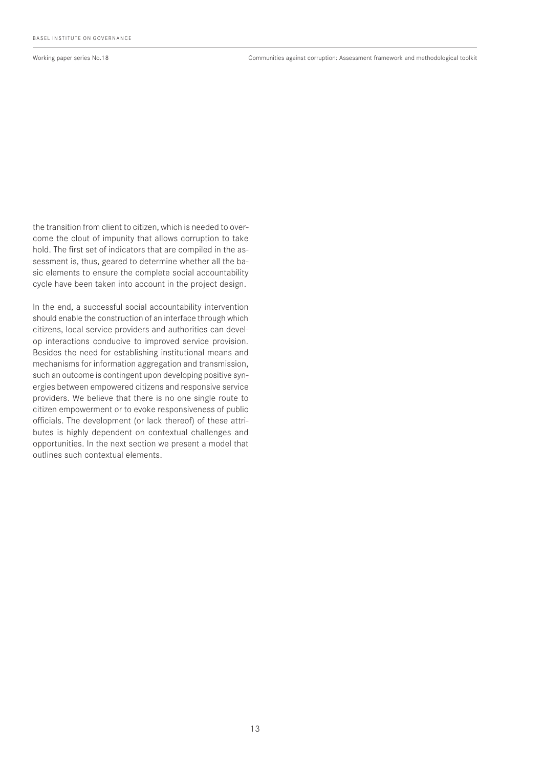the transition from client to citizen, which is needed to overcome the clout of impunity that allows corruption to take hold. The first set of indicators that are compiled in the assessment is, thus, geared to determine whether all the basic elements to ensure the complete social accountability cycle have been taken into account in the project design.

In the end, a successful social accountability intervention should enable the construction of an interface through which citizens, local service providers and authorities can develop interactions conducive to improved service provision. Besides the need for establishing institutional means and mechanisms for information aggregation and transmission, such an outcome is contingent upon developing positive synergies between empowered citizens and responsive service providers. We believe that there is no one single route to citizen empowerment or to evoke responsiveness of public officials. The development (or lack thereof) of these attributes is highly dependent on contextual challenges and opportunities. In the next section we present a model that outlines such contextual elements.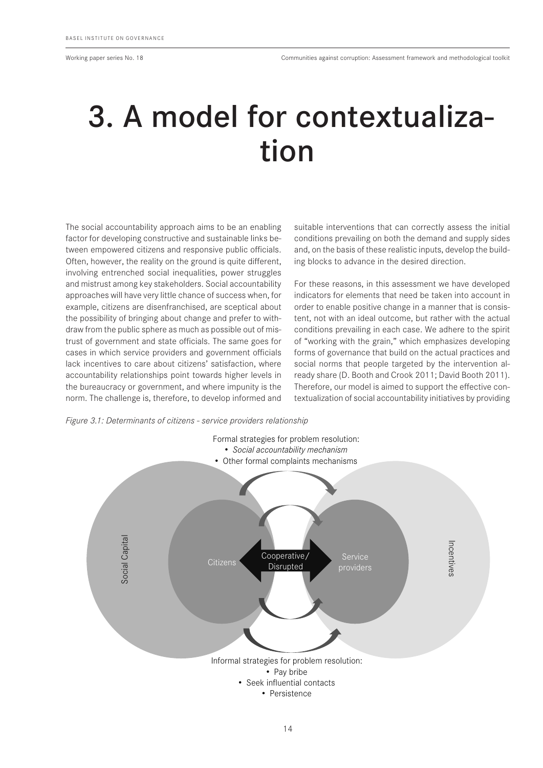# 3. A model for contextualization

The social accountability approach aims to be an enabling factor for developing constructive and sustainable links between empowered citizens and responsive public officials. Often, however, the reality on the ground is quite different, involving entrenched social inequalities, power struggles and mistrust among key stakeholders. Social accountability approaches will have very little chance of success when, for example, citizens are disenfranchised, are sceptical about the possibility of bringing about change and prefer to withdraw from the public sphere as much as possible out of mistrust of government and state officials. The same goes for cases in which service providers and government officials lack incentives to care about citizens' satisfaction, where accountability relationships point towards higher levels in the bureaucracy or government, and where impunity is the norm. The challenge is, therefore, to develop informed and

suitable interventions that can correctly assess the initial conditions prevailing on both the demand and supply sides and, on the basis of these realistic inputs, develop the building blocks to advance in the desired direction.

For these reasons, in this assessment we have developed indicators for elements that need be taken into account in order to enable positive change in a manner that is consistent, not with an ideal outcome, but rather with the actual conditions prevailing in each case. We adhere to the spirit of "working with the grain," which emphasizes developing forms of governance that build on the actual practices and social norms that people targeted by the intervention already share (D. Booth and Crook 2011; David Booth 2011). Therefore, our model is aimed to support the effective contextualization of social accountability initiatives by providing

*Figure 3.1: Determinants of citizens - service providers relationship*

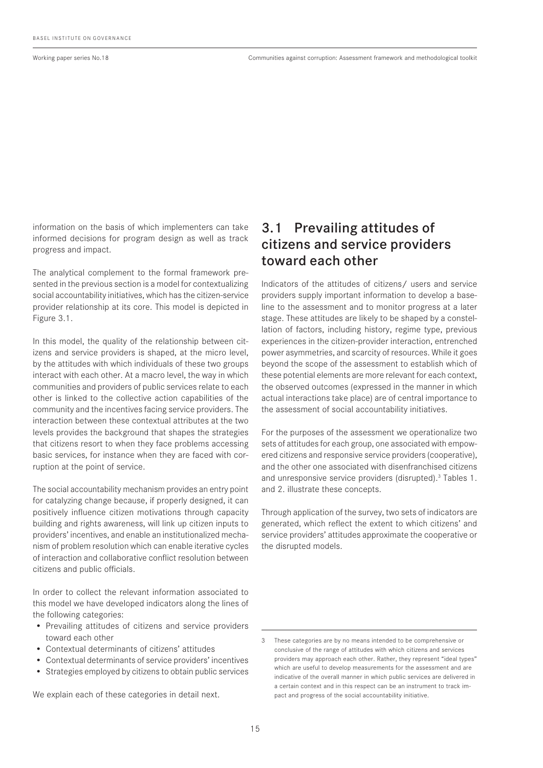Communities against corruption: Assessment framework and methodological toolkit

information on the basis of which implementers can take informed decisions for program design as well as track progress and impact.

The analytical complement to the formal framework presented in the previous section is a model for contextualizing social accountability initiatives, which has the citizen-service provider relationship at its core. This model is depicted in Figure 3.1.

In this model, the quality of the relationship between citizens and service providers is shaped, at the micro level, by the attitudes with which individuals of these two groups interact with each other. At a macro level, the way in which communities and providers of public services relate to each other is linked to the collective action capabilities of the community and the incentives facing service providers. The interaction between these contextual attributes at the two levels provides the background that shapes the strategies that citizens resort to when they face problems accessing basic services, for instance when they are faced with corruption at the point of service.

The social accountability mechanism provides an entry point for catalyzing change because, if properly designed, it can positively influence citizen motivations through capacity building and rights awareness, will link up citizen inputs to providers' incentives, and enable an institutionalized mechanism of problem resolution which can enable iterative cycles of interaction and collaborative conflict resolution between citizens and public officials.

In order to collect the relevant information associated to this model we have developed indicators along the lines of the following categories:

- Prevailing attitudes of citizens and service providers toward each other
- Contextual determinants of citizens' attitudes
- Contextual determinants of service providers' incentives
- Strategies employed by citizens to obtain public services

We explain each of these categories in detail next.

# 3.1 Prevailing attitudes of citizens and service providers toward each other

Indicators of the attitudes of citizens/ users and service providers supply important information to develop a baseline to the assessment and to monitor progress at a later stage. These attitudes are likely to be shaped by a constellation of factors, including history, regime type, previous experiences in the citizen-provider interaction, entrenched power asymmetries, and scarcity of resources. While it goes beyond the scope of the assessment to establish which of these potential elements are more relevant for each context, the observed outcomes (expressed in the manner in which actual interactions take place) are of central importance to the assessment of social accountability initiatives.

For the purposes of the assessment we operationalize two sets of attitudes for each group, one associated with empowered citizens and responsive service providers (cooperative), and the other one associated with disenfranchised citizens and unresponsive service providers (disrupted).<sup>3</sup> Tables 1. and 2. illustrate these concepts.

Through application of the survey, two sets of indicators are generated, which reflect the extent to which citizens' and service providers' attitudes approximate the cooperative or the disrupted models.

<sup>3</sup> These categories are by no means intended to be comprehensive or conclusive of the range of attitudes with which citizens and services providers may approach each other. Rather, they represent "ideal types" which are useful to develop measurements for the assessment and are indicative of the overall manner in which public services are delivered in a certain context and in this respect can be an instrument to track impact and progress of the social accountability initiative.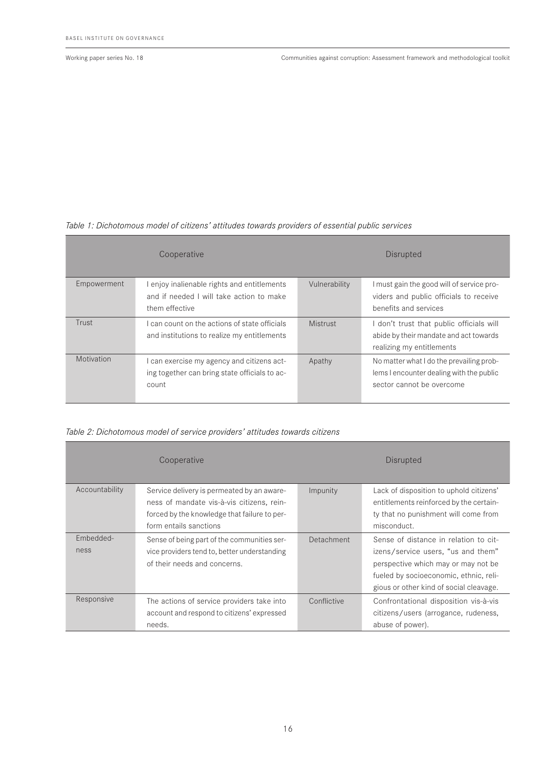ř.

Communities against corruption: Assessment framework and methodological toolkit

## *Table 1: Dichotomous model of citizens' attitudes towards providers of essential public services*

|             | Cooperative                                                                                               |                 | Disrupted                                                                                                         |
|-------------|-----------------------------------------------------------------------------------------------------------|-----------------|-------------------------------------------------------------------------------------------------------------------|
| Empowerment | I enjoy inalienable rights and entitlements<br>and if needed I will take action to make<br>them effective | Vulnerability   | I must gain the good will of service pro-<br>viders and public officials to receive<br>benefits and services      |
| Trust       | I can count on the actions of state officials<br>and institutions to realize my entitlements              | <b>Mistrust</b> | I don't trust that public officials will<br>abide by their mandate and act towards<br>realizing my entitlements   |
| Motivation  | I can exercise my agency and citizens act-<br>ing together can bring state officials to ac-<br>count      | Apathy          | No matter what I do the prevailing prob-<br>lems I encounter dealing with the public<br>sector cannot be overcome |

### *Table 2: Dichotomous model of service providers' attitudes towards citizens*

|                   | Cooperative                                                                                                                                                       |             | Disrupted                                                                                                                                                                                               |
|-------------------|-------------------------------------------------------------------------------------------------------------------------------------------------------------------|-------------|---------------------------------------------------------------------------------------------------------------------------------------------------------------------------------------------------------|
| Accountability    | Service delivery is permeated by an aware-<br>ness of mandate vis-à-vis citizens, rein-<br>forced by the knowledge that failure to per-<br>form entails sanctions | Impunity    | Lack of disposition to uphold citizens'<br>entitlements reinforced by the certain-<br>ty that no punishment will come from<br>misconduct.                                                               |
| Embedded-<br>ness | Sense of being part of the communities ser-<br>vice providers tend to, better understanding<br>of their needs and concerns.                                       | Detachment  | Sense of distance in relation to cit-<br>izens/service users, "us and them"<br>perspective which may or may not be<br>fueled by socioeconomic, ethnic, reli-<br>gious or other kind of social cleavage. |
| Responsive        | The actions of service providers take into<br>account and respond to citizens' expressed<br>needs.                                                                | Conflictive | Confrontational disposition vis-à-vis<br>citizens/users (arrogance, rudeness,<br>abuse of power).                                                                                                       |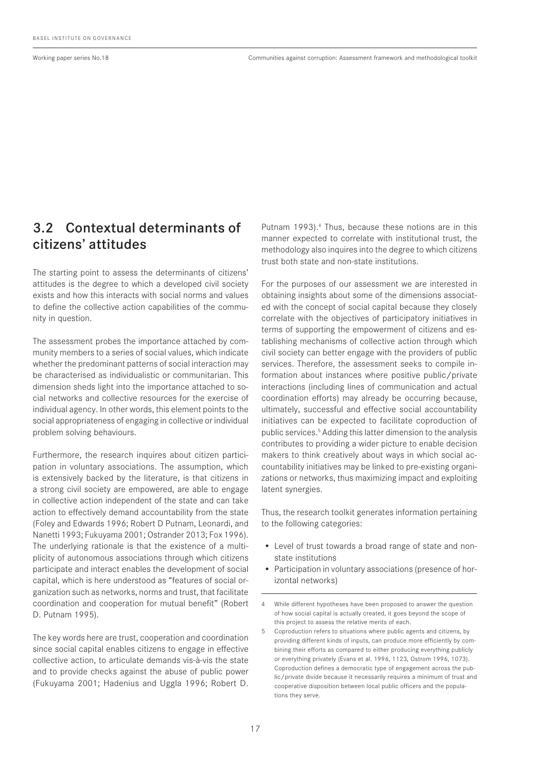# 3.2 Contextual determinants of citizens' attitudes

The starting point to assess the determinants of citizens' attitudes is the degree to which a developed civil society exists and how this interacts with social norms and values to define the collective action capabilities of the community in question.

The assessment probes the importance attached by community members to a series of social values, which indicate whether the predominant patterns of social interaction may be characterised as individualistic or communitarian. This dimension sheds light into the importance attached to social networks and collective resources for the exercise of individual agency. In other words, this element points to the social appropriateness of engaging in collective or individual problem solving behaviours.

Furthermore, the research inquires about citizen participation in voluntary associations. The assumption, which is extensively backed by the literature, is that citizens in a strong civil society are empowered, are able to engage in collective action independent of the state and can take action to effectively demand accountability from the state (Foley and Edwards 1996; Robert D Putnam, Leonardi, and Nanetti 1993; Fukuyama 2001; Ostrander 2013; Fox 1996). The underlying rationale is that the existence of a multiplicity of autonomous associations through which citizens participate and interact enables the development of social capital, which is here understood as "features of social organization such as networks, norms and trust, that facilitate coordination and cooperation for mutual benefit" (Robert D. Putnam 1995).

The key words here are trust, cooperation and coordination since social capital enables citizens to engage in effective collective action, to articulate demands vis-à-vis the state and to provide checks against the abuse of public power (Fukuyama 2001; Hadenius and Uggla 1996; Robert D.

Putnam 1993).<sup>4</sup> Thus, because these notions are in this manner expected to correlate with institutional trust, the methodology also inquires into the degree to which citizens trust both state and non-state institutions.

For the purposes of our assessment we are interested in obtaining insights about some of the dimensions associated with the concept of social capital because they closely correlate with the objectives of participatory initiatives in terms of supporting the empowerment of citizens and establishing mechanisms of collective action through which civil society can better engage with the providers of public services. Therefore, the assessment seeks to compile information about instances where positive public/private interactions (including lines of communication and actual coordination efforts) may already be occurring because, ultimately, successful and effective social accountability initiatives can be expected to facilitate coproduction of public services.<sup>5</sup> Adding this latter dimension to the analysis contributes to providing a wider picture to enable decision makers to think creatively about ways in which social accountability initiatives may be linked to pre-existing organizations or networks, thus maximizing impact and exploiting latent synergies.

Thus, the research toolkit generates information pertaining to the following categories:

- Level of trust towards a broad range of state and nonstate institutions
- Participation in voluntary associations (presence of horizontal networks)

<sup>4</sup> While different hypotheses have been proposed to answer the question of how social capital is actually created, it goes beyond the scope of this project to assess the relative merits of each.

<sup>5</sup> Coproduction refers to situations where public agents and citizens, by providing different kinds of inputs, can produce more efficiently by combining their efforts as compared to either producing everything publicly or everything privately (Evans et al. 1996, 1123, Ostrom 1996, 1073). Coproduction defines a democratic type of engagement across the public/private divide because it necessarily requires a minimum of trust and cooperative disposition between local public officers and the populations they serve.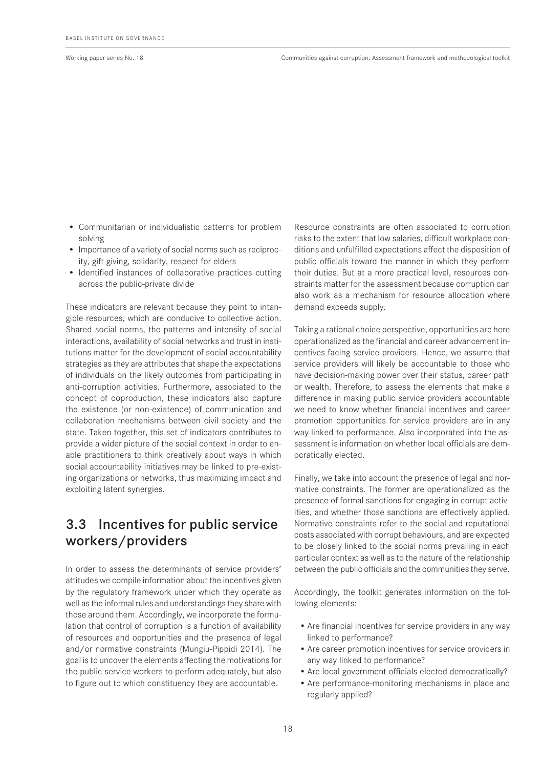- Communitarian or individualistic patterns for problem solving
- Importance of a variety of social norms such as reciprocity, gift giving, solidarity, respect for elders
- Identified instances of collaborative practices cutting across the public-private divide

These indicators are relevant because they point to intangible resources, which are conducive to collective action. Shared social norms, the patterns and intensity of social interactions, availability of social networks and trust in institutions matter for the development of social accountability strategies as they are attributes that shape the expectations of individuals on the likely outcomes from participating in anti-corruption activities. Furthermore, associated to the concept of coproduction, these indicators also capture the existence (or non-existence) of communication and collaboration mechanisms between civil society and the state. Taken together, this set of indicators contributes to provide a wider picture of the social context in order to enable practitioners to think creatively about ways in which social accountability initiatives may be linked to pre-existing organizations or networks, thus maximizing impact and exploiting latent synergies.

# 3.3 Incentives for public service workers/providers

In order to assess the determinants of service providers' attitudes we compile information about the incentives given by the regulatory framework under which they operate as well as the informal rules and understandings they share with those around them. Accordingly, we incorporate the formulation that control of corruption is a function of availability of resources and opportunities and the presence of legal and/or normative constraints (Mungiu-Pippidi 2014). The goal is to uncover the elements affecting the motivations for the public service workers to perform adequately, but also to figure out to which constituency they are accountable.

Resource constraints are often associated to corruption risks to the extent that low salaries, difficult workplace conditions and unfulfilled expectations affect the disposition of public officials toward the manner in which they perform their duties. But at a more practical level, resources constraints matter for the assessment because corruption can also work as a mechanism for resource allocation where demand exceeds supply.

Taking a rational choice perspective, opportunities are here operationalized as the financial and career advancement incentives facing service providers. Hence, we assume that service providers will likely be accountable to those who have decision-making power over their status, career path or wealth. Therefore, to assess the elements that make a difference in making public service providers accountable we need to know whether financial incentives and career promotion opportunities for service providers are in any way linked to performance. Also incorporated into the assessment is information on whether local officials are democratically elected.

Finally, we take into account the presence of legal and normative constraints. The former are operationalized as the presence of formal sanctions for engaging in corrupt activities, and whether those sanctions are effectively applied. Normative constraints refer to the social and reputational costs associated with corrupt behaviours, and are expected to be closely linked to the social norms prevailing in each particular context as well as to the nature of the relationship between the public officials and the communities they serve.

Accordingly, the toolkit generates information on the following elements:

- •Are financial incentives for service providers in any way linked to performance?
- •Are career promotion incentives for service providers in any way linked to performance?
- •Are local government officials elected democratically?
- •Are performance-monitoring mechanisms in place and regularly applied?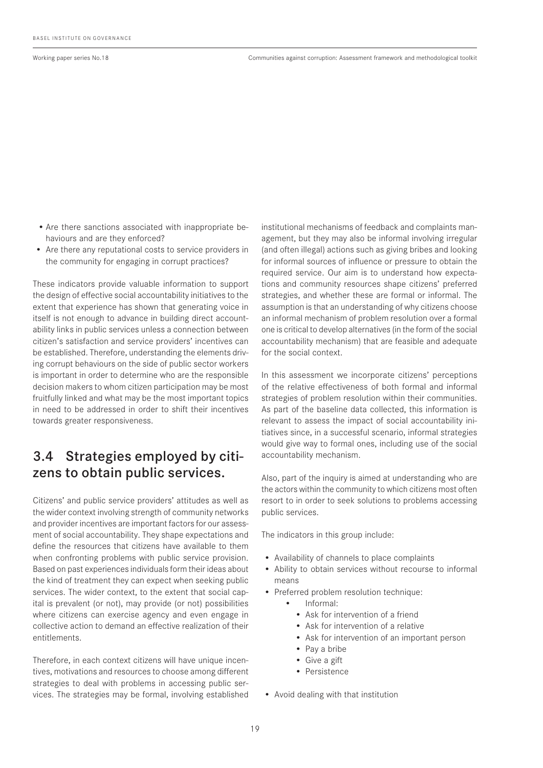- •Are there sanctions associated with inappropriate behaviours and are they enforced?
- Are there any reputational costs to service providers in the community for engaging in corrupt practices?

These indicators provide valuable information to support the design of effective social accountability initiatives to the extent that experience has shown that generating voice in itself is not enough to advance in building direct accountability links in public services unless a connection between citizen's satisfaction and service providers' incentives can be established. Therefore, understanding the elements driving corrupt behaviours on the side of public sector workers is important in order to determine who are the responsible decision makers to whom citizen participation may be most fruitfully linked and what may be the most important topics in need to be addressed in order to shift their incentives towards greater responsiveness.

# 3.4 Strategies employed by citizens to obtain public services.

Citizens' and public service providers' attitudes as well as the wider context involving strength of community networks and provider incentives are important factors for our assessment of social accountability. They shape expectations and define the resources that citizens have available to them when confronting problems with public service provision. Based on past experiences individuals form their ideas about the kind of treatment they can expect when seeking public services. The wider context, to the extent that social capital is prevalent (or not), may provide (or not) possibilities where citizens can exercise agency and even engage in collective action to demand an effective realization of their entitlements.

Therefore, in each context citizens will have unique incentives, motivations and resources to choose among different strategies to deal with problems in accessing public services. The strategies may be formal, involving established institutional mechanisms of feedback and complaints management, but they may also be informal involving irregular (and often illegal) actions such as giving bribes and looking for informal sources of influence or pressure to obtain the required service. Our aim is to understand how expectations and community resources shape citizens' preferred strategies, and whether these are formal or informal. The assumption is that an understanding of why citizens choose an informal mechanism of problem resolution over a formal one is critical to develop alternatives (in the form of the social accountability mechanism) that are feasible and adequate for the social context.

In this assessment we incorporate citizens' perceptions of the relative effectiveness of both formal and informal strategies of problem resolution within their communities. As part of the baseline data collected, this information is relevant to assess the impact of social accountability initiatives since, in a successful scenario, informal strategies would give way to formal ones, including use of the social accountability mechanism.

Also, part of the inquiry is aimed at understanding who are the actors within the community to which citizens most often resort to in order to seek solutions to problems accessing public services.

The indicators in this group include:

- Availability of channels to place complaints
- Ability to obtain services without recourse to informal means
- Preferred problem resolution technique:
	- Informal:
		- Ask for intervention of a friend
		- Ask for intervention of a relative
		- Ask for intervention of an important person
		- Pay a bribe
		- Give a gift
		- Persistence
- Avoid dealing with that institution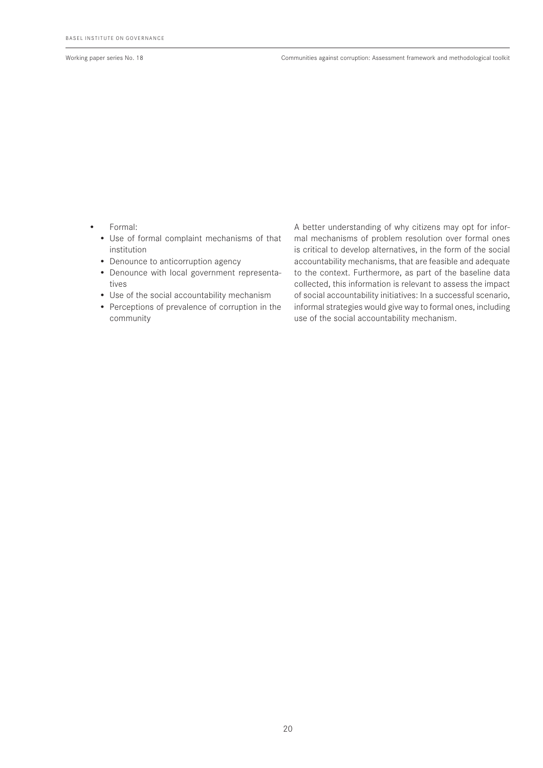Communities against corruption: Assessment framework and methodological toolkit

- Formal:
	- Use of formal complaint mechanisms of that institution
	- Denounce to anticorruption agency
	- Denounce with local government representatives
	- Use of the social accountability mechanism
	- Perceptions of prevalence of corruption in the community

A better understanding of why citizens may opt for informal mechanisms of problem resolution over formal ones is critical to develop alternatives, in the form of the social accountability mechanisms, that are feasible and adequate to the context. Furthermore, as part of the baseline data collected, this information is relevant to assess the impact of social accountability initiatives: In a successful scenario, informal strategies would give way to formal ones, including use of the social accountability mechanism.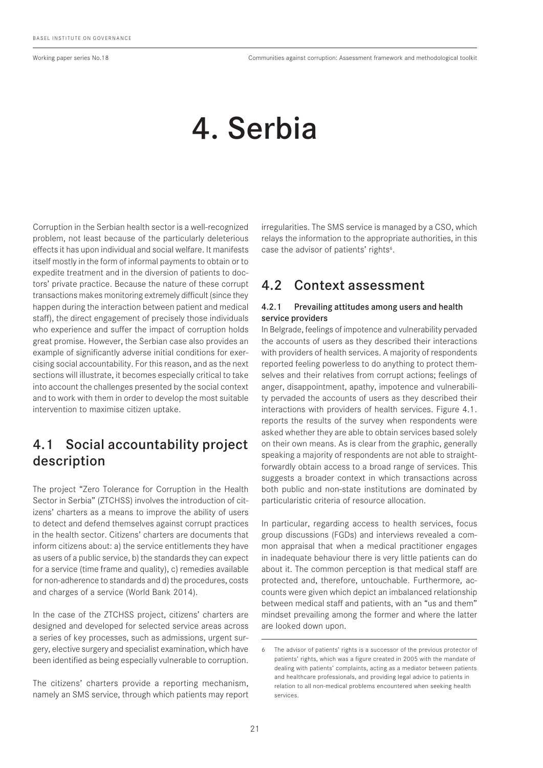# 4. Serbia

Corruption in the Serbian health sector is a well-recognized problem, not least because of the particularly deleterious effects it has upon individual and social welfare. It manifests itself mostly in the form of informal payments to obtain or to expedite treatment and in the diversion of patients to doctors' private practice. Because the nature of these corrupt transactions makes monitoring extremely difficult (since they happen during the interaction between patient and medical staff), the direct engagement of precisely those individuals who experience and suffer the impact of corruption holds great promise. However, the Serbian case also provides an example of significantly adverse initial conditions for exercising social accountability. For this reason, and as the next sections will illustrate, it becomes especially critical to take into account the challenges presented by the social context and to work with them in order to develop the most suitable intervention to maximise citizen uptake.

# 4.1 Social accountability project description

The project "Zero Tolerance for Corruption in the Health Sector in Serbia" (ZTCHSS) involves the introduction of citizens' charters as a means to improve the ability of users to detect and defend themselves against corrupt practices in the health sector. Citizens' charters are documents that inform citizens about: a) the service entitlements they have as users of a public service, b) the standards they can expect for a service (time frame and quality), c) remedies available for non-adherence to standards and d) the procedures, costs and charges of a service (World Bank 2014).

In the case of the ZTCHSS project, citizens' charters are designed and developed for selected service areas across a series of key processes, such as admissions, urgent surgery, elective surgery and specialist examination, which have been identified as being especially vulnerable to corruption.

The citizens' charters provide a reporting mechanism, namely an SMS service, through which patients may report irregularities. The SMS service is managed by a CSO, which relays the information to the appropriate authorities, in this case the advisor of patients' rights<sup>6</sup>.

# 4.2 Context assessment

## 4.2.1 Prevailing attitudes among users and health service providers

In Belgrade, feelings of impotence and vulnerability pervaded the accounts of users as they described their interactions with providers of health services. A majority of respondents reported feeling powerless to do anything to protect themselves and their relatives from corrupt actions; feelings of anger, disappointment, apathy, impotence and vulnerability pervaded the accounts of users as they described their interactions with providers of health services. Figure 4.1. reports the results of the survey when respondents were asked whether they are able to obtain services based solely on their own means. As is clear from the graphic, generally speaking a majority of respondents are not able to straightforwardly obtain access to a broad range of services. This suggests a broader context in which transactions across both public and non-state institutions are dominated by particularistic criteria of resource allocation.

In particular, regarding access to health services, focus group discussions (FGDs) and interviews revealed a common appraisal that when a medical practitioner engages in inadequate behaviour there is very little patients can do about it. The common perception is that medical staff are protected and, therefore, untouchable. Furthermore, accounts were given which depict an imbalanced relationship between medical staff and patients, with an "us and them" mindset prevailing among the former and where the latter are looked down upon.

<sup>6</sup> The advisor of patients' rights is a successor of the previous protector of patients' rights, which was a figure created in 2005 with the mandate of dealing with patients' complaints, acting as a mediator between patients and healthcare professionals, and providing legal advice to patients in relation to all non-medical problems encountered when seeking health services.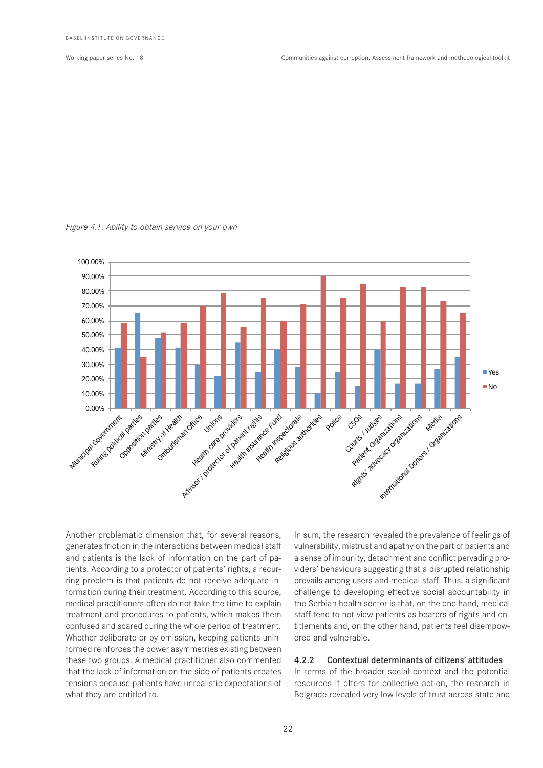Communities against corruption: Assessment framework and methodological toolkit



*Figure 4.1: Ability to obtain service on your own*

Another problematic dimension that, for several reasons, generates friction in the interactions between medical staff and patients is the lack of information on the part of patients. According to a protector of patients' rights, a recurring problem is that patients do not receive adequate information during their treatment. According to this source, medical practitioners often do not take the time to explain treatment and procedures to patients, which makes them confused and scared during the whole period of treatment. Whether deliberate or by omission, keeping patients uninformed reinforces the power asymmetries existing between these two groups. A medical practitioner also commented that the lack of information on the side of patients creates tensions because patients have unrealistic expectations of what they are entitled to.

In sum, the research revealed the prevalence of feelings of vulnerability, mistrust and apathy on the part of patients and a sense of impunity, detachment and conflict pervading providers' behaviours suggesting that a disrupted relationship prevails among users and medical staff. Thus, a significant challenge to developing effective social accountability in the Serbian health sector is that, on the one hand, medical staff tend to not view patients as bearers of rights and entitlements and, on the other hand, patients feel disempowered and vulnerable.

## 4.2.2 Contextual determinants of citizens' attitudes

In terms of the broader social context and the potential resources it offers for collective action, the research in Belgrade revealed very low levels of trust across state and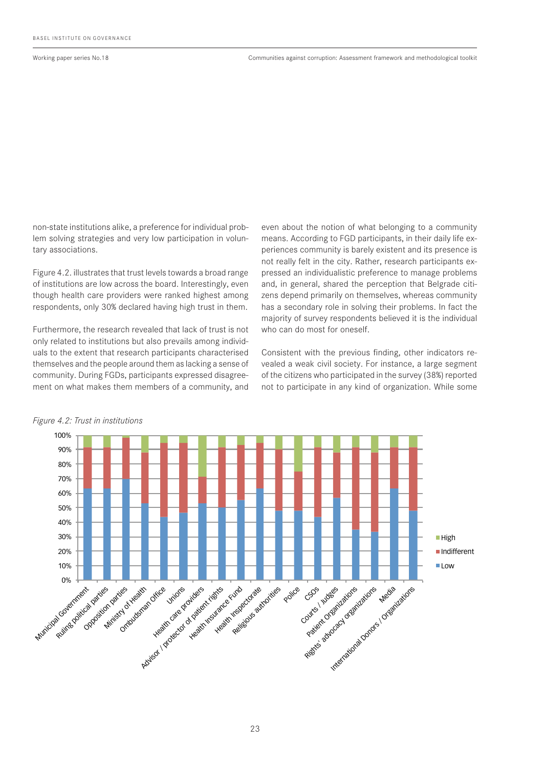non-state institutions alike, a preference for individual problem solving strategies and very low participation in voluntary associations.

Figure 4.2. illustrates that trust levels towards a broad range of institutions are low across the board. Interestingly, even though health care providers were ranked highest among respondents, only 30% declared having high trust in them.

Furthermore, the research revealed that lack of trust is not only related to institutions but also prevails among individuals to the extent that research participants characterised themselves and the people around them as lacking a sense of community. During FGDs, participants expressed disagreement on what makes them members of a community, and even about the notion of what belonging to a community means. According to FGD participants, in their daily life experiences community is barely existent and its presence is not really felt in the city. Rather, research participants expressed an individualistic preference to manage problems and, in general, shared the perception that Belgrade citizens depend primarily on themselves, whereas community has a secondary role in solving their problems. In fact the majority of survey respondents believed it is the individual who can do most for oneself.

pants expressed disagree- or the citizens who participat<br>bers of a community, and on to participate in any kin Consistent with the previous finding, other indicators revealed a weak civil society. For instance, a large segment of the citizens who participated in the survey (38%) reported not to participate in any kind of organization. While some



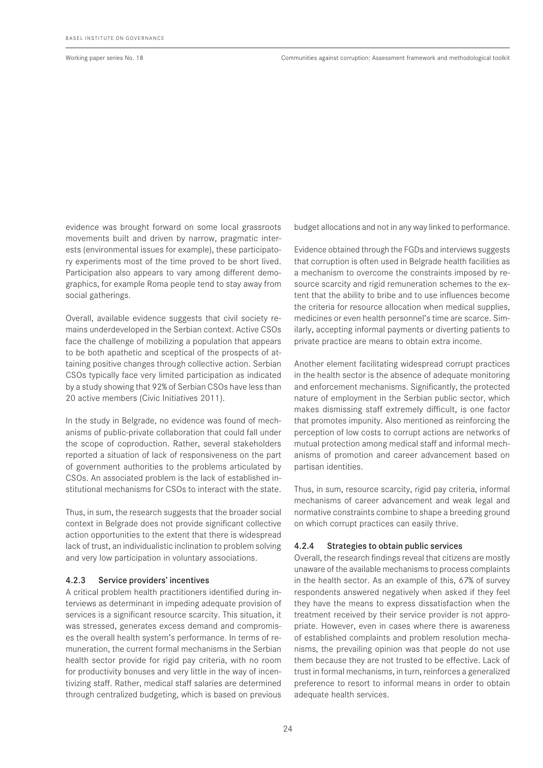Communities against corruption: Assessment framework and methodological toolkit

evidence was brought forward on some local grassroots movements built and driven by narrow, pragmatic interests (environmental issues for example), these participatory experiments most of the time proved to be short lived. Participation also appears to vary among different demographics, for example Roma people tend to stay away from social gatherings.

Overall, available evidence suggests that civil society remains underdeveloped in the Serbian context. Active CSOs face the challenge of mobilizing a population that appears to be both apathetic and sceptical of the prospects of attaining positive changes through collective action. Serbian CSOs typically face very limited participation as indicated by a study showing that 92% of Serbian CSOs have less than 20 active members (Civic Initiatives 2011).

In the study in Belgrade, no evidence was found of mechanisms of public-private collaboration that could fall under the scope of coproduction. Rather, several stakeholders reported a situation of lack of responsiveness on the part of government authorities to the problems articulated by CSOs. An associated problem is the lack of established institutional mechanisms for CSOs to interact with the state.

Thus, in sum, the research suggests that the broader social context in Belgrade does not provide significant collective action opportunities to the extent that there is widespread lack of trust, an individualistic inclination to problem solving and very low participation in voluntary associations.

#### 4.2.3 Service providers' incentives

A critical problem health practitioners identified during interviews as determinant in impeding adequate provision of services is a significant resource scarcity. This situation, it was stressed, generates excess demand and compromises the overall health system's performance. In terms of remuneration, the current formal mechanisms in the Serbian health sector provide for rigid pay criteria, with no room for productivity bonuses and very little in the way of incentivizing staff. Rather, medical staff salaries are determined through centralized budgeting, which is based on previous budget allocations and not in any way linked to performance.

Evidence obtained through the FGDs and interviews suggests that corruption is often used in Belgrade health facilities as a mechanism to overcome the constraints imposed by resource scarcity and rigid remuneration schemes to the extent that the ability to bribe and to use influences become the criteria for resource allocation when medical supplies, medicines or even health personnel's time are scarce. Similarly, accepting informal payments or diverting patients to private practice are means to obtain extra income.

Another element facilitating widespread corrupt practices in the health sector is the absence of adequate monitoring and enforcement mechanisms. Significantly, the protected nature of employment in the Serbian public sector, which makes dismissing staff extremely difficult, is one factor that promotes impunity. Also mentioned as reinforcing the perception of low costs to corrupt actions are networks of mutual protection among medical staff and informal mechanisms of promotion and career advancement based on partisan identities.

Thus, in sum, resource scarcity, rigid pay criteria, informal mechanisms of career advancement and weak legal and normative constraints combine to shape a breeding ground on which corrupt practices can easily thrive.

#### 4.2.4 Strategies to obtain public services

Overall, the research findings reveal that citizens are mostly unaware of the available mechanisms to process complaints in the health sector. As an example of this, 67% of survey respondents answered negatively when asked if they feel they have the means to express dissatisfaction when the treatment received by their service provider is not appropriate. However, even in cases where there is awareness of established complaints and problem resolution mechanisms, the prevailing opinion was that people do not use them because they are not trusted to be effective. Lack of trust in formal mechanisms, in turn, reinforces a generalized preference to resort to informal means in order to obtain adequate health services.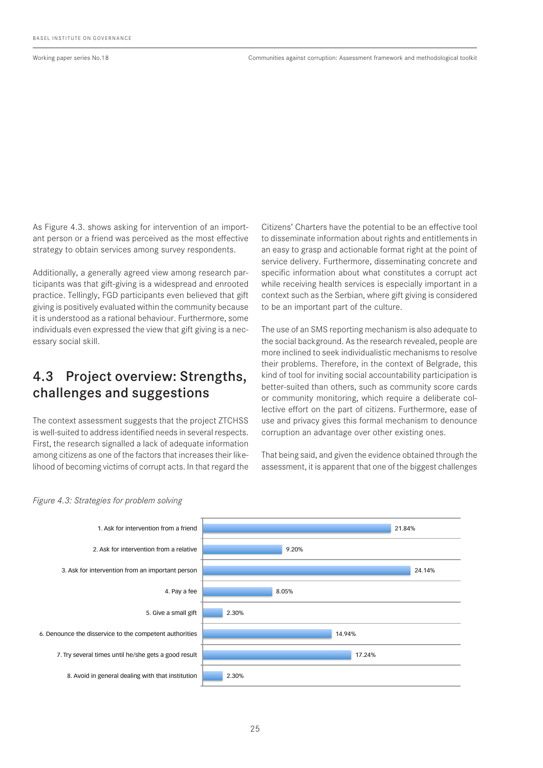As Figure 4.3. shows asking for intervention of an important person or a friend was perceived as the most effective strategy to obtain services among survey respondents.

Additionally, a generally agreed view among research participants was that gift-giving is a widespread and enrooted practice. Tellingly, FGD participants even believed that gift giving is positively evaluated within the community because it is understood as a rational behaviour. Furthermore, some individuals even expressed the view that gift giving is a necessary social skill.

# 4.3 Project overview: Strengths, challenges and suggestions

The context assessment suggests that the project ZTCHSS is well-suited to address identified needs in several respects. is well-suited to address identified needs in several respects. corruption an advantage over other e:<br>First, the research signalled a lack of adequate information among citizens as one of the factors that increases their likelihood of becoming victims of corrupt acts. In that regard the

Citizens' Charters have the potential to be an effective tool to disseminate information about rights and entitlements in an easy to grasp and actionable format right at the point of service delivery. Furthermore, disseminating concrete and specific information about what constitutes a corrupt act while receiving health services is especially important in a context such as the Serbian, where gift giving is considered to be an important part of the culture.

The use of an SMS reporting mechanism is also adequate to the social background. As the research revealed, people are more inclined to seek individualistic mechanisms to resolve their problems. Therefore, in the context of Belgrade, this kind of tool for inviting social accountability participation is better-suited than others, such as community score cards or community monitoring, which require a deliberate collective effort on the part of citizens. Furthermore, ease of use and privacy gives this formal mechanism to denounce corruption an advantage over other existing ones.

That being said, and given the evidence obtained through the assessment, it is apparent that one of the biggest challenges



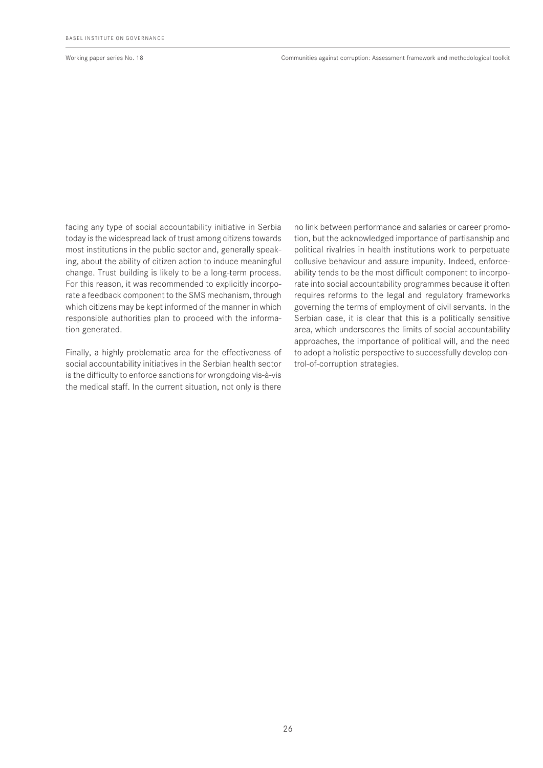Communities against corruption: Assessment framework and methodological toolkit

facing any type of social accountability initiative in Serbia today is the widespread lack of trust among citizens towards most institutions in the public sector and, generally speaking, about the ability of citizen action to induce meaningful change. Trust building is likely to be a long-term process. For this reason, it was recommended to explicitly incorporate a feedback component to the SMS mechanism, through which citizens may be kept informed of the manner in which responsible authorities plan to proceed with the information generated.

Finally, a highly problematic area for the effectiveness of social accountability initiatives in the Serbian health sector is the difficulty to enforce sanctions for wrongdoing vis-à-vis the medical staff. In the current situation, not only is there

no link between performance and salaries or career promotion, but the acknowledged importance of partisanship and political rivalries in health institutions work to perpetuate collusive behaviour and assure impunity. Indeed, enforceability tends to be the most difficult component to incorporate into social accountability programmes because it often requires reforms to the legal and regulatory frameworks governing the terms of employment of civil servants. In the Serbian case, it is clear that this is a politically sensitive area, which underscores the limits of social accountability approaches, the importance of political will, and the need to adopt a holistic perspective to successfully develop control-of-corruption strategies.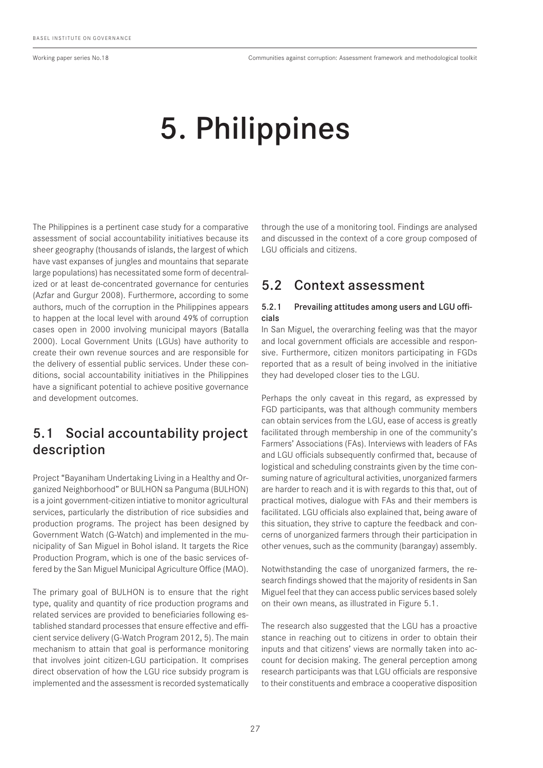# 5. Philippines

The Philippines is a pertinent case study for a comparative assessment of social accountability initiatives because its sheer geography (thousands of islands, the largest of which have vast expanses of jungles and mountains that separate large populations) has necessitated some form of decentralized or at least de-concentrated governance for centuries (Azfar and Gurgur 2008). Furthermore, according to some authors, much of the corruption in the Philippines appears to happen at the local level with around 49% of corruption cases open in 2000 involving municipal mayors (Batalla 2000). Local Government Units (LGUs) have authority to create their own revenue sources and are responsible for the delivery of essential public services. Under these conditions, social accountability initiatives in the Philippines have a significant potential to achieve positive governance and development outcomes.

# 5.1 Social accountability project description

Project "Bayaniham Undertaking Living in a Healthy and Organized Neighborhood" or BULHON sa Panguma (BULHON) is a joint government-citizen intiative to monitor agricultural services, particularly the distribution of rice subsidies and production programs. The project has been designed by Government Watch (G-Watch) and implemented in the municipality of San Miguel in Bohol island. It targets the Rice Production Program, which is one of the basic services offered by the San Miguel Municipal Agriculture Office (MAO).

The primary goal of BULHON is to ensure that the right type, quality and quantity of rice production programs and related services are provided to beneficiaries following established standard processes that ensure effective and efficient service delivery (G-Watch Program 2012, 5). The main mechanism to attain that goal is performance monitoring that involves joint citizen-LGU participation. It comprises direct observation of how the LGU rice subsidy program is implemented and the assessment is recorded systematically through the use of a monitoring tool. Findings are analysed and discussed in the context of a core group composed of LGU officials and citizens.

# 5.2 Context assessment

## 5.2.1 Prevailing attitudes among users and LGU officials

In San Miguel, the overarching feeling was that the mayor and local government officials are accessible and responsive. Furthermore, citizen monitors participating in FGDs reported that as a result of being involved in the initiative they had developed closer ties to the LGU.

Perhaps the only caveat in this regard, as expressed by FGD participants, was that although community members can obtain services from the LGU, ease of access is greatly facilitated through membership in one of the community's Farmers' Associations (FAs). Interviews with leaders of FAs and LGU officials subsequently confirmed that, because of logistical and scheduling constraints given by the time consuming nature of agricultural activities, unorganized farmers are harder to reach and it is with regards to this that, out of practical motives, dialogue with FAs and their members is facilitated. LGU officials also explained that, being aware of this situation, they strive to capture the feedback and concerns of unorganized farmers through their participation in other venues, such as the community (barangay) assembly.

Notwithstanding the case of unorganized farmers, the research findings showed that the majority of residents in San Miguel feel that they can access public services based solely on their own means, as illustrated in Figure 5.1.

The research also suggested that the LGU has a proactive stance in reaching out to citizens in order to obtain their inputs and that citizens' views are normally taken into account for decision making. The general perception among research participants was that LGU officials are responsive to their constituents and embrace a cooperative disposition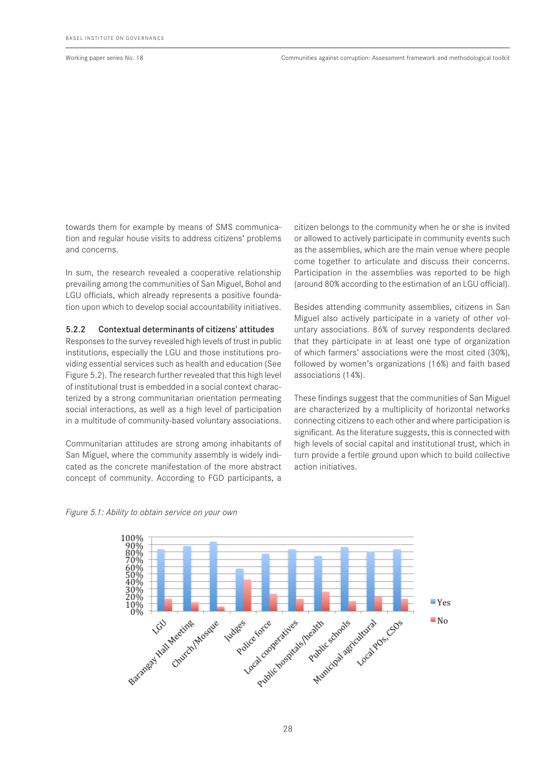Communities against corruption: Assessment framework and methodological toolkit

towards them for example by means of SMS communication and regular house visits to address citizens' problems and concerns.

In sum, the research revealed a cooperative relationship prevailing among the communities of San Miguel, Bohol and LGU officials, which already represents a positive foundation upon which to develop social accountability initiatives.

#### 5.2.2 Contextual determinants of citizens' attitudes

Responses to the survey revealed high levels of trust in public institutions, especially the LGU and those institutions providing essential services such as health and education (See Figure 5.2). The research further revealed that this high level of institutional trust is embedded in a social context characterized by a strong communitarian orientation permeating social interactions, as well as a high level of participation in a multitude of community-based voluntary associations.

Communitarian attitudes are strong among inhabitants of San Miguel, where the community assembly is widely indicated as the concrete manifestation of the more abstract concept of community. According to FGD participants, a

citizen belongs to the community when he or she is invited or allowed to actively participate in community events such as the assemblies, which are the main venue where people come together to articulate and discuss their concerns. Participation in the assemblies was reported to be high (around 80% according to the estimation of an LGU official).

Besides attending community assemblies, citizens in San Miguel also actively participate in a variety of other voluntary associations. 86% of survey respondents declared that they participate in at least one type of organization of which farmers' associations were the most cited (30%), followed by women's organizations (16%) and faith based associations (14%).

These findings suggest that the communities of San Miguel are characterized by a multiplicity of horizontal networks connecting citizens to each other and where participation is significant. As the literature suggests, this is connected with high levels of social capital and institutional trust, which in turn provide a fertile ground upon which to build collective action initiatives.



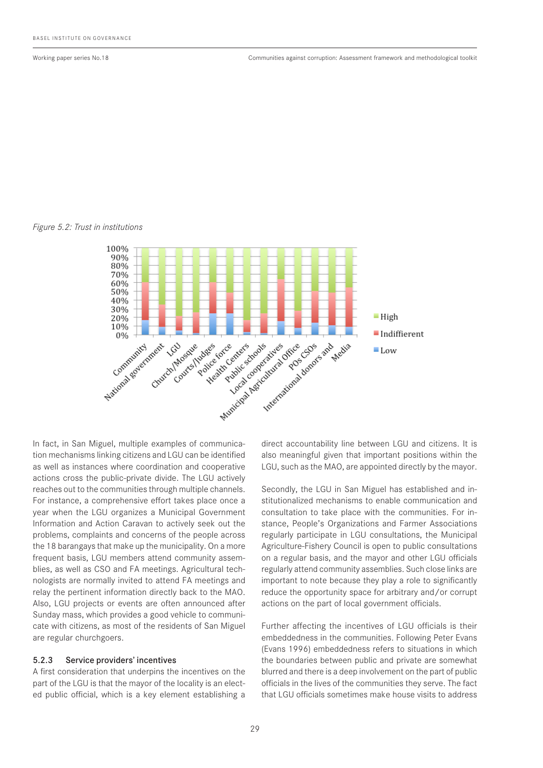*Figure 5.2: Trust in institutions*



In fact, in San Miguel, multiple examples of communication mechanisms linking citizens and LGU can be identified as well as instances where coordination and cooperative actions cross the public-private divide. The LGU actively reaches out to the communities through multiple channels. For instance, a comprehensive effort takes place once a year when the LGU organizes a Municipal Government Information and Action Caravan to actively seek out the problems, complaints and concerns of the people across the 18 barangays that make up the municipality. On a more frequent basis, LGU members attend community assemblies, as well as CSO and FA meetings. Agricultural technologists are normally invited to attend FA meetings and relay the pertinent information directly back to the MAO. Also, LGU projects or events are often announced after Sunday mass, which provides a good vehicle to communicate with citizens, as most of the residents of San Miguel are regular churchgoers.

### 5.2.3 Service providers' incentives

A first consideration that underpins the incentives on the part of the LGU is that the mayor of the locality is an elected public official, which is a key element establishing a direct accountability line between LGU and citizens. It is also meaningful given that important positions within the LGU, such as the MAO, are appointed directly by the mayor.

Secondly, the LGU in San Miguel has established and institutionalized mechanisms to enable communication and consultation to take place with the communities. For instance, People's Organizations and Farmer Associations regularly participate in LGU consultations, the Municipal Agriculture-Fishery Council is open to public consultations on a regular basis, and the mayor and other LGU officials regularly attend community assemblies. Such close links are important to note because they play a role to significantly reduce the opportunity space for arbitrary and/or corrupt actions on the part of local government officials.

Further affecting the incentives of LGU officials is their embeddedness in the communities. Following Peter Evans (Evans 1996) embeddedness refers to situations in which the boundaries between public and private are somewhat blurred and there is a deep involvement on the part of public officials in the lives of the communities they serve. The fact that LGU officials sometimes make house visits to address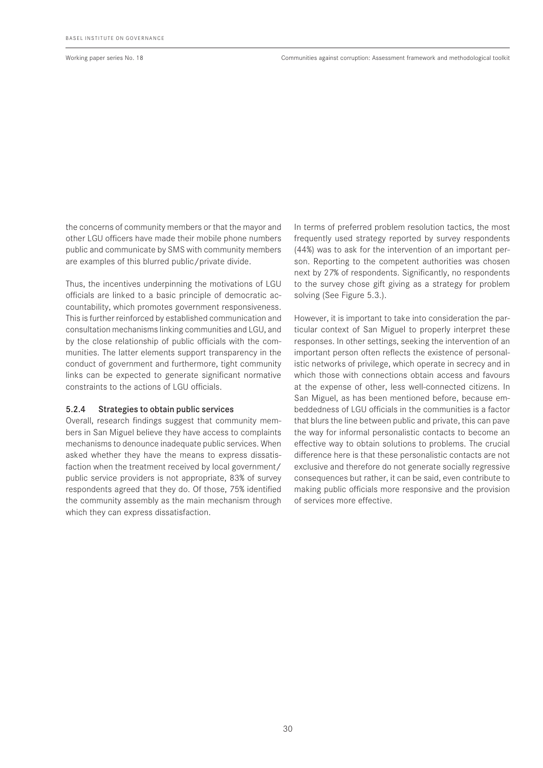Communities against corruption: Assessment framework and methodological toolkit

the concerns of community members or that the mayor and other LGU officers have made their mobile phone numbers public and communicate by SMS with community members are examples of this blurred public/private divide.

Thus, the incentives underpinning the motivations of LGU officials are linked to a basic principle of democratic accountability, which promotes government responsiveness. This is further reinforced by established communication and consultation mechanisms linking communities and LGU, and by the close relationship of public officials with the communities. The latter elements support transparency in the conduct of government and furthermore, tight community links can be expected to generate significant normative constraints to the actions of LGU officials.

#### 5.2.4 Strategies to obtain public services

Overall, research findings suggest that community members in San Miguel believe they have access to complaints mechanisms to denounce inadequate public services. When asked whether they have the means to express dissatisfaction when the treatment received by local government/ public service providers is not appropriate, 83% of survey respondents agreed that they do. Of those, 75% identified the community assembly as the main mechanism through which they can express dissatisfaction.

In terms of preferred problem resolution tactics, the most frequently used strategy reported by survey respondents (44%) was to ask for the intervention of an important person. Reporting to the competent authorities was chosen next by 27% of respondents. Significantly, no respondents to the survey chose gift giving as a strategy for problem solving (See Figure 5.3.).

However, it is important to take into consideration the particular context of San Miguel to properly interpret these responses. In other settings, seeking the intervention of an important person often reflects the existence of personalistic networks of privilege, which operate in secrecy and in which those with connections obtain access and favours at the expense of other, less well-connected citizens. In San Miguel, as has been mentioned before, because embeddedness of LGU officials in the communities is a factor that blurs the line between public and private, this can pave the way for informal personalistic contacts to become an effective way to obtain solutions to problems. The crucial difference here is that these personalistic contacts are not exclusive and therefore do not generate socially regressive consequences but rather, it can be said, even contribute to making public officials more responsive and the provision of services more effective.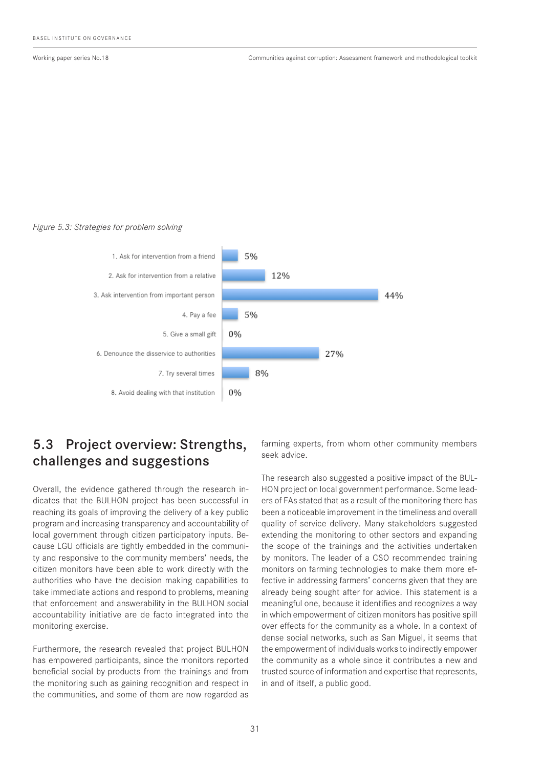Communities against corruption: Assessment framework and methodological toolkit

#### *Figure 5.3: Strategies for problem solving*



# 5.3 Project overview: Strengths, challenges and suggestions

Overall, the evidence gathered through the research indicates that the BULHON project has been successful in reaching its goals of improving the delivery of a key public program and increasing transparency and accountability of local government through citizen participatory inputs. Because LGU officials are tightly embedded in the community and responsive to the community members' needs, the citizen monitors have been able to work directly with the authorities who have the decision making capabilities to take immediate actions and respond to problems, meaning that enforcement and answerability in the BULHON social accountability initiative are de facto integrated into the monitoring exercise.

Furthermore, the research revealed that project BULHON has empowered participants, since the monitors reported beneficial social by-products from the trainings and from the monitoring such as gaining recognition and respect in the communities, and some of them are now regarded as farming experts, from whom other community members seek advice.

The research also suggested a positive impact of the BUL-HON project on local government performance. Some leaders of FAs stated that as a result of the monitoring there has been a noticeable improvement in the timeliness and overall quality of service delivery. Many stakeholders suggested extending the monitoring to other sectors and expanding the scope of the trainings and the activities undertaken by monitors. The leader of a CSO recommended training monitors on farming technologies to make them more effective in addressing farmers' concerns given that they are already being sought after for advice. This statement is a meaningful one, because it identifies and recognizes a way in which empowerment of citizen monitors has positive spill over effects for the community as a whole. In a context of dense social networks, such as San Miguel, it seems that the empowerment of individuals works to indirectly empower the community as a whole since it contributes a new and trusted source of information and expertise that represents, in and of itself, a public good.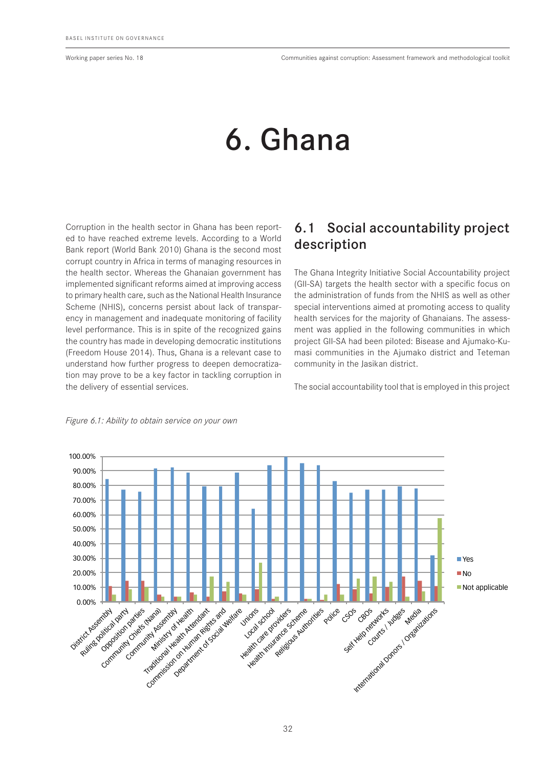Communities against corruption: Assessment framework and methodological toolkit

# 6. Ghana

Corruption in the health sector in Ghana has been reported to have reached extreme levels. According to a World Bank report (World Bank 2010) Ghana is the second most corrupt country in Africa in terms of managing resources in the health sector. Whereas the Ghanaian government has implemented significant reforms aimed at improving access to primary health care, such as the National Health Insurance Scheme (NHIS), concerns persist about lack of transparency in management and inadequate monitoring of facility level performance. This is in spite of the recognized gains the country has made in developing democratic institutions (Freedom House 2014). Thus, Ghana is a relevant case to understand how further progress to deepen democratization may prove to be a key factor in tackling corruption in the delivery of essential services.

# 6.1 Social accountability project description

The Ghana Integrity Initiative Social Accountability project (GII-SA) targets the health sector with a specific focus on the administration of funds from the NHIS as well as other special interventions aimed at promoting access to quality health services for the majority of Ghanaians. The assessment was applied in the following communities in which project GII-SA had been piloted: Bisease and Ajumako-Kumasi communities in the Ajumako district and Teteman community in the Jasikan district.

The social accountability tool that is employed in this project



Ability to obtain service on your own *Figure 6.1: Ability to obtain service on your own*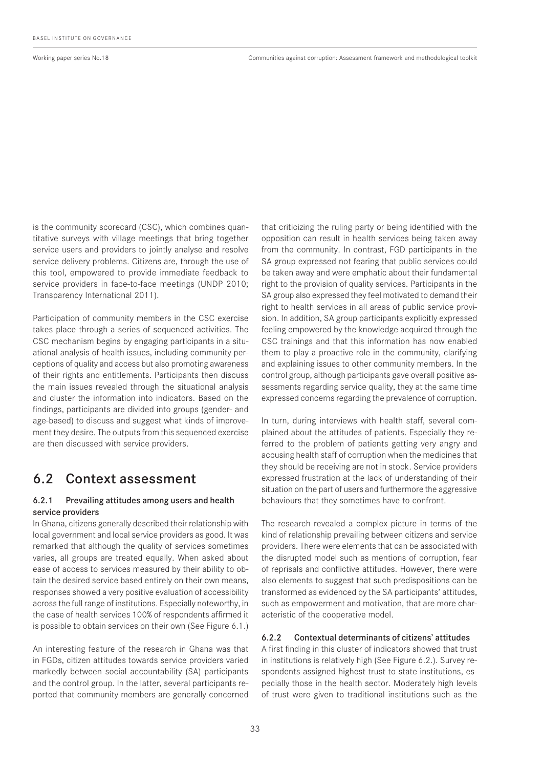Communities against corruption: Assessment framework and methodological toolkit

is the community scorecard (CSC), which combines quantitative surveys with village meetings that bring together service users and providers to jointly analyse and resolve service delivery problems. Citizens are, through the use of this tool, empowered to provide immediate feedback to service providers in face-to-face meetings (UNDP 2010; Transparency International 2011).

Participation of community members in the CSC exercise takes place through a series of sequenced activities. The CSC mechanism begins by engaging participants in a situational analysis of health issues, including community perceptions of quality and access but also promoting awareness of their rights and entitlements. Participants then discuss the main issues revealed through the situational analysis and cluster the information into indicators. Based on the findings, participants are divided into groups (gender- and age-based) to discuss and suggest what kinds of improvement they desire. The outputs from this sequenced exercise are then discussed with service providers.

# 6.2 Context assessment

### 6.2.1 Prevailing attitudes among users and health service providers

In Ghana, citizens generally described their relationship with local government and local service providers as good. It was remarked that although the quality of services sometimes varies, all groups are treated equally. When asked about ease of access to services measured by their ability to obtain the desired service based entirely on their own means, responses showed a very positive evaluation of accessibility across the full range of institutions. Especially noteworthy, in the case of health services 100% of respondents affirmed it is possible to obtain services on their own (See Figure 6.1.)

An interesting feature of the research in Ghana was that in FGDs, citizen attitudes towards service providers varied markedly between social accountability (SA) participants and the control group. In the latter, several participants reported that community members are generally concerned that criticizing the ruling party or being identified with the opposition can result in health services being taken away from the community. In contrast, FGD participants in the SA group expressed not fearing that public services could be taken away and were emphatic about their fundamental right to the provision of quality services. Participants in the SA group also expressed they feel motivated to demand their right to health services in all areas of public service provision. In addition, SA group participants explicitly expressed feeling empowered by the knowledge acquired through the CSC trainings and that this information has now enabled them to play a proactive role in the community, clarifying and explaining issues to other community members. In the control group, although participants gave overall positive assessments regarding service quality, they at the same time expressed concerns regarding the prevalence of corruption.

In turn, during interviews with health staff, several complained about the attitudes of patients. Especially they referred to the problem of patients getting very angry and accusing health staff of corruption when the medicines that they should be receiving are not in stock. Service providers expressed frustration at the lack of understanding of their situation on the part of users and furthermore the aggressive behaviours that they sometimes have to confront.

The research revealed a complex picture in terms of the kind of relationship prevailing between citizens and service providers. There were elements that can be associated with the disrupted model such as mentions of corruption, fear of reprisals and conflictive attitudes. However, there were also elements to suggest that such predispositions can be transformed as evidenced by the SA participants' attitudes, such as empowerment and motivation, that are more characteristic of the cooperative model.

## 6.2.2 Contextual determinants of citizens' attitudes

A first finding in this cluster of indicators showed that trust in institutions is relatively high (See Figure 6.2.). Survey respondents assigned highest trust to state institutions, especially those in the health sector. Moderately high levels of trust were given to traditional institutions such as the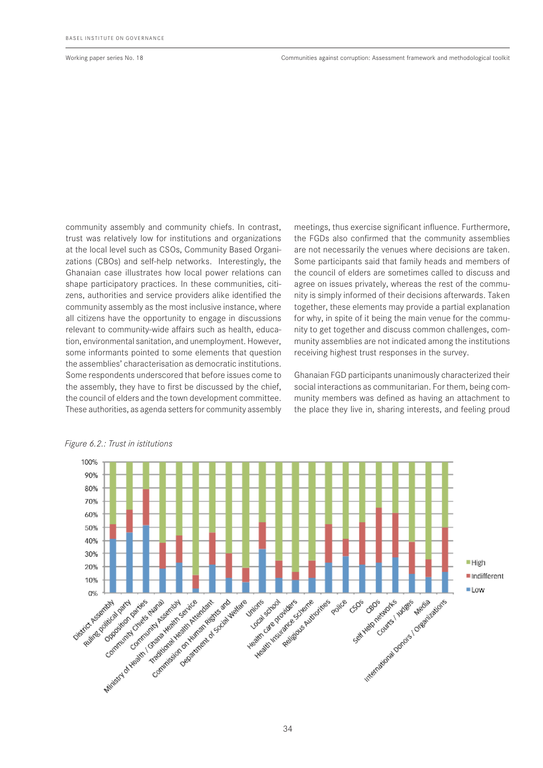Communities against corruption: Assessment framework and methodological toolkit

community assembly and community chiefs. In contrast, trust was relatively low for institutions and organizations at the local level such as CSOs, Community Based Organizations (CBOs) and self-help networks. Interestingly, the Ghanaian case illustrates how local power relations can shape participatory practices. In these communities, citizens, authorities and service providers alike identified the community assembly as the most inclusive instance, where all citizens have the opportunity to engage in discussions relevant to community-wide affairs such as health, education, environmental sanitation, and unemployment. However, some informants pointed to some elements that question the assemblies' characterisation as democratic institutions. Some respondents underscored that before issues come to the assembly, they have to first be discussed by the chief, the council of elders and the town development committee. These authorities, as agenda setters for community assembly

meetings, thus exercise significant influence. Furthermore, the FGDs also confirmed that the community assemblies are not necessarily the venues where decisions are taken. Some participants said that family heads and members of the council of elders are sometimes called to discuss and agree on issues privately, whereas the rest of the community is simply informed of their decisions afterwards. Taken together, these elements may provide a partial explanation for why, in spite of it being the main venue for the community to get together and discuss common challenges, community assemblies are not indicated among the institutions receiving highest trust responses in the survey.

Ghanaian FGD participants unanimously characterized their social interactions as communitarian. For them, being community members was defined as having an attachment to the place they live in, sharing interests, and feeling proud



#### *Figure 6.2.: Trust in istitutions*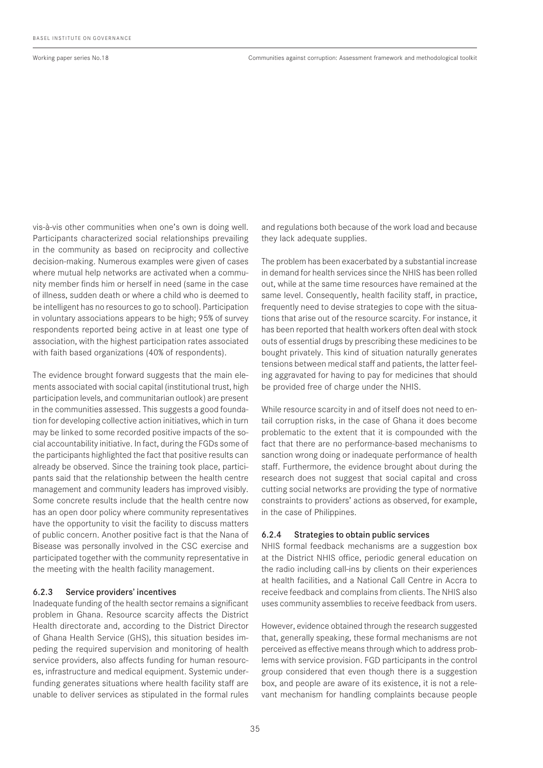Communities against corruption: Assessment framework and methodological toolkit

vis-à-vis other communities when one's own is doing well. Participants characterized social relationships prevailing in the community as based on reciprocity and collective decision-making. Numerous examples were given of cases where mutual help networks are activated when a community member finds him or herself in need (same in the case of illness, sudden death or where a child who is deemed to be intelligent has no resources to go to school). Participation in voluntary associations appears to be high; 95% of survey respondents reported being active in at least one type of association, with the highest participation rates associated with faith based organizations (40% of respondents).

The evidence brought forward suggests that the main elements associated with social capital (institutional trust, high participation levels, and communitarian outlook) are present in the communities assessed. This suggests a good foundation for developing collective action initiatives, which in turn may be linked to some recorded positive impacts of the social accountability initiative. In fact, during the FGDs some of the participants highlighted the fact that positive results can already be observed. Since the training took place, participants said that the relationship between the health centre management and community leaders has improved visibly. Some concrete results include that the health centre now has an open door policy where community representatives have the opportunity to visit the facility to discuss matters of public concern. Another positive fact is that the Nana of Bisease was personally involved in the CSC exercise and participated together with the community representative in the meeting with the health facility management.

### 6.2.3 Service providers' incentives

Inadequate funding of the health sector remains a significant problem in Ghana. Resource scarcity affects the District Health directorate and, according to the District Director of Ghana Health Service (GHS), this situation besides impeding the required supervision and monitoring of health service providers, also affects funding for human resources, infrastructure and medical equipment. Systemic underfunding generates situations where health facility staff are unable to deliver services as stipulated in the formal rules and regulations both because of the work load and because they lack adequate supplies.

The problem has been exacerbated by a substantial increase in demand for health services since the NHIS has been rolled out, while at the same time resources have remained at the same level. Consequently, health facility staff, in practice, frequently need to devise strategies to cope with the situations that arise out of the resource scarcity. For instance, it has been reported that health workers often deal with stock outs of essential drugs by prescribing these medicines to be bought privately. This kind of situation naturally generates tensions between medical staff and patients, the latter feeling aggravated for having to pay for medicines that should be provided free of charge under the NHIS.

While resource scarcity in and of itself does not need to entail corruption risks, in the case of Ghana it does become problematic to the extent that it is compounded with the fact that there are no performance-based mechanisms to sanction wrong doing or inadequate performance of health staff. Furthermore, the evidence brought about during the research does not suggest that social capital and cross cutting social networks are providing the type of normative constraints to providers' actions as observed, for example, in the case of Philippines.

### 6.2.4 Strategies to obtain public services

NHIS formal feedback mechanisms are a suggestion box at the District NHIS office, periodic general education on the radio including call-ins by clients on their experiences at health facilities, and a National Call Centre in Accra to receive feedback and complains from clients. The NHIS also uses community assemblies to receive feedback from users.

However, evidence obtained through the research suggested that, generally speaking, these formal mechanisms are not perceived as effective means through which to address problems with service provision. FGD participants in the control group considered that even though there is a suggestion box, and people are aware of its existence, it is not a relevant mechanism for handling complaints because people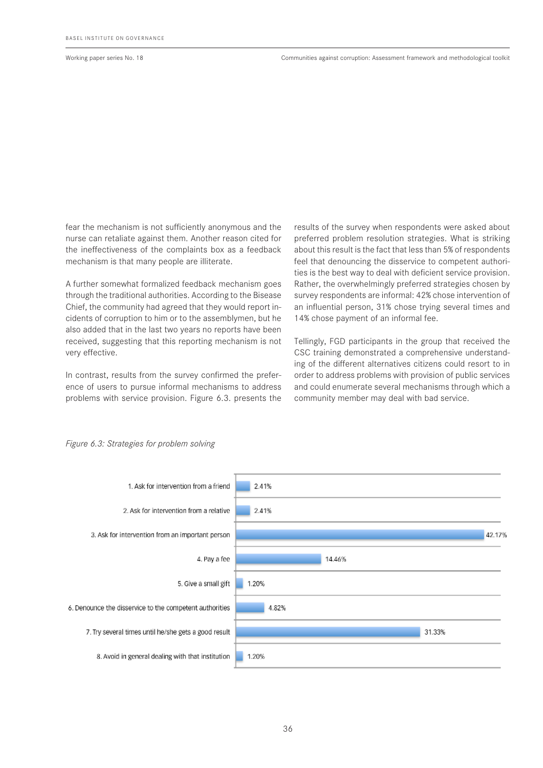fear the mechanism is not sufficiently anonymous and the nurse can retaliate against them. Another reason cited for the ineffectiveness of the complaints box as a feedback mechanism is that many people are illiterate.

A further somewhat formalized feedback mechanism goes through the traditional authorities. According to the Bisease Chief, the community had agreed that they would report incidents of corruption to him or to the assemblymen, but he also added that in the last two years no reports have been received, suggesting that this reporting mechanism is not very effective.

In contrast, results from the survey confirmed the preference of users to pursue informal mechanisms to address problems with service provision. Figure 6.3. presents the

results of the survey when respondents were asked about preferred problem resolution strategies. What is striking about this result is the fact that less than 5% of respondents feel that denouncing the disservice to competent authorities is the best way to deal with deficient service provision. Rather, the overwhelmingly preferred strategies chosen by survey respondents are informal: 42% chose intervention of an influential person, 31% chose trying several times and 14% chose payment of an informal fee.

Tellingly, FGD participants in the group that received the CSC training demonstrated a comprehensive understanding of the different alternatives citizens could resort to in order to address problems with provision of public services and could enumerate several mechanisms through which a community member may deal with bad service.



### *Figure 6.3: Strategies for problem solving*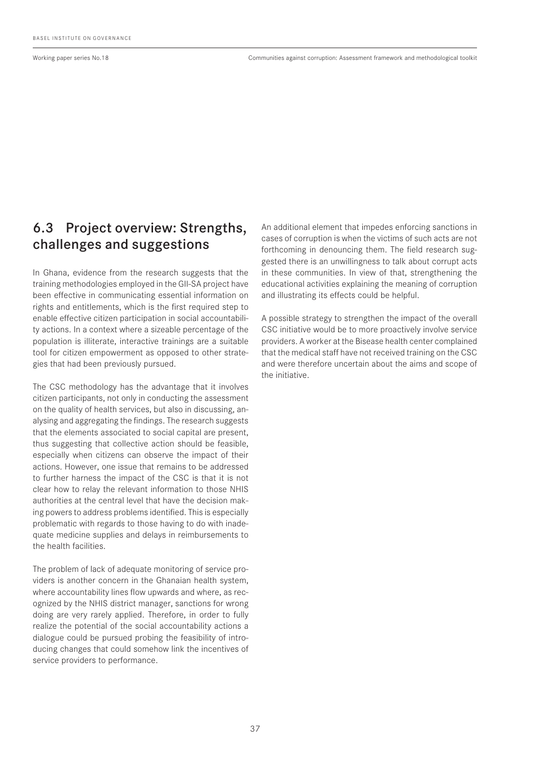# 6.3 Project overview: Strengths, challenges and suggestions

In Ghana, evidence from the research suggests that the training methodologies employed in the GII-SA project have been effective in communicating essential information on rights and entitlements, which is the first required step to enable effective citizen participation in social accountability actions. In a context where a sizeable percentage of the population is illiterate, interactive trainings are a suitable tool for citizen empowerment as opposed to other strategies that had been previously pursued.

The CSC methodology has the advantage that it involves citizen participants, not only in conducting the assessment on the quality of health services, but also in discussing, analysing and aggregating the findings. The research suggests that the elements associated to social capital are present, thus suggesting that collective action should be feasible, especially when citizens can observe the impact of their actions. However, one issue that remains to be addressed to further harness the impact of the CSC is that it is not clear how to relay the relevant information to those NHIS authorities at the central level that have the decision making powers to address problems identified. This is especially problematic with regards to those having to do with inadequate medicine supplies and delays in reimbursements to the health facilities.

The problem of lack of adequate monitoring of service providers is another concern in the Ghanaian health system, where accountability lines flow upwards and where, as recognized by the NHIS district manager, sanctions for wrong doing are very rarely applied. Therefore, in order to fully realize the potential of the social accountability actions a dialogue could be pursued probing the feasibility of introducing changes that could somehow link the incentives of service providers to performance.

An additional element that impedes enforcing sanctions in cases of corruption is when the victims of such acts are not forthcoming in denouncing them. The field research suggested there is an unwillingness to talk about corrupt acts in these communities. In view of that, strengthening the educational activities explaining the meaning of corruption and illustrating its effects could be helpful.

A possible strategy to strengthen the impact of the overall CSC initiative would be to more proactively involve service providers. A worker at the Bisease health center complained that the medical staff have not received training on the CSC and were therefore uncertain about the aims and scope of the initiative.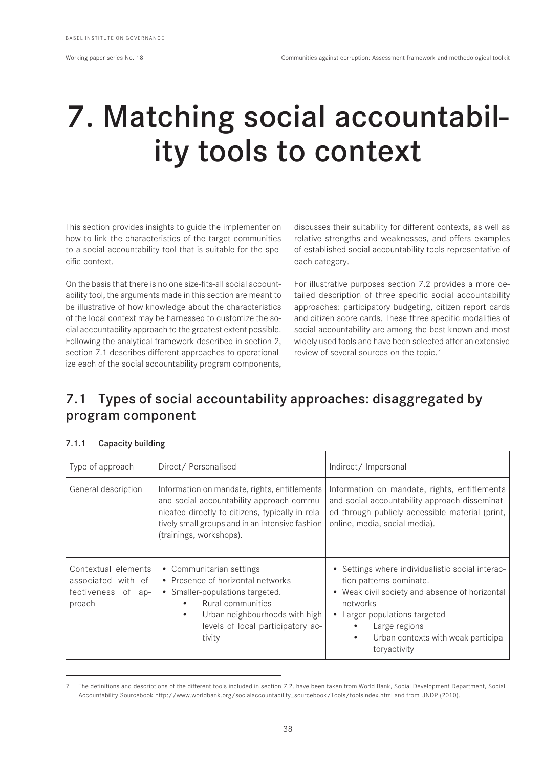# 7. Matching social accountability tools to context

This section provides insights to guide the implementer on how to link the characteristics of the target communities to a social accountability tool that is suitable for the specific context.

On the basis that there is no one size-fits-all social accountability tool, the arguments made in this section are meant to be illustrative of how knowledge about the characteristics of the local context may be harnessed to customize the social accountability approach to the greatest extent possible. Following the analytical framework described in section 2, section 7.1 describes different approaches to operationalize each of the social accountability program components,

discusses their suitability for different contexts, as well as relative strengths and weaknesses, and offers examples of established social accountability tools representative of each category.

For illustrative purposes section 7.2 provides a more detailed description of three specific social accountability approaches: participatory budgeting, citizen report cards and citizen score cards. These three specific modalities of social accountability are among the best known and most widely used tools and have been selected after an extensive review of several sources on the topic.7

# 7.1 Types of social accountability approaches: disaggregated by program component

| .<br><b>Propriety Manufacture</b>                                          |                                                                                                                                                                                                                             |                                                                                                                                                                                                                                                                                       |
|----------------------------------------------------------------------------|-----------------------------------------------------------------------------------------------------------------------------------------------------------------------------------------------------------------------------|---------------------------------------------------------------------------------------------------------------------------------------------------------------------------------------------------------------------------------------------------------------------------------------|
| Type of approach                                                           | Direct/Personalised                                                                                                                                                                                                         | Indirect/Impersonal                                                                                                                                                                                                                                                                   |
| General description                                                        | Information on mandate, rights, entitlements<br>and social accountability approach commu-<br>nicated directly to citizens, typically in rela-<br>tively small groups and in an intensive fashion<br>(trainings, workshops). | Information on mandate, rights, entitlements<br>and social accountability approach disseminat-<br>ed through publicly accessible material (print,<br>online, media, social media).                                                                                                    |
| Contextual elements<br>associated with ef-<br>fectiveness of ap-<br>proach | • Communitarian settings<br>• Presence of horizontal networks<br>• Smaller-populations targeted.<br>Rural communities<br>Urban neighbourhoods with high<br>$\bullet$<br>levels of local participatory ac-<br>tivity         | • Settings where individualistic social interac-<br>tion patterns dominate.<br>Weak civil society and absence of horizontal<br>$\bullet$<br>networks<br>Larger-populations targeted<br>$\bullet$<br>Large regions<br>Urban contexts with weak participa-<br>$\bullet$<br>toryactivity |

# 7.1.1 Capacity building

The definitions and descriptions of the different tools included in section 7.2. have been taken from World Bank, Social Development Department, Social Accountability Sourcebook http://www.worldbank.org/socialaccountability\_sourcebook/Tools/toolsindex.html and from UNDP (2010).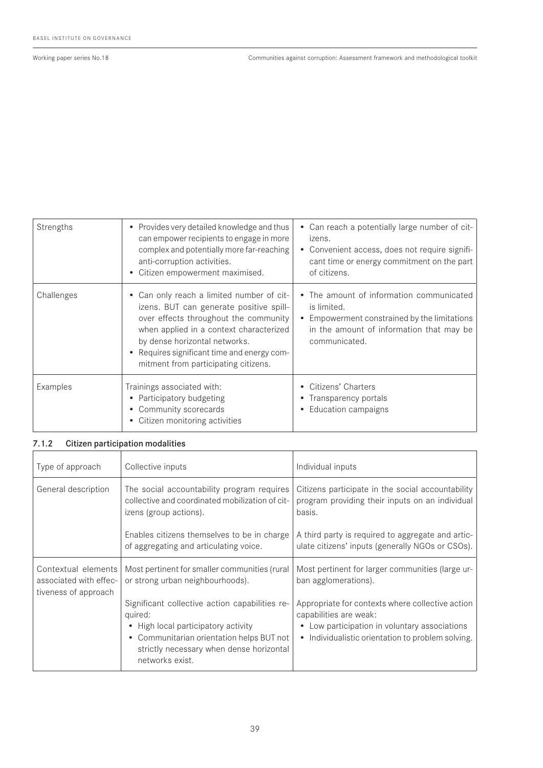Communities against corruption: Assessment framework and methodological toolkit

| Strengths  | Provides very detailed knowledge and thus<br>can empower recipients to engage in more<br>complex and potentially more far-reaching<br>anti-corruption activities.<br>Citizen empowerment maximised.                                                                                            | • Can reach a potentially large number of cit-<br>izens.<br>Convenient access, does not require signifi-<br>cant time or energy commitment on the part<br>of citizens. |
|------------|------------------------------------------------------------------------------------------------------------------------------------------------------------------------------------------------------------------------------------------------------------------------------------------------|------------------------------------------------------------------------------------------------------------------------------------------------------------------------|
| Challenges | • Can only reach a limited number of cit-<br>izens. BUT can generate positive spill-<br>over effects throughout the community<br>when applied in a context characterized<br>by dense horizontal networks.<br>Requires significant time and energy com-<br>mitment from participating citizens. | The amount of information communicated<br>is limited.<br>Empowerment constrained by the limitations<br>in the amount of information that may be<br>communicated.       |
| Examples   | Trainings associated with:<br>• Participatory budgeting<br>• Community scorecards<br>Citizen monitoring activities                                                                                                                                                                             | Citizens' Charters<br>٠<br>• Transparency portals<br>Education campaigns<br>٠                                                                                          |

# 7.1.2 Citizen participation modalities

| Type of approach                                                      | Collective inputs                                                                                                                                                                                            | Individual inputs                                                                                                                                                                |
|-----------------------------------------------------------------------|--------------------------------------------------------------------------------------------------------------------------------------------------------------------------------------------------------------|----------------------------------------------------------------------------------------------------------------------------------------------------------------------------------|
| General description                                                   | The social accountability program requires<br>collective and coordinated mobilization of cit-<br>izens (group actions).                                                                                      | Citizens participate in the social accountability<br>program providing their inputs on an individual<br>basis.                                                                   |
|                                                                       | Enables citizens themselves to be in charge<br>of aggregating and articulating voice.                                                                                                                        | A third party is required to aggregate and artic-<br>ulate citizens' inputs (generally NGOs or CSOs).                                                                            |
| Contextual elements<br>associated with effec-<br>tiveness of approach | Most pertinent for smaller communities (rural<br>or strong urban neighbourhoods).                                                                                                                            | Most pertinent for larger communities (large ur-<br>ban agglomerations).                                                                                                         |
|                                                                       | Significant collective action capabilities re-<br>quired:<br>• High local participatory activity<br>• Communitarian orientation helps BUT not<br>strictly necessary when dense horizontal<br>networks exist. | Appropriate for contexts where collective action<br>capabilities are weak:<br>• Low participation in voluntary associations<br>• Individualistic orientation to problem solving. |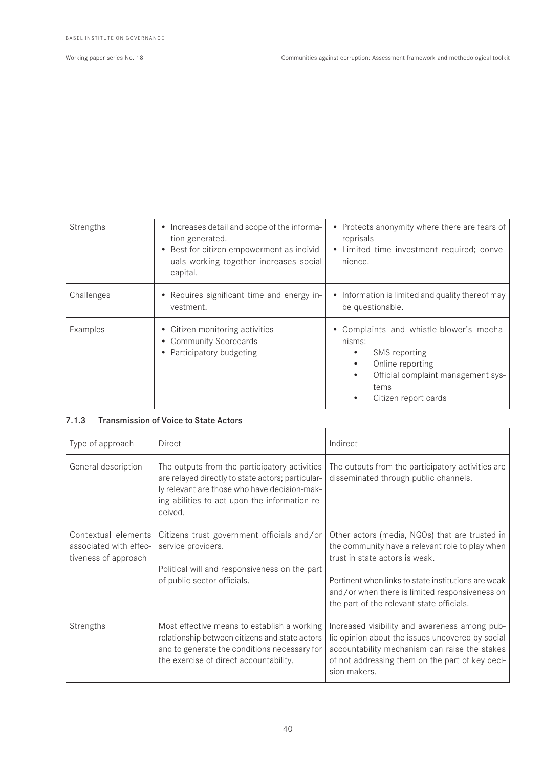Communities against corruption: Assessment framework and methodological toolkit

| Strengths  | • Increases detail and scope of the informa-<br>tion generated.<br>• Best for citizen empowerment as individ-<br>uals working together increases social<br>capital. | • Protects anonymity where there are fears of<br>reprisals<br>• Limited time investment required; conve-<br>nience.                                                             |
|------------|---------------------------------------------------------------------------------------------------------------------------------------------------------------------|---------------------------------------------------------------------------------------------------------------------------------------------------------------------------------|
| Challenges | • Requires significant time and energy in-<br>vestment.                                                                                                             | • Information is limited and quality thereof may<br>be questionable.                                                                                                            |
| Examples   | • Citizen monitoring activities<br>• Community Scorecards<br>• Participatory budgeting                                                                              | • Complaints and whistle-blower's mecha-<br>nisms:<br>SMS reporting<br>Online reporting<br>٠<br>Official complaint management sys-<br>$\bullet$<br>tems<br>Citizen report cards |

# 7.1.3 Transmission of Voice to State Actors

| Type of approach                                                      | Direct                                                                                                                                                                                                         | Indirect                                                                                                                                                                                                                                                                                  |
|-----------------------------------------------------------------------|----------------------------------------------------------------------------------------------------------------------------------------------------------------------------------------------------------------|-------------------------------------------------------------------------------------------------------------------------------------------------------------------------------------------------------------------------------------------------------------------------------------------|
| General description                                                   | The outputs from the participatory activities<br>are relayed directly to state actors; particular-<br>ly relevant are those who have decision-mak-<br>ing abilities to act upon the information re-<br>ceived. | The outputs from the participatory activities are<br>disseminated through public channels.                                                                                                                                                                                                |
| Contextual elements<br>associated with effec-<br>tiveness of approach | Citizens trust government officials and/or<br>service providers.<br>Political will and responsiveness on the part<br>of public sector officials.                                                               | Other actors (media, NGOs) that are trusted in<br>the community have a relevant role to play when<br>trust in state actors is weak.<br>Pertinent when links to state institutions are weak<br>and/or when there is limited responsiveness on<br>the part of the relevant state officials. |
| Strengths                                                             | Most effective means to establish a working<br>relationship between citizens and state actors<br>and to generate the conditions necessary for<br>the exercise of direct accountability.                        | Increased visibility and awareness among pub-<br>lic opinion about the issues uncovered by social<br>accountability mechanism can raise the stakes<br>of not addressing them on the part of key deci-<br>sion makers.                                                                     |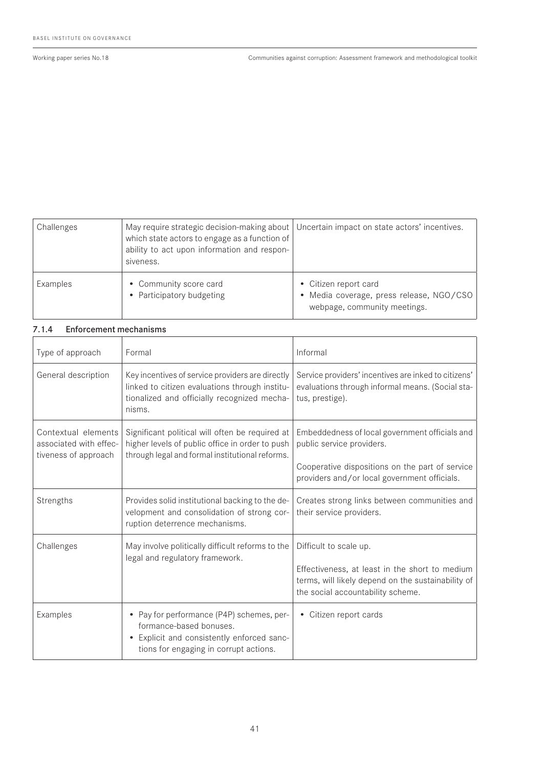Communities against corruption: Assessment framework and methodological toolkit

| Challenges | which state actors to engage as a function of<br>ability to act upon information and respon-<br>siveness. | May require strategic decision-making about   Uncertain impact on state actors' incentives.                  |
|------------|-----------------------------------------------------------------------------------------------------------|--------------------------------------------------------------------------------------------------------------|
| Examples   | • Community score card<br>• Participatory budgeting                                                       | • Citizen report card<br>Media coverage, press release, NGO/CSO<br>$\bullet$<br>webpage, community meetings. |

# 7.1.4 Enforcement mechanisms

| Type of approach                                                      | Formal                                                                                                                                                      | Informal                                                                                                                                                                       |
|-----------------------------------------------------------------------|-------------------------------------------------------------------------------------------------------------------------------------------------------------|--------------------------------------------------------------------------------------------------------------------------------------------------------------------------------|
| General description                                                   | Key incentives of service providers are directly<br>linked to citizen evaluations through institu-<br>tionalized and officially recognized mecha-<br>nisms. | Service providers' incentives are inked to citizens'<br>evaluations through informal means. (Social sta-<br>tus, prestige).                                                    |
| Contextual elements<br>associated with effec-<br>tiveness of approach | Significant political will often be required at<br>higher levels of public office in order to push<br>through legal and formal institutional reforms.       | Embeddedness of local government officials and<br>public service providers.<br>Cooperative dispositions on the part of service<br>providers and/or local government officials. |
| Strengths                                                             | Provides solid institutional backing to the de-<br>velopment and consolidation of strong cor-<br>ruption deterrence mechanisms.                             | Creates strong links between communities and<br>their service providers.                                                                                                       |
| Challenges                                                            | May involve politically difficult reforms to the<br>legal and regulatory framework.                                                                         | Difficult to scale up.<br>Effectiveness, at least in the short to medium<br>terms, will likely depend on the sustainability of<br>the social accountability scheme.            |
| Examples                                                              | • Pay for performance (P4P) schemes, per-<br>formance-based bonuses.<br>Explicit and consistently enforced sanc-<br>tions for engaging in corrupt actions.  | Citizen report cards<br>$\bullet$                                                                                                                                              |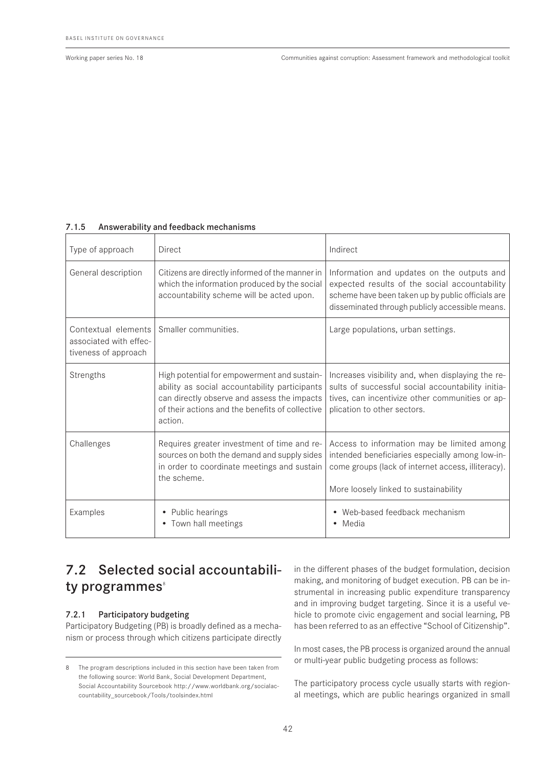Communities against corruption: Assessment framework and methodological toolkit

# 7.1.5 Answerability and feedback mechanisms

| Type of approach                                                      | Direct                                                                                                                                                                                                    | Indirect                                                                                                                                                                                            |
|-----------------------------------------------------------------------|-----------------------------------------------------------------------------------------------------------------------------------------------------------------------------------------------------------|-----------------------------------------------------------------------------------------------------------------------------------------------------------------------------------------------------|
| General description                                                   | Citizens are directly informed of the manner in<br>which the information produced by the social<br>accountability scheme will be acted upon.                                                              | Information and updates on the outputs and<br>expected results of the social accountability<br>scheme have been taken up by public officials are<br>disseminated through publicly accessible means. |
| Contextual elements<br>associated with effec-<br>tiveness of approach | Smaller communities.                                                                                                                                                                                      | Large populations, urban settings.                                                                                                                                                                  |
| Strengths                                                             | High potential for empowerment and sustain-<br>ability as social accountability participants<br>can directly observe and assess the impacts<br>of their actions and the benefits of collective<br>action. | Increases visibility and, when displaying the re-<br>sults of successful social accountability initia-<br>tives, can incentivize other communities or ap-<br>plication to other sectors.            |
| Challenges                                                            | Requires greater investment of time and re-<br>sources on both the demand and supply sides<br>in order to coordinate meetings and sustain<br>the scheme.                                                  | Access to information may be limited among<br>intended beneficiaries especially among low-in-<br>come groups (lack of internet access, illiteracy).<br>More loosely linked to sustainability        |
| Examples                                                              | • Public hearings<br>• Town hall meetings                                                                                                                                                                 | Web-based feedback mechanism<br>Media<br>$\bullet$                                                                                                                                                  |

# 7.2 Selected social accountability programmes<sup>®</sup>

# 7.2.1 Participatory budgeting

Participatory Budgeting (PB) is broadly defined as a mechanism or process through which citizens participate directly in the different phases of the budget formulation, decision making, and monitoring of budget execution. PB can be instrumental in increasing public expenditure transparency and in improving budget targeting. Since it is a useful vehicle to promote civic engagement and social learning, PB has been referred to as an effective "School of Citizenship".

In most cases, the PB process is organized around the annual or multi-year public budgeting process as follows:

The participatory process cycle usually starts with regional meetings, which are public hearings organized in small

<sup>8</sup> The program descriptions included in this section have been taken from the following source: World Bank, Social Development Department, Social Accountability Sourcebook http://www.worldbank.org/socialaccountability\_sourcebook/Tools/toolsindex.html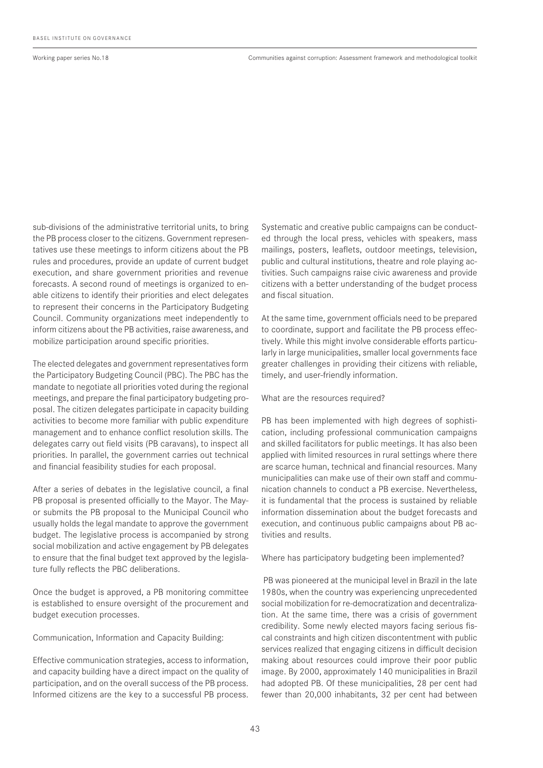Communities against corruption: Assessment framework and methodological toolkit

sub-divisions of the administrative territorial units, to bring the PB process closer to the citizens. Government representatives use these meetings to inform citizens about the PB rules and procedures, provide an update of current budget execution, and share government priorities and revenue forecasts. A second round of meetings is organized to enable citizens to identify their priorities and elect delegates to represent their concerns in the Participatory Budgeting Council. Community organizations meet independently to inform citizens about the PB activities, raise awareness, and mobilize participation around specific priorities.

The elected delegates and government representatives form the Participatory Budgeting Council (PBC). The PBC has the mandate to negotiate all priorities voted during the regional meetings, and prepare the final participatory budgeting proposal. The citizen delegates participate in capacity building activities to become more familiar with public expenditure management and to enhance conflict resolution skills. The delegates carry out field visits (PB caravans), to inspect all priorities. In parallel, the government carries out technical and financial feasibility studies for each proposal.

After a series of debates in the legislative council, a final PB proposal is presented officially to the Mayor. The Mayor submits the PB proposal to the Municipal Council who usually holds the legal mandate to approve the government budget. The legislative process is accompanied by strong social mobilization and active engagement by PB delegates to ensure that the final budget text approved by the legislature fully reflects the PBC deliberations.

Once the budget is approved, a PB monitoring committee is established to ensure oversight of the procurement and budget execution processes.

Communication, Information and Capacity Building:

Effective communication strategies, access to information, and capacity building have a direct impact on the quality of participation, and on the overall success of the PB process. Informed citizens are the key to a successful PB process. Systematic and creative public campaigns can be conducted through the local press, vehicles with speakers, mass mailings, posters, leaflets, outdoor meetings, television, public and cultural institutions, theatre and role playing activities. Such campaigns raise civic awareness and provide citizens with a better understanding of the budget process and fiscal situation.

At the same time, government officials need to be prepared to coordinate, support and facilitate the PB process effectively. While this might involve considerable efforts particularly in large municipalities, smaller local governments face greater challenges in providing their citizens with reliable, timely, and user-friendly information.

#### What are the resources required?

PB has been implemented with high degrees of sophistication, including professional communication campaigns and skilled facilitators for public meetings. It has also been applied with limited resources in rural settings where there are scarce human, technical and financial resources. Many municipalities can make use of their own staff and communication channels to conduct a PB exercise. Nevertheless, it is fundamental that the process is sustained by reliable information dissemination about the budget forecasts and execution, and continuous public campaigns about PB activities and results.

Where has participatory budgeting been implemented?

 PB was pioneered at the municipal level in Brazil in the late 1980s, when the country was experiencing unprecedented social mobilization for re-democratization and decentralization. At the same time, there was a crisis of government credibility. Some newly elected mayors facing serious fiscal constraints and high citizen discontentment with public services realized that engaging citizens in difficult decision making about resources could improve their poor public image. By 2000, approximately 140 municipalities in Brazil had adopted PB. Of these municipalities, 28 per cent had fewer than 20,000 inhabitants, 32 per cent had between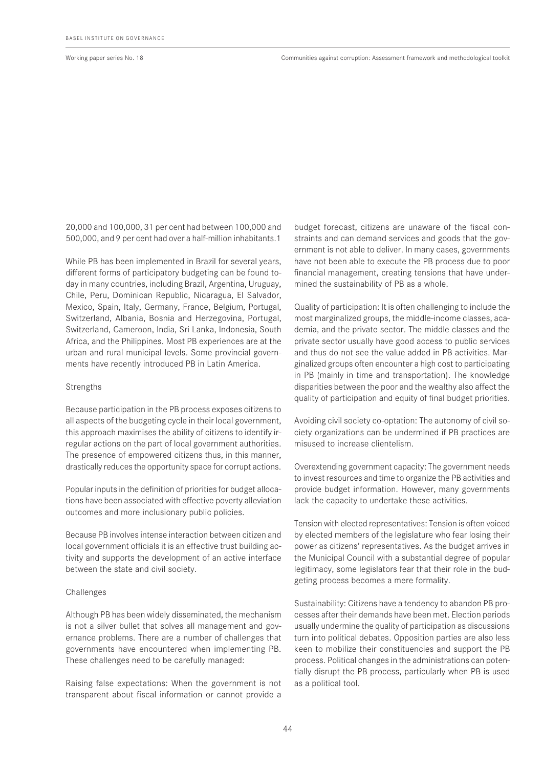Communities against corruption: Assessment framework and methodological toolkit

20,000 and 100,000, 31 per cent had between 100,000 and 500,000, and 9 per cent had over a half-million inhabitants.1

While PB has been implemented in Brazil for several years, different forms of participatory budgeting can be found today in many countries, including Brazil, Argentina, Uruguay, Chile, Peru, Dominican Republic, Nicaragua, El Salvador, Mexico, Spain, Italy, Germany, France, Belgium, Portugal, Switzerland, Albania, Bosnia and Herzegovina, Portugal, Switzerland, Cameroon, India, Sri Lanka, Indonesia, South Africa, and the Philippines. Most PB experiences are at the urban and rural municipal levels. Some provincial governments have recently introduced PB in Latin America.

#### Strengths

Because participation in the PB process exposes citizens to all aspects of the budgeting cycle in their local government, this approach maximises the ability of citizens to identify irregular actions on the part of local government authorities. The presence of empowered citizens thus, in this manner, drastically reduces the opportunity space for corrupt actions.

Popular inputs in the definition of priorities for budget allocations have been associated with effective poverty alleviation outcomes and more inclusionary public policies.

Because PB involves intense interaction between citizen and local government officials it is an effective trust building activity and supports the development of an active interface between the state and civil society.

#### Challenges

Although PB has been widely disseminated, the mechanism is not a silver bullet that solves all management and governance problems. There are a number of challenges that governments have encountered when implementing PB. These challenges need to be carefully managed:

Raising false expectations: When the government is not transparent about fiscal information or cannot provide a budget forecast, citizens are unaware of the fiscal constraints and can demand services and goods that the government is not able to deliver. In many cases, governments have not been able to execute the PB process due to poor financial management, creating tensions that have undermined the sustainability of PB as a whole.

Quality of participation: It is often challenging to include the most marginalized groups, the middle-income classes, academia, and the private sector. The middle classes and the private sector usually have good access to public services and thus do not see the value added in PB activities. Marginalized groups often encounter a high cost to participating in PB (mainly in time and transportation). The knowledge disparities between the poor and the wealthy also affect the quality of participation and equity of final budget priorities.

Avoiding civil society co-optation: The autonomy of civil society organizations can be undermined if PB practices are misused to increase clientelism.

Overextending government capacity: The government needs to invest resources and time to organize the PB activities and provide budget information. However, many governments lack the capacity to undertake these activities.

Tension with elected representatives: Tension is often voiced by elected members of the legislature who fear losing their power as citizens' representatives. As the budget arrives in the Municipal Council with a substantial degree of popular legitimacy, some legislators fear that their role in the budgeting process becomes a mere formality.

Sustainability: Citizens have a tendency to abandon PB processes after their demands have been met. Election periods usually undermine the quality of participation as discussions turn into political debates. Opposition parties are also less keen to mobilize their constituencies and support the PB process. Political changes in the administrations can potentially disrupt the PB process, particularly when PB is used as a political tool.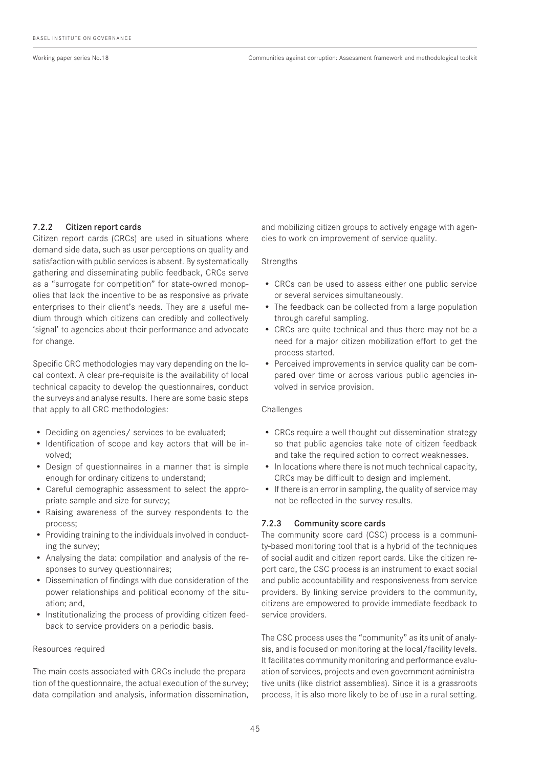# 7.2.2 Citizen report cards

Citizen report cards (CRCs) are used in situations where demand side data, such as user perceptions on quality and satisfaction with public services is absent. By systematically gathering and disseminating public feedback, CRCs serve as a "surrogate for competition" for state-owned monopolies that lack the incentive to be as responsive as private enterprises to their client's needs. They are a useful medium through which citizens can credibly and collectively 'signal' to agencies about their performance and advocate for change.

Specific CRC methodologies may vary depending on the local context. A clear pre-requisite is the availability of local technical capacity to develop the questionnaires, conduct the surveys and analyse results. There are some basic steps that apply to all CRC methodologies:

- Deciding on agencies/ services to be evaluated;
- Identification of scope and key actors that will be involved;
- Design of questionnaires in a manner that is simple enough for ordinary citizens to understand;
- Careful demographic assessment to select the appropriate sample and size for survey;
- Raising awareness of the survey respondents to the process;
- Providing training to the individuals involved in conducting the survey;
- Analysing the data: compilation and analysis of the responses to survey questionnaires;
- Dissemination of findings with due consideration of the power relationships and political economy of the situation; and,
- Institutionalizing the process of providing citizen feedback to service providers on a periodic basis.

#### Resources required

The main costs associated with CRCs include the preparation of the questionnaire, the actual execution of the survey; data compilation and analysis, information dissemination, and mobilizing citizen groups to actively engage with agencies to work on improvement of service quality.

#### **Strengths**

- CRCs can be used to assess either one public service or several services simultaneously.
- The feedback can be collected from a large population through careful sampling.
- CRCs are quite technical and thus there may not be a need for a major citizen mobilization effort to get the process started.
- Perceived improvements in service quality can be compared over time or across various public agencies involved in service provision.

#### **Challenges**

- CRCs require a well thought out dissemination strategy so that public agencies take note of citizen feedback and take the required action to correct weaknesses.
- In locations where there is not much technical capacity, CRCs may be difficult to design and implement.
- If there is an error in sampling, the quality of service may not be reflected in the survey results.

#### 7.2.3 Community score cards

The community score card (CSC) process is a community-based monitoring tool that is a hybrid of the techniques of social audit and citizen report cards. Like the citizen report card, the CSC process is an instrument to exact social and public accountability and responsiveness from service providers. By linking service providers to the community, citizens are empowered to provide immediate feedback to service providers.

The CSC process uses the "community" as its unit of analysis, and is focused on monitoring at the local/facility levels. It facilitates community monitoring and performance evaluation of services, projects and even government administrative units (like district assemblies). Since it is a grassroots process, it is also more likely to be of use in a rural setting.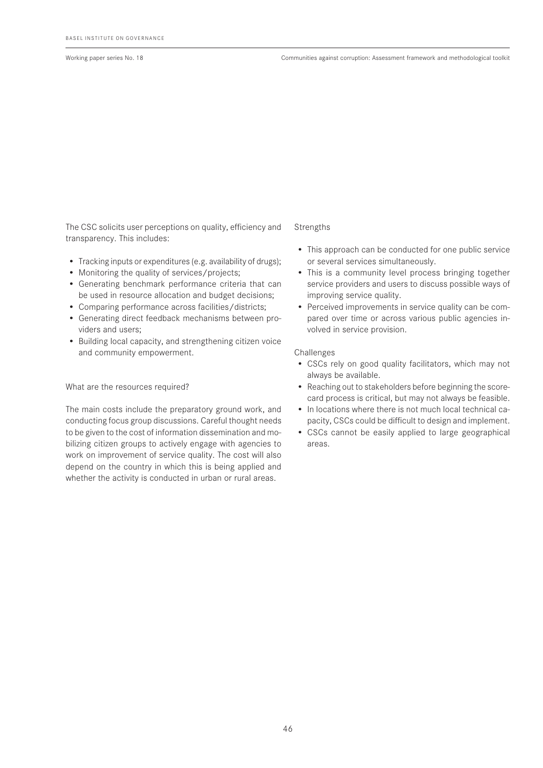Communities against corruption: Assessment framework and methodological toolkit

The CSC solicits user perceptions on quality, efficiency and transparency. This includes:

- Tracking inputs or expenditures (e.g. availability of drugs);
- Monitoring the quality of services/projects;
- Generating benchmark performance criteria that can be used in resource allocation and budget decisions;
- Comparing performance across facilities/districts;
- Generating direct feedback mechanisms between providers and users;
- Building local capacity, and strengthening citizen voice and community empowerment.

## What are the resources required?

The main costs include the preparatory ground work, and conducting focus group discussions. Careful thought needs to be given to the cost of information dissemination and mobilizing citizen groups to actively engage with agencies to work on improvement of service quality. The cost will also depend on the country in which this is being applied and whether the activity is conducted in urban or rural areas.

#### **Strengths**

- This approach can be conducted for one public service or several services simultaneously.
- This is a community level process bringing together service providers and users to discuss possible ways of improving service quality.
- Perceived improvements in service quality can be compared over time or across various public agencies involved in service provision.

#### Challenges

- CSCs rely on good quality facilitators, which may not always be available.
- Reaching out to stakeholders before beginning the scorecard process is critical, but may not always be feasible.
- In locations where there is not much local technical capacity, CSCs could be difficult to design and implement.
- CSCs cannot be easily applied to large geographical areas.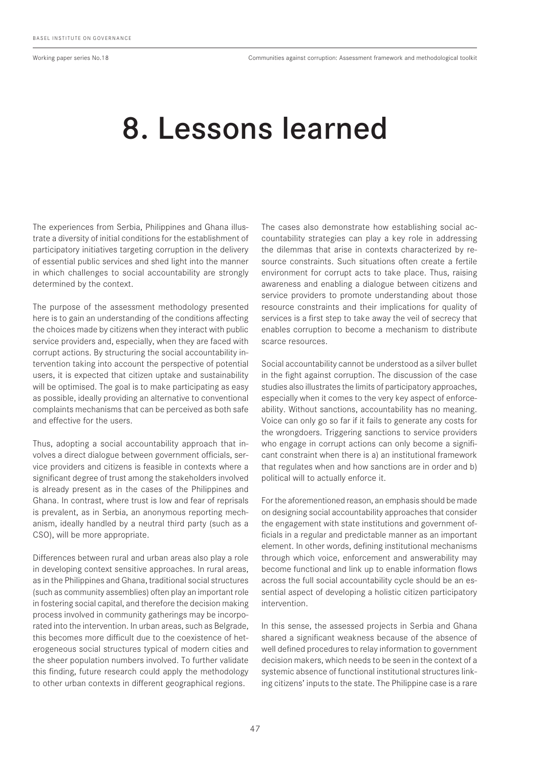# 8. Lessons learned

The experiences from Serbia, Philippines and Ghana illustrate a diversity of initial conditions for the establishment of participatory initiatives targeting corruption in the delivery of essential public services and shed light into the manner in which challenges to social accountability are strongly determined by the context.

The purpose of the assessment methodology presented here is to gain an understanding of the conditions affecting the choices made by citizens when they interact with public service providers and, especially, when they are faced with corrupt actions. By structuring the social accountability intervention taking into account the perspective of potential users, it is expected that citizen uptake and sustainability will be optimised. The goal is to make participating as easy as possible, ideally providing an alternative to conventional complaints mechanisms that can be perceived as both safe and effective for the users.

Thus, adopting a social accountability approach that involves a direct dialogue between government officials, service providers and citizens is feasible in contexts where a significant degree of trust among the stakeholders involved is already present as in the cases of the Philippines and Ghana. In contrast, where trust is low and fear of reprisals is prevalent, as in Serbia, an anonymous reporting mechanism, ideally handled by a neutral third party (such as a CSO), will be more appropriate.

Differences between rural and urban areas also play a role in developing context sensitive approaches. In rural areas, as in the Philippines and Ghana, traditional social structures (such as community assemblies) often play an important role in fostering social capital, and therefore the decision making process involved in community gatherings may be incorporated into the intervention. In urban areas, such as Belgrade, this becomes more difficult due to the coexistence of heterogeneous social structures typical of modern cities and the sheer population numbers involved. To further validate this finding, future research could apply the methodology to other urban contexts in different geographical regions.

The cases also demonstrate how establishing social accountability strategies can play a key role in addressing the dilemmas that arise in contexts characterized by resource constraints. Such situations often create a fertile environment for corrupt acts to take place. Thus, raising awareness and enabling a dialogue between citizens and service providers to promote understanding about those resource constraints and their implications for quality of services is a first step to take away the veil of secrecy that enables corruption to become a mechanism to distribute scarce resources.

Social accountability cannot be understood as a silver bullet in the fight against corruption. The discussion of the case studies also illustrates the limits of participatory approaches, especially when it comes to the very key aspect of enforceability. Without sanctions, accountability has no meaning. Voice can only go so far if it fails to generate any costs for the wrongdoers. Triggering sanctions to service providers who engage in corrupt actions can only become a significant constraint when there is a) an institutional framework that regulates when and how sanctions are in order and b) political will to actually enforce it.

For the aforementioned reason, an emphasis should be made on designing social accountability approaches that consider the engagement with state institutions and government officials in a regular and predictable manner as an important element. In other words, defining institutional mechanisms through which voice, enforcement and answerability may become functional and link up to enable information flows across the full social accountability cycle should be an essential aspect of developing a holistic citizen participatory intervention.

In this sense, the assessed projects in Serbia and Ghana shared a significant weakness because of the absence of well defined procedures to relay information to government decision makers, which needs to be seen in the context of a systemic absence of functional institutional structures linking citizens' inputs to the state. The Philippine case is a rare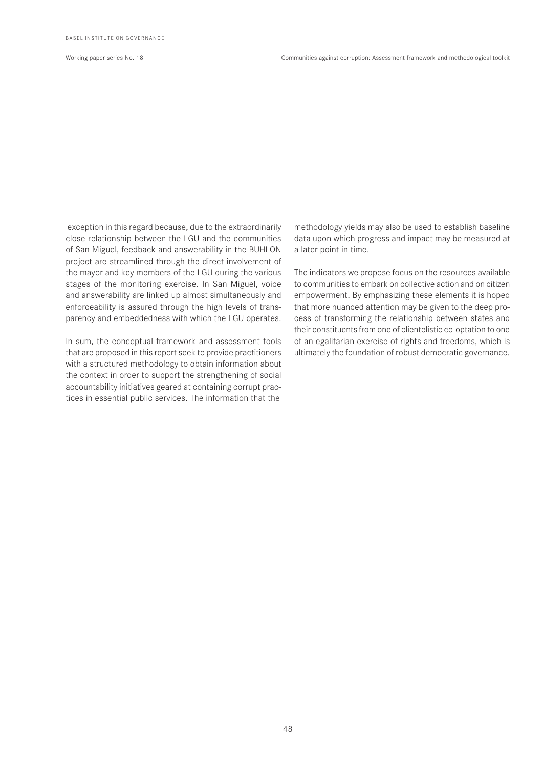Communities against corruption: Assessment framework and methodological toolkit

 exception in this regard because, due to the extraordinarily close relationship between the LGU and the communities of San Miguel, feedback and answerability in the BUHLON project are streamlined through the direct involvement of the mayor and key members of the LGU during the various stages of the monitoring exercise. In San Miguel, voice and answerability are linked up almost simultaneously and enforceability is assured through the high levels of transparency and embeddedness with which the LGU operates.

In sum, the conceptual framework and assessment tools that are proposed in this report seek to provide practitioners with a structured methodology to obtain information about the context in order to support the strengthening of social accountability initiatives geared at containing corrupt practices in essential public services. The information that the

methodology yields may also be used to establish baseline data upon which progress and impact may be measured at a later point in time.

The indicators we propose focus on the resources available to communities to embark on collective action and on citizen empowerment. By emphasizing these elements it is hoped that more nuanced attention may be given to the deep process of transforming the relationship between states and their constituents from one of clientelistic co-optation to one of an egalitarian exercise of rights and freedoms, which is ultimately the foundation of robust democratic governance.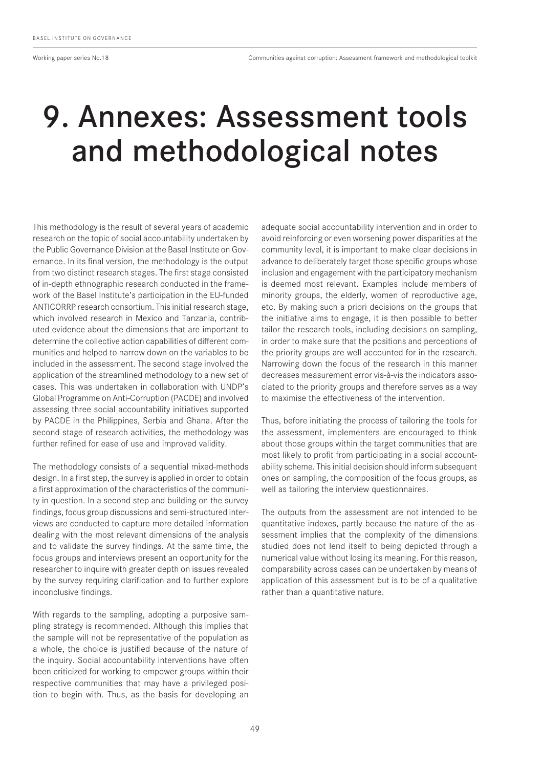# 9. Annexes: Assessment tools and methodological notes

This methodology is the result of several years of academic research on the topic of social accountability undertaken by the Public Governance Division at the Basel Institute on Governance. In its final version, the methodology is the output from two distinct research stages. The first stage consisted of in-depth ethnographic research conducted in the framework of the Basel Institute's participation in the EU-funded ANTICORRP research consortium. This initial research stage, which involved research in Mexico and Tanzania, contributed evidence about the dimensions that are important to determine the collective action capabilities of different communities and helped to narrow down on the variables to be included in the assessment. The second stage involved the application of the streamlined methodology to a new set of cases. This was undertaken in collaboration with UNDP's Global Programme on Anti-Corruption (PACDE) and involved assessing three social accountability initiatives supported by PACDE in the Philippines, Serbia and Ghana. After the second stage of research activities, the methodology was further refined for ease of use and improved validity.

The methodology consists of a sequential mixed-methods design. In a first step, the survey is applied in order to obtain a first approximation of the characteristics of the community in question. In a second step and building on the survey findings, focus group discussions and semi-structured interviews are conducted to capture more detailed information dealing with the most relevant dimensions of the analysis and to validate the survey findings. At the same time, the focus groups and interviews present an opportunity for the researcher to inquire with greater depth on issues revealed by the survey requiring clarification and to further explore inconclusive findings.

With regards to the sampling, adopting a purposive sampling strategy is recommended. Although this implies that the sample will not be representative of the population as a whole, the choice is justified because of the nature of the inquiry. Social accountability interventions have often been criticized for working to empower groups within their respective communities that may have a privileged position to begin with. Thus, as the basis for developing an adequate social accountability intervention and in order to avoid reinforcing or even worsening power disparities at the community level, it is important to make clear decisions in advance to deliberately target those specific groups whose inclusion and engagement with the participatory mechanism is deemed most relevant. Examples include members of minority groups, the elderly, women of reproductive age, etc. By making such a priori decisions on the groups that the initiative aims to engage, it is then possible to better tailor the research tools, including decisions on sampling, in order to make sure that the positions and perceptions of the priority groups are well accounted for in the research. Narrowing down the focus of the research in this manner decreases measurement error vis-à-vis the indicators associated to the priority groups and therefore serves as a way to maximise the effectiveness of the intervention.

Thus, before initiating the process of tailoring the tools for the assessment, implementers are encouraged to think about those groups within the target communities that are most likely to profit from participating in a social accountability scheme. This initial decision should inform subsequent ones on sampling, the composition of the focus groups, as well as tailoring the interview questionnaires.

The outputs from the assessment are not intended to be quantitative indexes, partly because the nature of the assessment implies that the complexity of the dimensions studied does not lend itself to being depicted through a numerical value without losing its meaning. For this reason, comparability across cases can be undertaken by means of application of this assessment but is to be of a qualitative rather than a quantitative nature.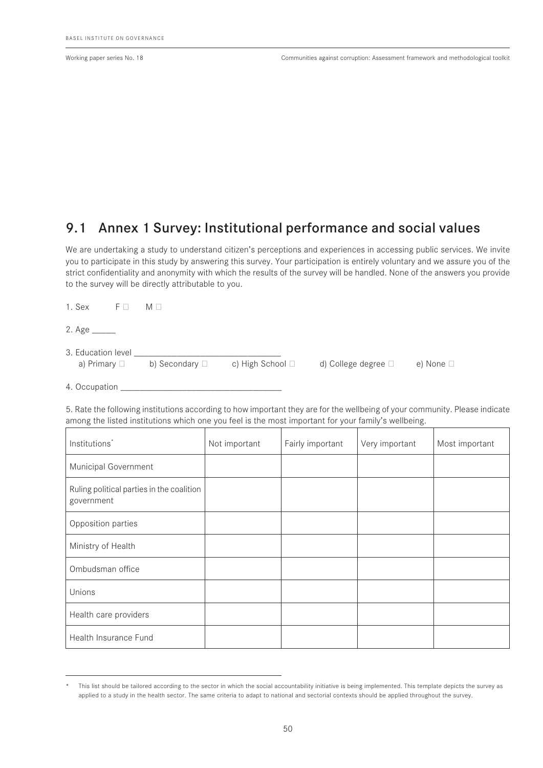Communities against corruption: Assessment framework and methodological toolkit

# 9.1 Annex 1 Survey: Institutional performance and social values

We are undertaking a study to understand citizen's perceptions and experiences in accessing public services. We invite you to participate in this study by answering this survey. Your participation is entirely voluntary and we assure you of the strict confidentiality and anonymity with which the results of the survey will be handled. None of the answers you provide to the survey will be directly attributable to you.

1. Sex  $F \sqcap$   $M \sqcap$ 

- 2. Age \_\_\_\_\_
- 3. Education level \_ a) Primary □ b) Secondary □ c) High School □ d) College degree □ e) None □

4. Occupation

5. Rate the following institutions according to how important they are for the wellbeing of your community. Please indicate among the listed institutions which one you feel is the most important for your family's wellbeing.

| Institutions <sup>*</sup>                               | Not important | Fairly important | Very important | Most important |
|---------------------------------------------------------|---------------|------------------|----------------|----------------|
| Municipal Government                                    |               |                  |                |                |
| Ruling political parties in the coalition<br>government |               |                  |                |                |
| Opposition parties                                      |               |                  |                |                |
| Ministry of Health                                      |               |                  |                |                |
| Ombudsman office                                        |               |                  |                |                |
| Unions                                                  |               |                  |                |                |
| Health care providers                                   |               |                  |                |                |
| Health Insurance Fund                                   |               |                  |                |                |

This list should be tailored according to the sector in which the social accountability initiative is being implemented. This template depicts the survey as applied to a study in the health sector. The same criteria to adapt to national and sectorial contexts should be applied throughout the survey.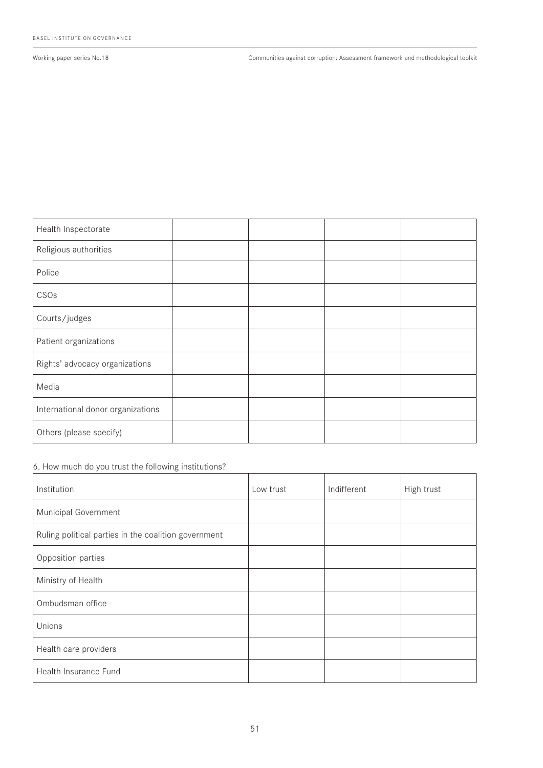Communities against corruption: Assessment framework and methodological toolkit

| Health Inspectorate               |  |  |
|-----------------------------------|--|--|
| Religious authorities             |  |  |
| Police                            |  |  |
| CSOs                              |  |  |
| Courts/judges                     |  |  |
| Patient organizations             |  |  |
| Rights' advocacy organizations    |  |  |
| Media                             |  |  |
| International donor organizations |  |  |
| Others (please specify)           |  |  |

# 6. How much do you trust the following institutions?

| Institution                                          | Low trust | Indifferent | High trust |
|------------------------------------------------------|-----------|-------------|------------|
| Municipal Government                                 |           |             |            |
| Ruling political parties in the coalition government |           |             |            |
| Opposition parties                                   |           |             |            |
| Ministry of Health                                   |           |             |            |
| Ombudsman office                                     |           |             |            |
| Unions                                               |           |             |            |
| Health care providers                                |           |             |            |
| Health Insurance Fund                                |           |             |            |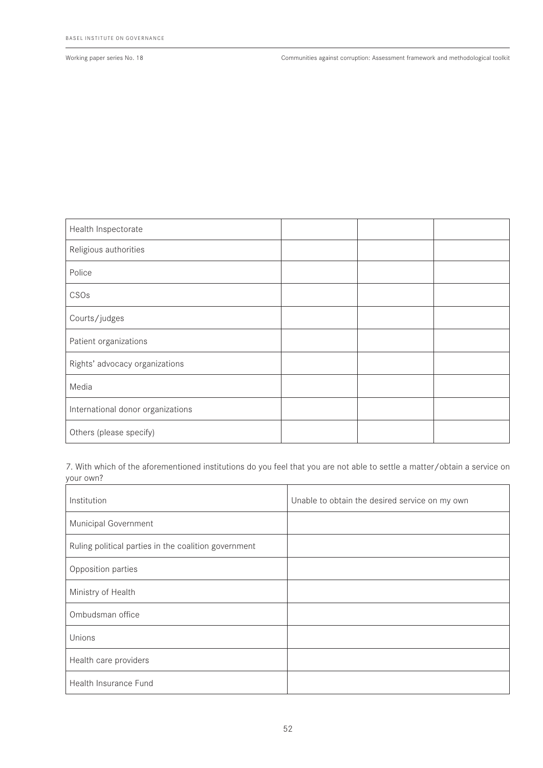Communities against corruption: Assessment framework and methodological toolkit

| Health Inspectorate               |  |  |
|-----------------------------------|--|--|
| Religious authorities             |  |  |
| Police                            |  |  |
| CSOs                              |  |  |
| Courts/judges                     |  |  |
| Patient organizations             |  |  |
| Rights' advocacy organizations    |  |  |
| Media                             |  |  |
| International donor organizations |  |  |
| Others (please specify)           |  |  |

7. With which of the aforementioned institutions do you feel that you are not able to settle a matter/obtain a service on your own?

| Institution                                          | Unable to obtain the desired service on my own |
|------------------------------------------------------|------------------------------------------------|
| Municipal Government                                 |                                                |
| Ruling political parties in the coalition government |                                                |
| Opposition parties                                   |                                                |
| Ministry of Health                                   |                                                |
| Ombudsman office                                     |                                                |
| Unions                                               |                                                |
| Health care providers                                |                                                |
| Health Insurance Fund                                |                                                |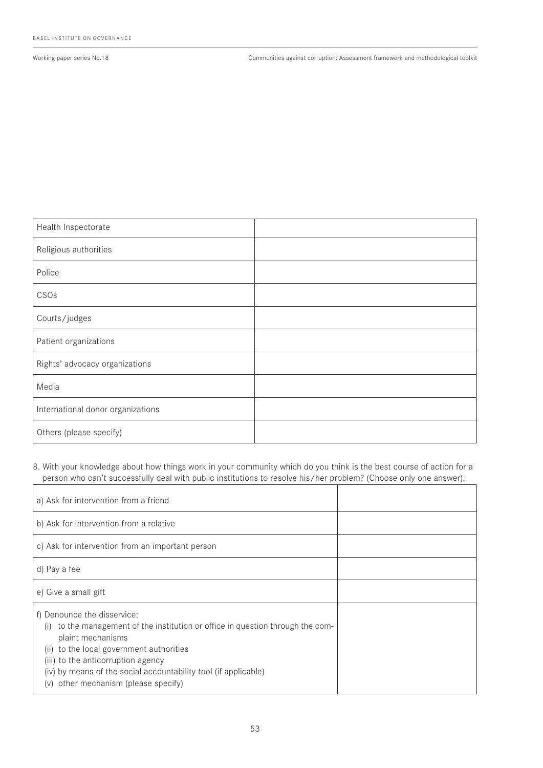Communities against corruption: Assessment framework and methodological toolkit

| Health Inspectorate               |  |
|-----------------------------------|--|
| Religious authorities             |  |
| Police                            |  |
| CSOs                              |  |
| Courts/judges                     |  |
| Patient organizations             |  |
| Rights' advocacy organizations    |  |
| Media                             |  |
| International donor organizations |  |
| Others (please specify)           |  |

8. With your knowledge about how things work in your community which do you think is the best course of action for a person who can't successfully deal with public institutions to resolve his/her problem? (Choose only one answer):

| a) Ask for intervention from a friend                                                                                                                                                                                                                                                                                                     |  |
|-------------------------------------------------------------------------------------------------------------------------------------------------------------------------------------------------------------------------------------------------------------------------------------------------------------------------------------------|--|
| b) Ask for intervention from a relative                                                                                                                                                                                                                                                                                                   |  |
| c) Ask for intervention from an important person                                                                                                                                                                                                                                                                                          |  |
| d) Pay a fee                                                                                                                                                                                                                                                                                                                              |  |
| e) Give a small gift                                                                                                                                                                                                                                                                                                                      |  |
| f) Denounce the disservice:<br>to the management of the institution or office in question through the com-<br>(1)<br>plaint mechanisms<br>to the local government authorities<br>(11)<br>(iii) to the anticorruption agency<br>(iv) by means of the social accountability tool (if applicable)<br>other mechanism (please specify)<br>(v) |  |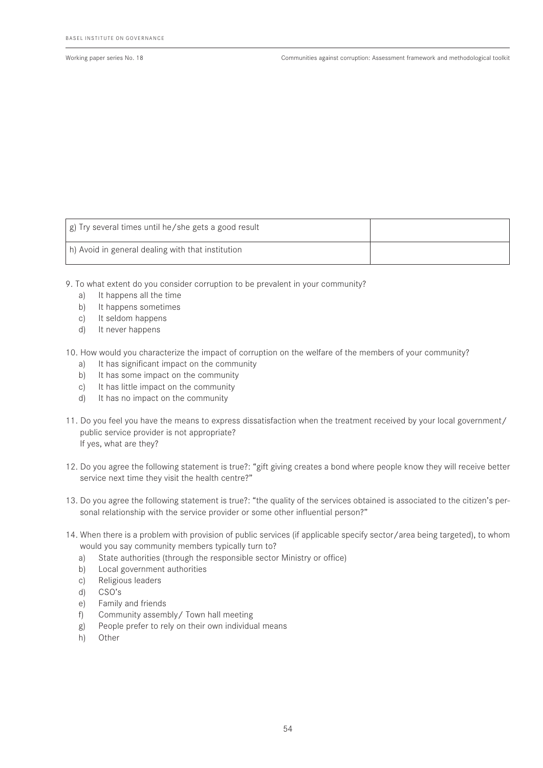Communities against corruption: Assessment framework and methodological toolkit

| g) Try several times until he/she gets a good result |  |
|------------------------------------------------------|--|
| h) Avoid in general dealing with that institution    |  |

9. To what extent do you consider corruption to be prevalent in your community?

- a) It happens all the time
- b) It happens sometimes
- c) It seldom happens
- d) It never happens
- 10. How would you characterize the impact of corruption on the welfare of the members of your community?
	- a) It has significant impact on the community
	- b) It has some impact on the community
	- c) It has little impact on the community
	- d) It has no impact on the community
- 11. Do you feel you have the means to express dissatisfaction when the treatment received by your local government/ public service provider is not appropriate? If yes, what are they?
- 12. Do you agree the following statement is true?: "gift giving creates a bond where people know they will receive better service next time they visit the health centre?"
- 13. Do you agree the following statement is true?: "the quality of the services obtained is associated to the citizen's per sonal relationship with the service provider or some other influential person?"
- 14. When there is a problem with provision of public services (if applicable specify sector/area being targeted), to whom would you say community members typically turn to?
	- a) State authorities (through the responsible sector Ministry or office)
	- b) Local government authorities
	- c) Religious leaders
	- d) CSO's
	- e) Family and friends
	- f) Community assembly/ Town hall meeting
	- g) People prefer to rely on their own individual means
	- h) Other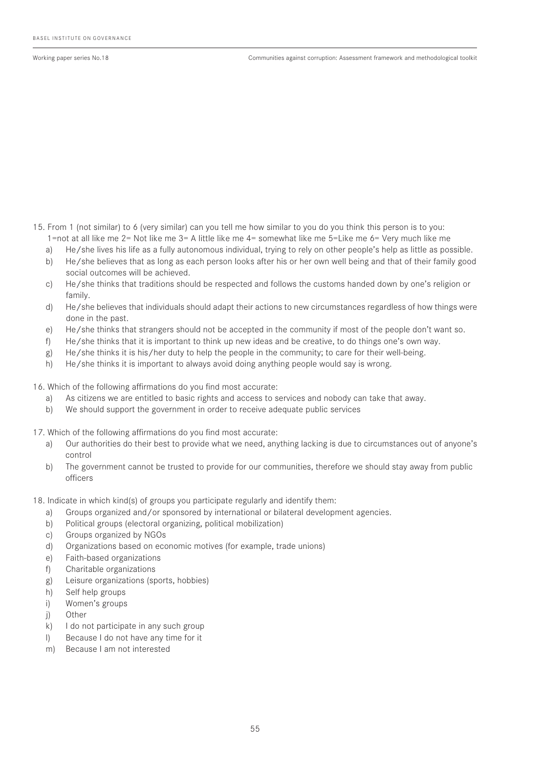Communities against corruption: Assessment framework and methodological toolkit

15. From 1 (not similar) to 6 (very similar) can you tell me how similar to you do you think this person is to you: 1=not at all like me 2= Not like me 3= A little like me 4= somewhat like me 5=Like me 6= Very much like me

a) He/she lives his life as a fully autonomous individual, trying to rely on other people's help as little as possible.

- b) He/she believes that as long as each person looks after his or her own well being and that of their family good social outcomes will be achieved.
- c) He/she thinks that traditions should be respected and follows the customs handed down by one's religion or family.
- d) He/she believes that individuals should adapt their actions to new circumstances regardless of how things were done in the past.
- e) He/she thinks that strangers should not be accepted in the community if most of the people don't want so.
- f) He/she thinks that it is important to think up new ideas and be creative, to do things one's own way.
- g) He/she thinks it is his/her duty to help the people in the community; to care for their well-being.
- h) He/she thinks it is important to always avoid doing anything people would say is wrong.

16. Which of the following affirmations do you find most accurate:

- a) As citizens we are entitled to basic rights and access to services and nobody can take that away.
- b) We should support the government in order to receive adequate public services
- 17. Which of the following affirmations do you find most accurate:
	- a) Our authorities do their best to provide what we need, anything lacking is due to circumstances out of anyone's control
	- b) The government cannot be trusted to provide for our communities, therefore we should stay away from public officers

18. Indicate in which kind(s) of groups you participate regularly and identify them:

- a) Groups organized and/or sponsored by international or bilateral development agencies.
- b) Political groups (electoral organizing, political mobilization)
- c) Groups organized by NGOs
- d) Organizations based on economic motives (for example, trade unions)
- e) Faith-based organizations
- f) Charitable organizations
- g) Leisure organizations (sports, hobbies)
- h) Self help groups
- i) Women's groups
- j) Other
- k) I do not participate in any such group
- l) Because I do not have any time for it
- m) Because I am not interested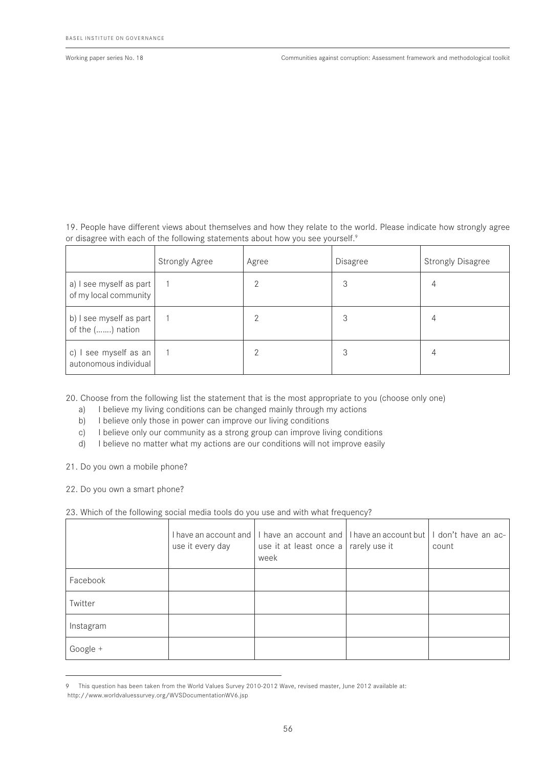Communities against corruption: Assessment framework and methodological toolkit

19. People have different views about themselves and how they relate to the world. Please indicate how strongly agree or disagree with each of the following statements about how you see yourself.<sup>9</sup>

|                                                  | <b>Strongly Agree</b> | Agree | Disagree | <b>Strongly Disagree</b> |
|--------------------------------------------------|-----------------------|-------|----------|--------------------------|
| a) I see myself as part<br>of my local community |                       | ↷     | 3        |                          |
| b) I see myself as part<br>of the () nation      |                       | ↷     | 3        |                          |
| c) I see myself as an<br>autonomous individual   |                       | ◠     | 3        |                          |

20. Choose from the following list the statement that is the most appropriate to you (choose only one)

- a) I believe my living conditions can be changed mainly through my actions
- b) I believe only those in power can improve our living conditions
- c) I believe only our community as a strong group can improve living conditions
- d) I believe no matter what my actions are our conditions will not improve easily
- 21. Do you own a mobile phone?
- 22. Do you own a smart phone?

23. Which of the following social media tools do you use and with what frequency?

|           | use it every day | I have an account and   I have an account and   I have an account but   I don't have an ac-<br>use it at least once a $ $ rarely use it<br>week | count |
|-----------|------------------|-------------------------------------------------------------------------------------------------------------------------------------------------|-------|
| Facebook  |                  |                                                                                                                                                 |       |
| Twitter   |                  |                                                                                                                                                 |       |
| Instagram |                  |                                                                                                                                                 |       |
| Google +  |                  |                                                                                                                                                 |       |

<sup>9</sup> This question has been taken from the World Values Survey 2010-2012 Wave, revised master, June 2012 available at: http://www.worldvaluessurvey.org/WVSDocumentationWV6.jsp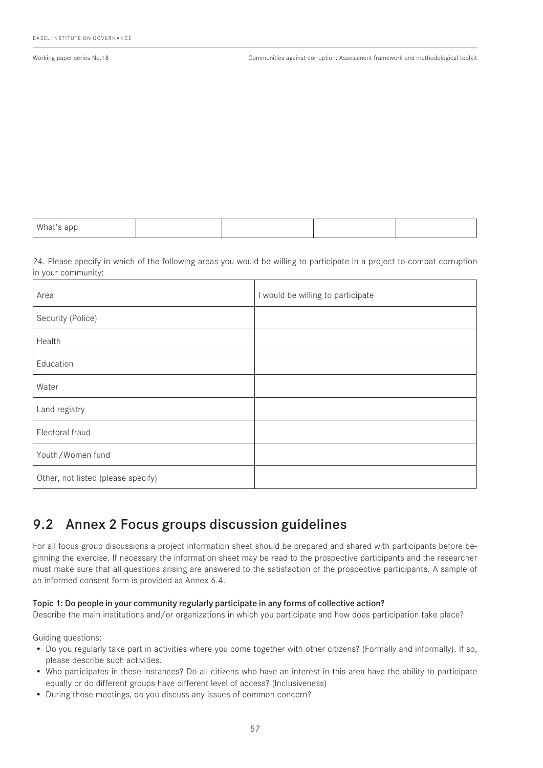Communities against corruption: Assessment framework and methodological toolkit

| Whai<br>$  -$<br>ann<br>$\cdots$ |  |  |
|----------------------------------|--|--|
|                                  |  |  |

24. Please specify in which of the following areas you would be willing to participate in a project to combat corruption in your community:

| Area                               | I would be willing to participate |
|------------------------------------|-----------------------------------|
| Security (Police)                  |                                   |
| Health                             |                                   |
| Education                          |                                   |
| Water                              |                                   |
| Land registry                      |                                   |
| Electoral fraud                    |                                   |
| Youth/Women fund                   |                                   |
| Other, not listed (please specify) |                                   |

# 9.2 Annex 2 Focus groups discussion guidelines

For all focus group discussions a project information sheet should be prepared and shared with participants before beginning the exercise. If necessary the information sheet may be read to the prospective participants and the researcher must make sure that all questions arising are answered to the satisfaction of the prospective participants. A sample of an informed consent form is provided as Annex 6.4.

#### Topic 1: Do people in your community regularly participate in any forms of collective action?

Describe the main institutions and/or organizations in which you participate and how does participation take place?

Guiding questions:

- Do you regularly take part in activities where you come together with other citizens? (Formally and informally). If so, please describe such activities.
- Who participates in these instances? Do all citizens who have an interest in this area have the ability to participate equally or do different groups have different level of access? (Inclusiveness)
- During those meetings, do you discuss any issues of common concern?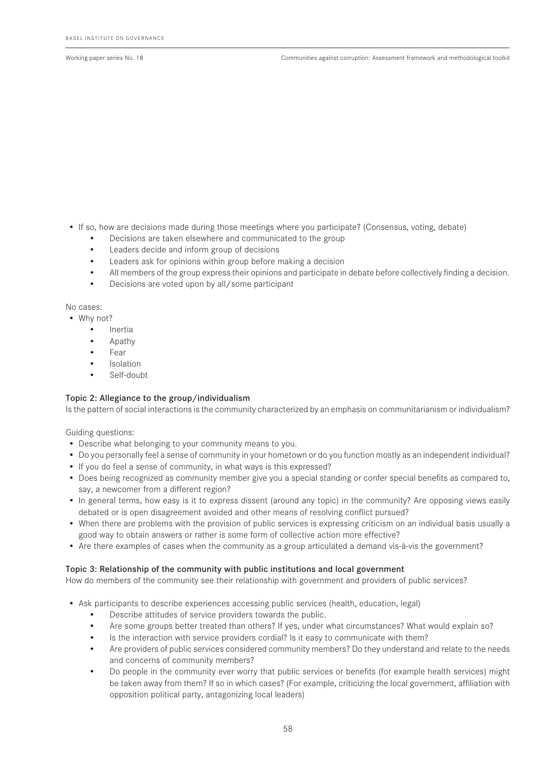Communities against corruption: Assessment framework and methodological toolkit

• If so, how are decisions made during those meetings where you participate? (Consensus, voting, debate)

- Decisions are taken elsewhere and communicated to the group
- Leaders decide and inform group of decisions
- Leaders ask for opinions within group before making a decision
- All members of the group express their opinions and participate in debate before collectively finding a decision.
- Decisions are voted upon by all/some participant

### No cases:

- Why not?
	- Inertia
	- Apathy
	- Fear
	- Isolation
	- Self-doubt

# Topic 2: Allegiance to the group/individualism

Is the pattern of social interactions is the community characterized by an emphasis on communitarianism or individualism?

# Guiding questions:

- Describe what belonging to your community means to you.
- Do you personally feel a sense of community in your hometown or do you function mostly as an independent individual?
- If you do feel a sense of community, in what ways is this expressed?
- Does being recognized as community member give you a special standing or confer special benefits as compared to, say, a newcomer from a different region?
- In general terms, how easy is it to express dissent (around any topic) in the community? Are opposing views easily debated or is open disagreement avoided and other means of resolving conflict pursued?
- When there are problems with the provision of public services is expressing criticism on an individual basis usually a good way to obtain answers or rather is some form of collective action more effective?
- Are there examples of cases when the community as a group articulated a demand vis-à-vis the government?

# Topic 3: Relationship of the community with public institutions and local government

How do members of the community see their relationship with government and providers of public services?

- Ask participants to describe experiences accessing public services (health, education, legal)
	- Describe attitudes of service providers towards the public.
	- Are some groups better treated than others? If yes, under what circumstances? What would explain so?
	- Is the interaction with service providers cordial? Is it easy to communicate with them?
	- Are providers of public services considered community members? Do they understand and relate to the needs and concerns of community members?
	- Do people in the community ever worry that public services or benefits (for example health services) might be taken away from them? If so in which cases? (For example, criticizing the local government, affiliation with opposition political party, antagonizing local leaders)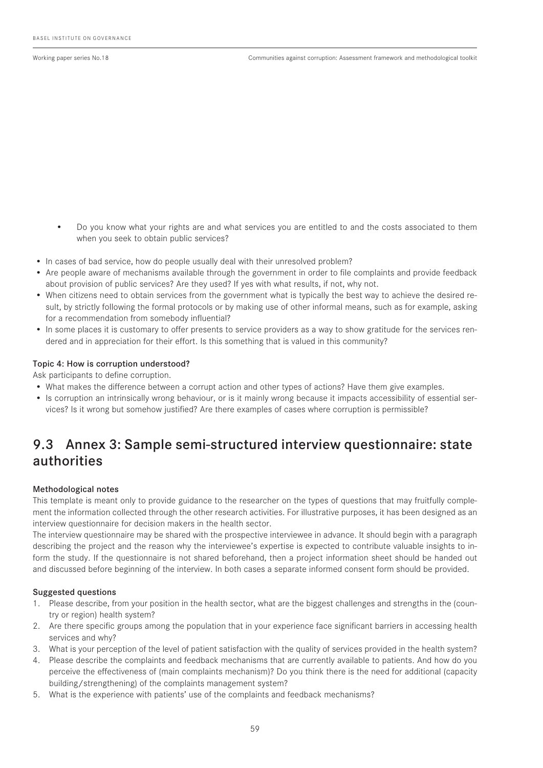Communities against corruption: Assessment framework and methodological toolkit

- Do you know what your rights are and what services you are entitled to and the costs associated to them when you seek to obtain public services?
- In cases of bad service, how do people usually deal with their unresolved problem?
- Are people aware of mechanisms available through the government in order to file complaints and provide feedback about provision of public services? Are they used? If yes with what results, if not, why not.
- When citizens need to obtain services from the government what is typically the best way to achieve the desired result, by strictly following the formal protocols or by making use of other informal means, such as for example, asking for a recommendation from somebody influential?
- In some places it is customary to offer presents to service providers as a way to show gratitude for the services rendered and in appreciation for their effort. Is this something that is valued in this community?

# Topic 4: How is corruption understood?

Ask participants to define corruption.

- What makes the difference between a corrupt action and other types of actions? Have them give examples.
- Is corruption an intrinsically wrong behaviour, or is it mainly wrong because it impacts accessibility of essential services? Is it wrong but somehow justified? Are there examples of cases where corruption is permissible?

# 9.3 Annex 3: Sample semi-structured interview questionnaire: state authorities

# Methodological notes

This template is meant only to provide guidance to the researcher on the types of questions that may fruitfully complement the information collected through the other research activities. For illustrative purposes, it has been designed as an interview questionnaire for decision makers in the health sector.

The interview questionnaire may be shared with the prospective interviewee in advance. It should begin with a paragraph describing the project and the reason why the interviewee's expertise is expected to contribute valuable insights to inform the study. If the questionnaire is not shared beforehand, then a project information sheet should be handed out and discussed before beginning of the interview. In both cases a separate informed consent form should be provided.

#### Suggested questions

- 1. Please describe, from your position in the health sector, what are the biggest challenges and strengths in the (country or region) health system?
- 2. Are there specific groups among the population that in your experience face significant barriers in accessing health services and why?
- 3. What is your perception of the level of patient satisfaction with the quality of services provided in the health system?
- 4. Please describe the complaints and feedback mechanisms that are currently available to patients. And how do you perceive the effectiveness of (main complaints mechanism)? Do you think there is the need for additional (capacity building/strengthening) of the complaints management system?
- 5. What is the experience with patients' use of the complaints and feedback mechanisms?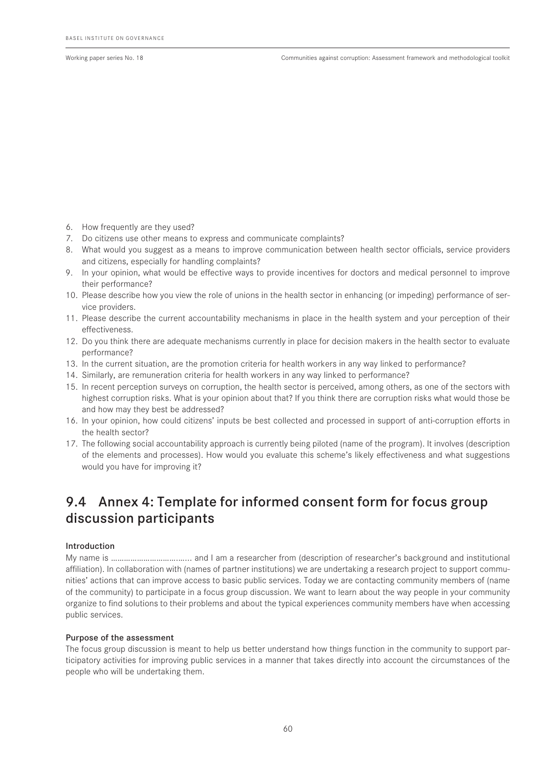Communities against corruption: Assessment framework and methodological toolkit

- 6. How frequently are they used?
- 7. Do citizens use other means to express and communicate complaints?
- 8. What would you suggest as a means to improve communication between health sector officials, service providers and citizens, especially for handling complaints?
- 9. In your opinion, what would be effective ways to provide incentives for doctors and medical personnel to improve their performance?
- 10. Please describe how you view the role of unions in the health sector in enhancing (or impeding) performance of service providers.
- 11. Please describe the current accountability mechanisms in place in the health system and your perception of their effectiveness.
- 12. Do you think there are adequate mechanisms currently in place for decision makers in the health sector to evaluate performance?
- 13. In the current situation, are the promotion criteria for health workers in any way linked to performance?
- 14. Similarly, are remuneration criteria for health workers in any way linked to performance?
- 15. In recent perception surveys on corruption, the health sector is perceived, among others, as one of the sectors with highest corruption risks. What is your opinion about that? If you think there are corruption risks what would those be and how may they best be addressed?
- 16. In your opinion, how could citizens' inputs be best collected and processed in support of anti-corruption efforts in the health sector?
- 17. The following social accountability approach is currently being piloted (name of the program). It involves (description of the elements and processes). How would you evaluate this scheme's likely effectiveness and what suggestions would you have for improving it?

# 9.4 Annex 4: Template for informed consent form for focus group discussion participants

# Introduction

My name is ………………………….…... and I am a researcher from (description of researcher's background and institutional affiliation). In collaboration with (names of partner institutions) we are undertaking a research project to support communities' actions that can improve access to basic public services. Today we are contacting community members of (name of the community) to participate in a focus group discussion. We want to learn about the way people in your community organize to find solutions to their problems and about the typical experiences community members have when accessing public services.

#### Purpose of the assessment

The focus group discussion is meant to help us better understand how things function in the community to support participatory activities for improving public services in a manner that takes directly into account the circumstances of the people who will be undertaking them.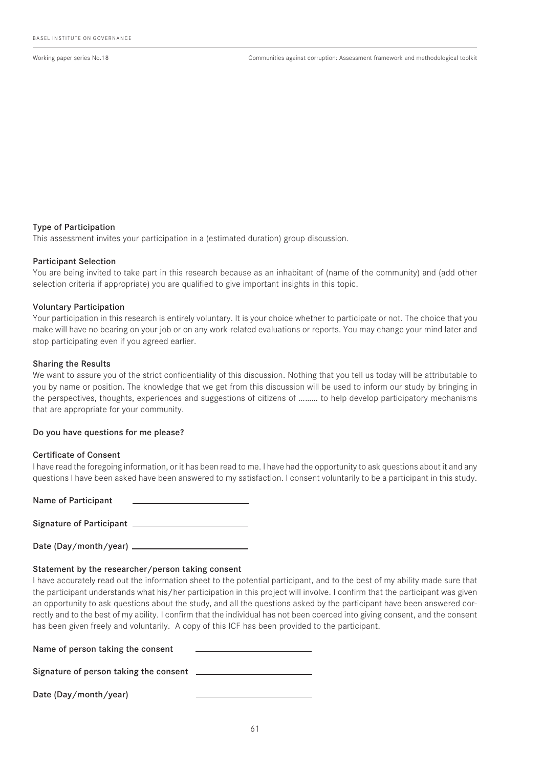Communities against corruption: Assessment framework and methodological toolkit

### Type of Participation

This assessment invites your participation in a (estimated duration) group discussion.

#### Participant Selection

You are being invited to take part in this research because as an inhabitant of (name of the community) and (add other selection criteria if appropriate) you are qualified to give important insights in this topic.

#### Voluntary Participation

Your participation in this research is entirely voluntary. It is your choice whether to participate or not. The choice that you make will have no bearing on your job or on any work-related evaluations or reports. You may change your mind later and stop participating even if you agreed earlier.

### Sharing the Results

We want to assure you of the strict confidentiality of this discussion. Nothing that you tell us today will be attributable to you by name or position. The knowledge that we get from this discussion will be used to inform our study by bringing in the perspectives, thoughts, experiences and suggestions of citizens of ……… to help develop participatory mechanisms that are appropriate for your community.

#### Do you have questions for me please?

#### Certificate of Consent

I have read the foregoing information, or it has been read to me. I have had the opportunity to ask questions about it and any questions I have been asked have been answered to my satisfaction. I consent voluntarily to be a participant in this study.

Name of Participant

Signature of Participant

Date (Day/month/year)

#### Statement by the researcher/person taking consent

I have accurately read out the information sheet to the potential participant, and to the best of my ability made sure that the participant understands what his/her participation in this project will involve. I confirm that the participant was given an opportunity to ask questions about the study, and all the questions asked by the participant have been answered correctly and to the best of my ability. I confirm that the individual has not been coerced into giving consent, and the consent has been given freely and voluntarily. A copy of this ICF has been provided to the participant.

Name of person taking the consent

Signature of person taking the consent

Date (Day/month/year)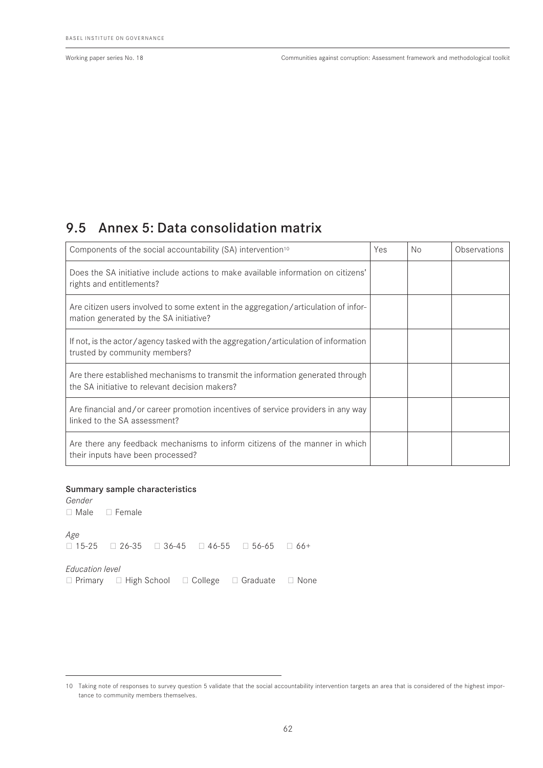Communities against corruption: Assessment framework and methodological toolkit

# 9.5 Annex 5: Data consolidation matrix

| Components of the social accountability (SA) intervention <sup>10</sup>                                                          | Yes | N <sub>o</sub> | Observations |
|----------------------------------------------------------------------------------------------------------------------------------|-----|----------------|--------------|
| Does the SA initiative include actions to make available information on citizens'<br>rights and entitlements?                    |     |                |              |
| Are citizen users involved to some extent in the aggregation/articulation of infor-<br>mation generated by the SA initiative?    |     |                |              |
| If not, is the actor/agency tasked with the aggregation/articulation of information<br>trusted by community members?             |     |                |              |
| Are there established mechanisms to transmit the information generated through<br>the SA initiative to relevant decision makers? |     |                |              |
| Are financial and/or career promotion incentives of service providers in any way<br>linked to the SA assessment?                 |     |                |              |
| Are there any feedback mechanisms to inform citizens of the manner in which<br>their inputs have been processed?                 |     |                |              |

## Summary sample characteristics

*Gender*  ◻ Male ◻ Female *Age*  $\Box$  15-25  $\Box$  26-35  $\Box$  36-45  $\Box$  46-55  $\Box$  56-65  $\Box$  66+

*Education level* ◻ Primary ◻ High School ◻ College ◻ Graduate ◻ None

<sup>10</sup> Taking note of responses to survey question 5 validate that the social accountability intervention targets an area that is considered of the highest importance to community members themselves.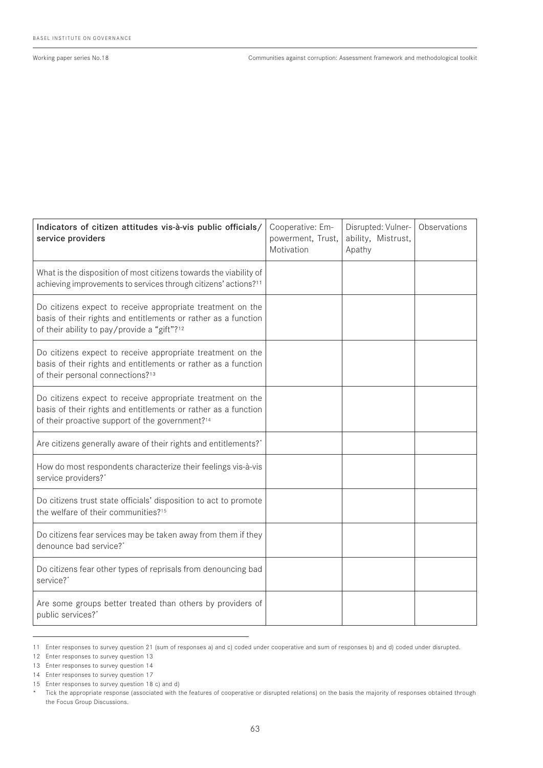Communities against corruption: Assessment framework and methodological toolkit

| Indicators of citizen attitudes vis-à-vis public officials/<br>service providers                                                                                                            | Cooperative: Em-<br>powerment, Trust,<br>Motivation | Disrupted: Vulner-<br>ability, Mistrust,<br>Apathy | Observations |
|---------------------------------------------------------------------------------------------------------------------------------------------------------------------------------------------|-----------------------------------------------------|----------------------------------------------------|--------------|
| What is the disposition of most citizens towards the viability of<br>achieving improvements to services through citizens' actions? <sup>11</sup>                                            |                                                     |                                                    |              |
| Do citizens expect to receive appropriate treatment on the<br>basis of their rights and entitlements or rather as a function<br>of their ability to pay/provide a "gift"? <sup>12</sup>     |                                                     |                                                    |              |
| Do citizens expect to receive appropriate treatment on the<br>basis of their rights and entitlements or rather as a function<br>of their personal connections? <sup>13</sup>                |                                                     |                                                    |              |
| Do citizens expect to receive appropriate treatment on the<br>basis of their rights and entitlements or rather as a function<br>of their proactive support of the government? <sup>14</sup> |                                                     |                                                    |              |
| Are citizens generally aware of their rights and entitlements?*                                                                                                                             |                                                     |                                                    |              |
| How do most respondents characterize their feelings vis-à-vis<br>service providers?*                                                                                                        |                                                     |                                                    |              |
| Do citizens trust state officials' disposition to act to promote<br>the welfare of their communities? <sup>15</sup>                                                                         |                                                     |                                                    |              |
| Do citizens fear services may be taken away from them if they<br>denounce bad service?*                                                                                                     |                                                     |                                                    |              |
| Do citizens fear other types of reprisals from denouncing bad<br>service?*                                                                                                                  |                                                     |                                                    |              |
| Are some groups better treated than others by providers of<br>public services?*                                                                                                             |                                                     |                                                    |              |

<sup>11</sup> Enter responses to survey question 21 (sum of responses a) and c) coded under cooperative and sum of responses b) and d) coded under disrupted.

15 Enter responses to survey question 18 c) and d)

<sup>12</sup> Enter responses to survey question 13

<sup>13</sup> Enter responses to survey question 14

<sup>14</sup> Enter responses to survey question 17

<sup>\*</sup> Tick the appropriate response (associated with the features of cooperative or disrupted relations) on the basis the majority of responses obtained through the Focus Group Discussions.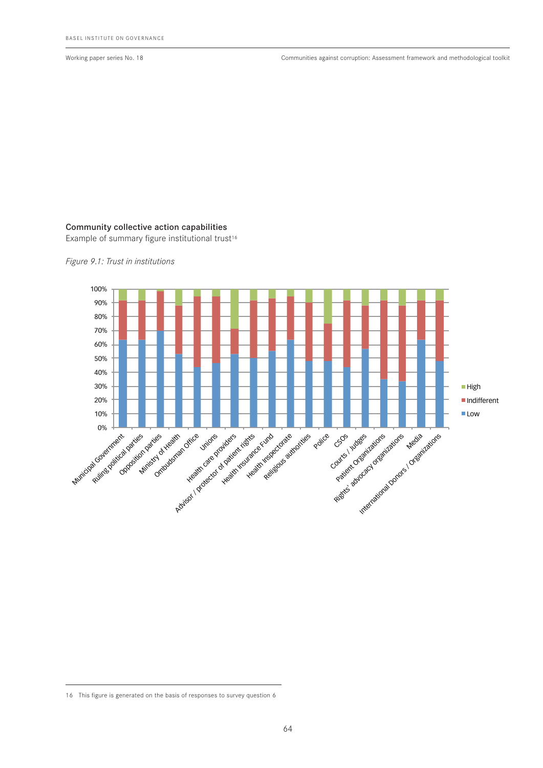Communities against corruption: Assessment framework and methodological toolkit

## Community collective action capabilities

Example of summary figure institutional trust<sup>16</sup>

*Figure 9.1: Trust in institutions*



<sup>16</sup> This figure is generated on the basis of responses to survey question 6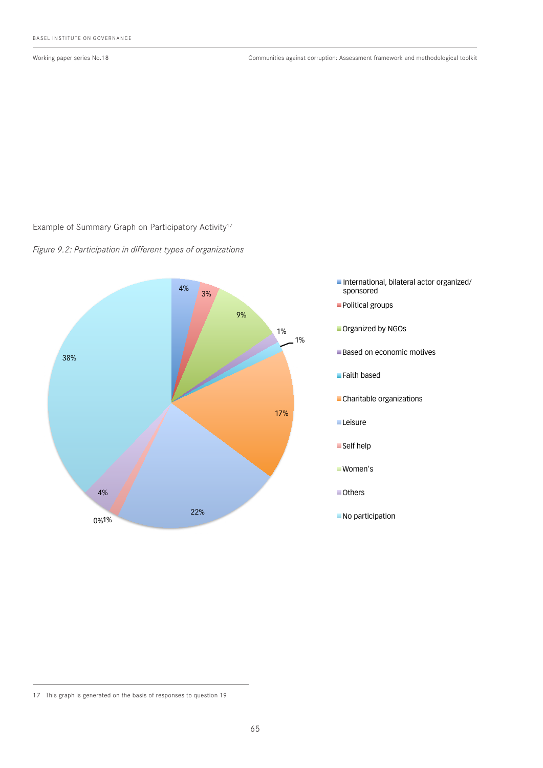Communities against corruption: Assessment framework and methodological toolkit

Participation in different types of Example of Summary Graph on Participatory Activity<sup>17</sup>

organizations *Figure 9.2: Participation in different types of organizations*



- International, bilateral actor organized/ sponsored
- Political groups
- Organized by NGOs
- **Based on economic motives**
- Faith based
- Charitable organizations
- **Leisure**
- Self help
- Women's
- **Others**
- No participation

<sup>17</sup> This graph is generated on the basis of responses to question 19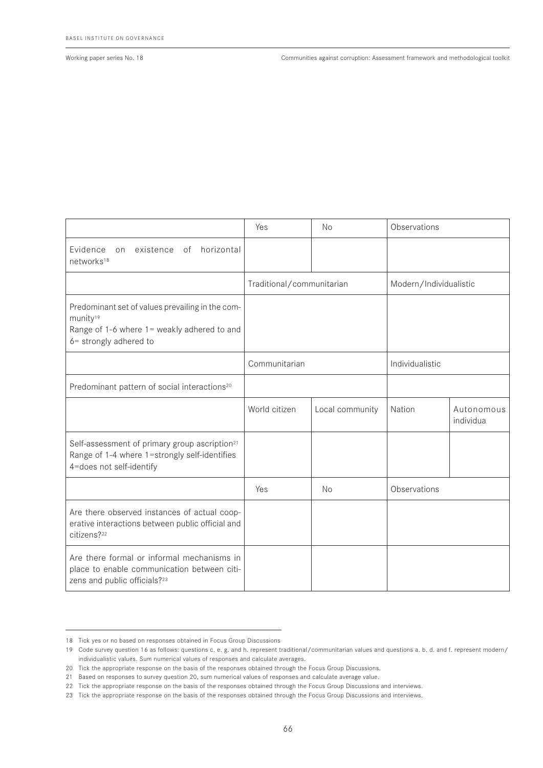Communities against corruption: Assessment framework and methodological toolkit

|                                                                                                                                                   | Yes                       | No              | Observations           |                         |
|---------------------------------------------------------------------------------------------------------------------------------------------------|---------------------------|-----------------|------------------------|-------------------------|
| Evidence<br>existence<br>horizontal<br>of<br>on<br>networks <sup>18</sup>                                                                         |                           |                 |                        |                         |
|                                                                                                                                                   | Traditional/communitarian |                 | Modern/Individualistic |                         |
| Predominant set of values prevailing in the com-<br>munity <sup>19</sup><br>Range of 1-6 where 1= weakly adhered to and<br>6= strongly adhered to |                           |                 |                        |                         |
|                                                                                                                                                   | Communitarian             |                 | Individualistic        |                         |
| Predominant pattern of social interactions <sup>20</sup>                                                                                          |                           |                 |                        |                         |
|                                                                                                                                                   | World citizen             | Local community | Nation                 | Autonomous<br>individua |
| Self-assessment of primary group ascription <sup>21</sup><br>Range of 1-4 where 1=strongly self-identifies<br>4=does not self-identify            |                           |                 |                        |                         |
|                                                                                                                                                   | Yes                       | <b>No</b>       | Observations           |                         |
| Are there observed instances of actual coop-<br>erative interactions between public official and<br>citizens? <sup>22</sup>                       |                           |                 |                        |                         |
| Are there formal or informal mechanisms in<br>place to enable communication between citi-<br>zens and public officials? <sup>23</sup>             |                           |                 |                        |                         |

<sup>18</sup> Tick yes or no based on responses obtained in Focus Group Discussions

<sup>19</sup> Code survey question 16 as follows: questions c. e. g. and h. represent traditional/communitarian values and questions a. b. d. and f. represent modern/ individualistic values. Sum numerical values of responses and calculate averages.

<sup>20</sup> Tick the appropriate response on the basis of the responses obtained through the Focus Group Discussions.

<sup>21</sup> Based on responses to survey question 20, sum numerical values of responses and calculate average value.

<sup>22</sup> Tick the appropriate response on the basis of the responses obtained through the Focus Group Discussions and interviews.

<sup>23</sup> Tick the appropriate response on the basis of the responses obtained through the Focus Group Discussions and interviews.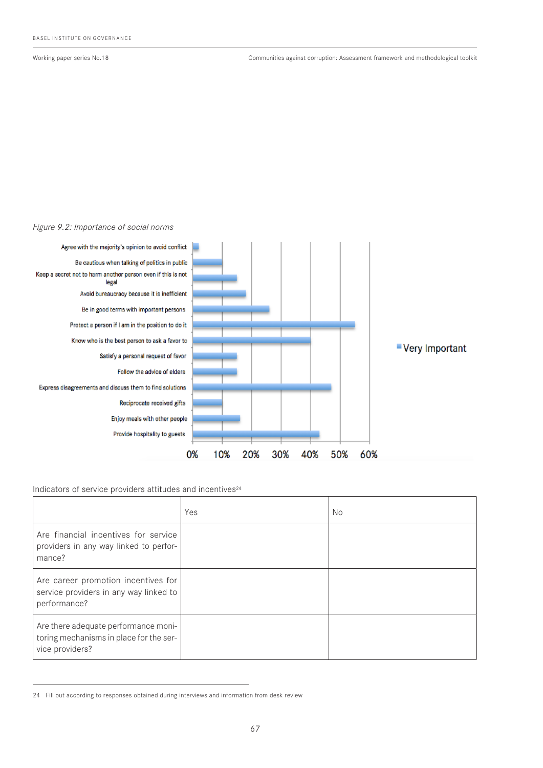Communities against corruption: Assessment framework and methodological toolkit

## *Figure 9.2: Importance of social norms*



## Indicators of service providers attitudes and incentives<sup>24</sup>

|                                                                                                    | Yes | No. |
|----------------------------------------------------------------------------------------------------|-----|-----|
| Are financial incentives for service<br>providers in any way linked to perfor-<br>mance?           |     |     |
| Are career promotion incentives for<br>service providers in any way linked to<br>performance?      |     |     |
| Are there adequate performance moni-<br>toring mechanisms in place for the ser-<br>vice providers? |     |     |

<sup>24</sup> Fill out according to responses obtained during interviews and information from desk review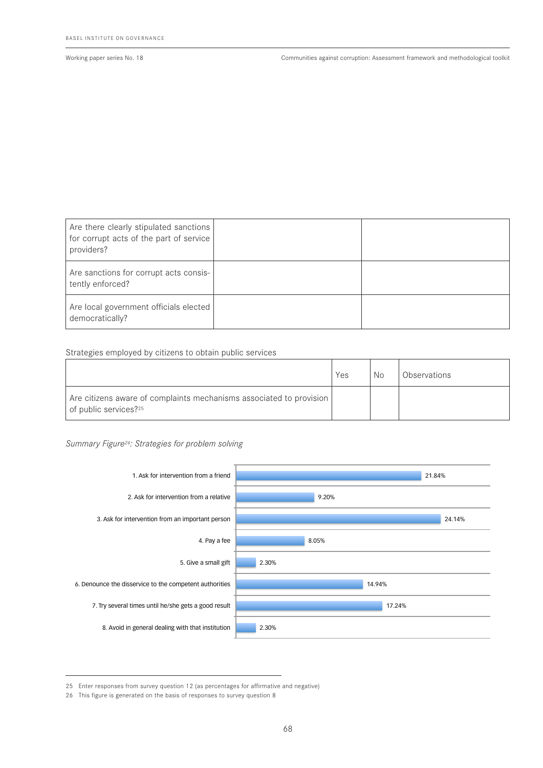Communities against corruption: Assessment framework and methodological toolkit

| Are there clearly stipulated sanctions<br>for corrupt acts of the part of service<br>providers? |  |
|-------------------------------------------------------------------------------------------------|--|
| Are sanctions for corrupt acts consis-<br>tently enforced?                                      |  |
| Are local government officials elected<br>democratically?                                       |  |

#### Strategies employed by citizens to obtain public services

|                                                                                                          | Yes | . No | Observations |
|----------------------------------------------------------------------------------------------------------|-----|------|--------------|
| Are citizens aware of complaints mechanisms associated to provision<br>of public services? <sup>25</sup> |     |      |              |

# *Summary Figure<sup>26</sup>: Strategies for problem solving*



25 Enter responses from survey question 12 (as percentages for affirmative and negative)

26 This figure is generated on the basis of responses to survey question 8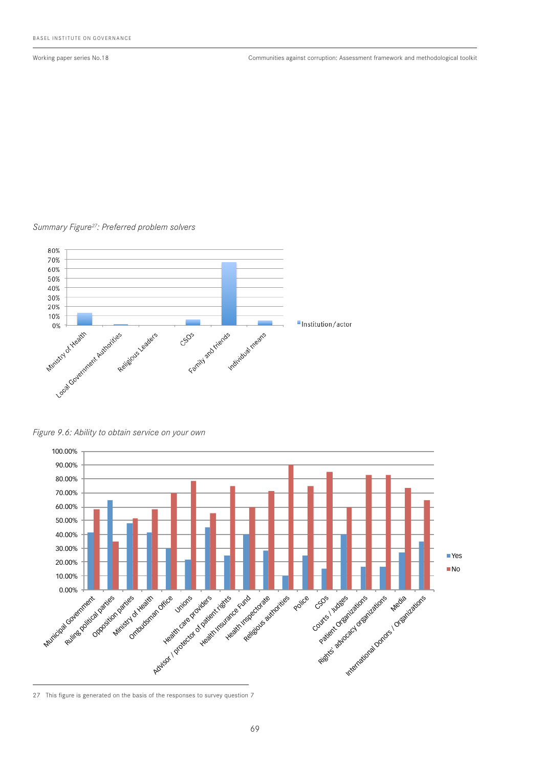Communities against corruption: Assessment framework and methodological toolkit



### *Summary Figure<sup>27</sup>: Preferred problem solvers*

*Figure 9.6: Ability to obtain service on your own*



<sup>27</sup> This figure is generated on the basis of the responses to survey question 7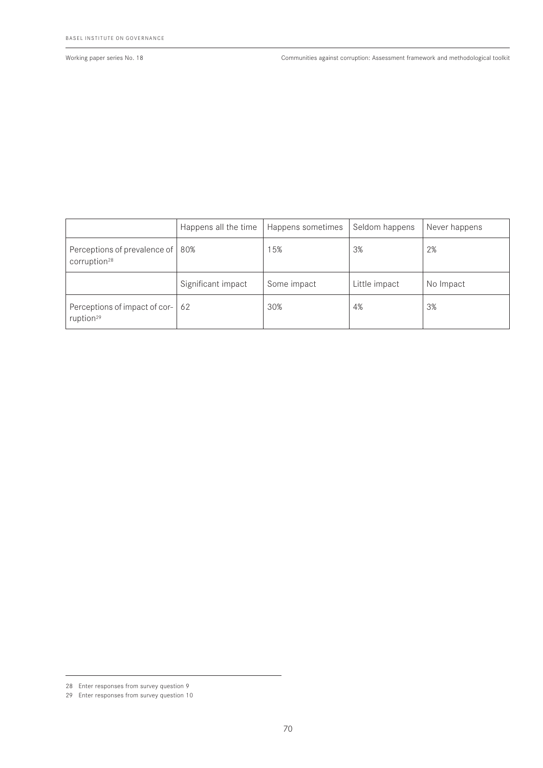Communities against corruption: Assessment framework and methodological toolkit

|                                                            | Happens all the time | Happens sometimes | Seldom happens | Never happens |
|------------------------------------------------------------|----------------------|-------------------|----------------|---------------|
| Perceptions of prevalence of  <br>corruption <sup>28</sup> | 80%                  | 5%                | 3%             | 2%            |
|                                                            | Significant impact   | Some impact       | Little impact  | No Impact     |
| Perceptions of impact of cor-<br>ruption <sup>29</sup>     | 62                   | 30%               | 4%             | 3%            |

<sup>28</sup> Enter responses from survey question 9

<sup>29</sup> Enter responses from survey question 10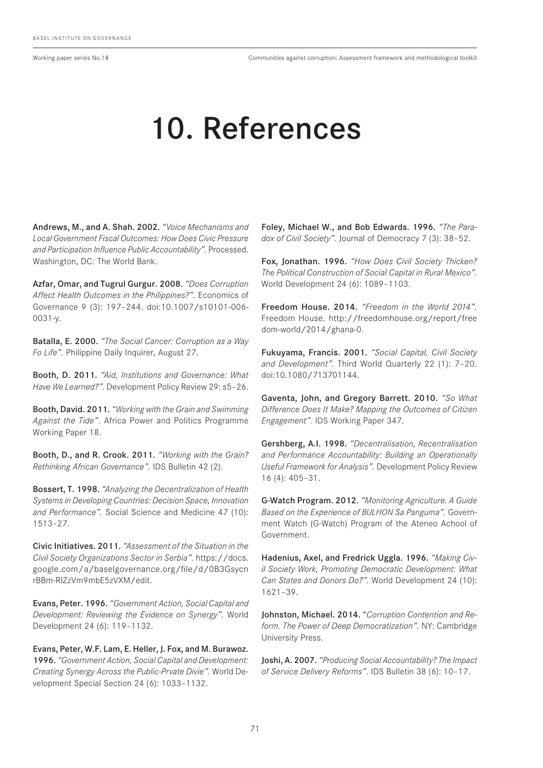# 10. References

Andrews, M., and A. Shah. 2002. *"Voice Mechanisms and Local Government Fiscal Outcomes: How Does Civic Pressure and Participation Influence Public Accountability".* Processed. Washington, DC: The World Bank.

Azfar, Omar, and Tugrul Gurgur. 2008. *"Does Corruption Affect Health Outcomes in the Philippines?".* Economics of Governance 9 (3): 197–244. doi:10.1007/s10101-006- 0031-y.

Batalla, E. 2000. *"The Social Cancer: Corruption as a Way Fo Life".* Philippine Daily Inquirer, August 27.

Booth, D. 2011. *"Aid, Institutions and Governance: What Have We Learned?".* Development Policy Review 29: s5–26.

Booth, David. 2011. *"Working with the Grain and Swimming Against the Tide"*. Africa Power and Politics Programme Working Paper 18.

Booth, D., and R. Crook. 2011. *"Working with the Grain? Rethinking African Governance".* IDS Bulletin 42 (2).

Bossert, T. 1998. *"Analyzing the Decentralization of Health Systems in Developing Countries: Decision Space, Innovation and Performance".* Social Science and Medicine 47 (10): 1513–27.

Civic Initiatives. 2011. *"Assessment of the Situation in the Civil Society Organizations Sector in Serbia".* https://docs. google.com/a/baselgovernance.org/file/d/0B3Gsycn rBBm-RlZzVm9mbE5zVXM/edit.

Evans, Peter. 1996. *"Government Action, Social Capital and Development: Reviewing the Evidence on Synergy".* World Development 24 (6): 119–1132.

Evans, Peter, W.F. Lam, E. Heller, J. Fox, and M. Burawoz. 1996. *"Government Action, Social Capital and Development: Creating Synergy Across the Public-Prvate Divie".* World Development Special Section 24 (6): 1033–1132.

Foley, Michael W., and Bob Edwards. 1996. *"The Paradox of Civil Society".* Journal of Democracy 7 (3): 38–52.

Fox, Jonathan. 1996. *"How Does Civil Society Thicken? The Political Construction of Social Capital in Rural Mexico".* World Development 24 (6): 1089–1103.

Freedom House. 2014. *"Freedom in the World 2014".*  Freedom House. http://freedomhouse.org/report/free dom-world/2014/ghana-0.

Fukuyama, Francis. 2001. *"Social Capital, Civil Society and Development".* Third World Quarterly 22 (1): 7–20. doi:10.1080/713701144.

Gaventa, John, and Gregory Barrett. 2010. *"So What Difference Does It Make? Mapping the Outcomes of Citizen Engagement".* IDS Working Paper 347.

Gershberg, A.I. 1998. *"Decentralisation, Recentralisation and Performance Accountability: Building an Operationally Useful Framework for Analysis".* Development Policy Review 16 (4): 405–31.

G-Watch Program. 2012. *"Monitoring Agriculture. A Guide Based on the Experience of BULHON Sa Panguma".* Government Watch (G-Watch) Program of the Ateneo Achool of Government.

Hadenius, Axel, and Fredrick Uggla. 1996. *"Making Civil Society Work, Promoting Democratic Development: What Can States and Donors Do?".* World Development 24 (10): 1621–39.

Johnston, Michael. 2014. "*Corruption Contention and Reform. The Power of Deep Democratization".* NY: Cambridge University Press.

Joshi, A. 2007. *"Producing Social Accountability? The Impact of Service Delivery Reforms"*. IDS Bulletin 38 (6): 10–17.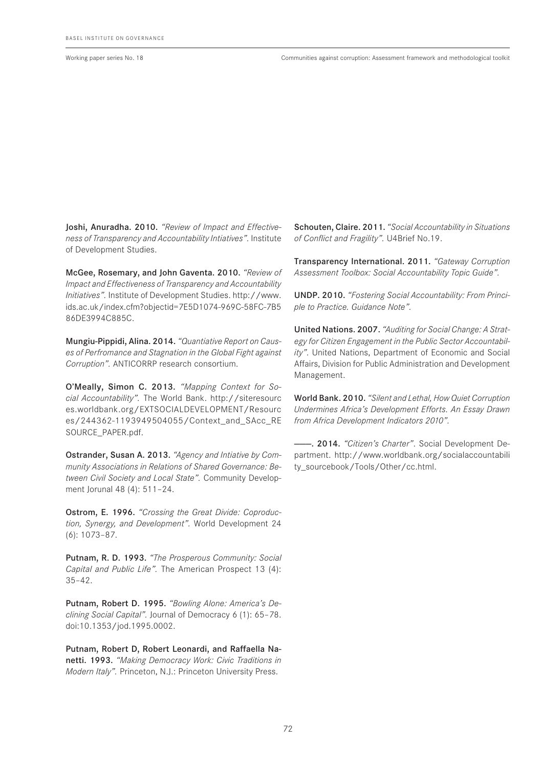Communities against corruption: Assessment framework and methodological toolkit

Joshi, Anuradha. 2010. *"Review of Impact and Effectiveness of Transparency and Accountability Intiatives".* Institute of Development Studies.

McGee, Rosemary, and John Gaventa. 2010. *"Review of Impact and Effectiveness of Transparency and Accountability Initiatives".* Institute of Development Studies. http://www. ids.ac.uk/index.cfm?objectid=7E5D1074-969C-58FC-7B5 86DE3994C885C.

Mungiu-Pippidi, Alina. 2014. *"Quantiative Report on Causes of Perfromance and Stagnation in the Global Fight against Corruption".* ANTICORRP research consortium.

O'Meally, Simon C. 2013. *"Mapping Context for Social Accountability".* The World Bank. http://siteresourc es.worldbank.org/EXTSOCIALDEVELOPMENT/Resourc es/244362-1193949504055/Context\_and\_SAcc\_RE SOURCE\_PAPER.pdf.

Ostrander, Susan A. 2013. *"Agency and Intiative by Community Associations in Relations of Shared Governance: Between Civil Society and Local State".* Community Development Jorunal 48 (4): 511–24.

Ostrom, E. 1996. *"Crossing the Great Divide: Coproduction, Synergy, and Development".* World Development 24 (6): 1073–87.

Putnam, R. D. 1993. *"The Prosperous Community: Social Capital and Public Life".* The American Prospect 13 (4): 35–42.

Putnam, Robert D. 1995. *"Bowling Alone: America's Declining Social Capital".* Journal of Democracy 6 (1): 65–78. doi:10.1353/jod.1995.0002.

Putnam, Robert D, Robert Leonardi, and Raffaella Nanetti. 1993. *"Making Democracy Work: Civic Traditions in Modern Italy".* Princeton, N.J.: Princeton University Press.

Schouten, Claire. 2011. *"Social Accountability in Situations of Conflict and Fragility".* U4Brief No.19.

Transparency International. 2011. *"Gateway Corruption Assessment Toolbox: Social Accountability Topic Guide".*

UNDP. 2010. *"Fostering Social Accountability: From Principle to Practice. Guidance Note".*

United Nations. 2007. *"Auditing for Social Change: A Strategy for Citizen Engagement in the Public Sector Accountability".* United Nations, Department of Economic and Social Affairs, Division for Public Administration and Development Management.

World Bank. 2010. *"Silent and Lethal, How Quiet Corruption Undermines Africa's Development Efforts. An Essay Drawn from Africa Development Indicators 2010".*

———. 2014. *"Citizen's Charter"*. Social Development Department. http://www.worldbank.org/socialaccountabili ty\_sourcebook/Tools/Other/cc.html.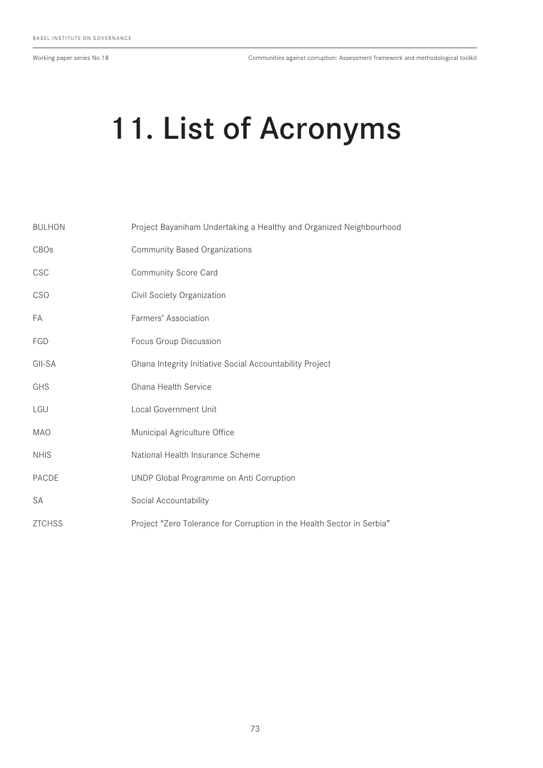# 11. List of Acronyms

| <b>BULHON</b> | Project Bayaniham Undertaking a Healthy and Organized Neighbourhood    |
|---------------|------------------------------------------------------------------------|
| CBOs          | <b>Community Based Organizations</b>                                   |
| CSC           | Community Score Card                                                   |
| <b>CSO</b>    | Civil Society Organization                                             |
| FA            | Farmers' Association                                                   |
| FGD           | Focus Group Discussion                                                 |
| GII-SA        | Ghana Integrity Initiative Social Accountability Project               |
| <b>GHS</b>    | Ghana Health Service                                                   |
| LGU           | Local Government Unit                                                  |
| <b>MAO</b>    | Municipal Agriculture Office                                           |
| <b>NHIS</b>   | National Health Insurance Scheme                                       |
| PACDE         | UNDP Global Programme on Anti Corruption                               |
| SA            | Social Accountability                                                  |
| <b>ZTCHSS</b> | Project "Zero Tolerance for Corruption in the Health Sector in Serbia" |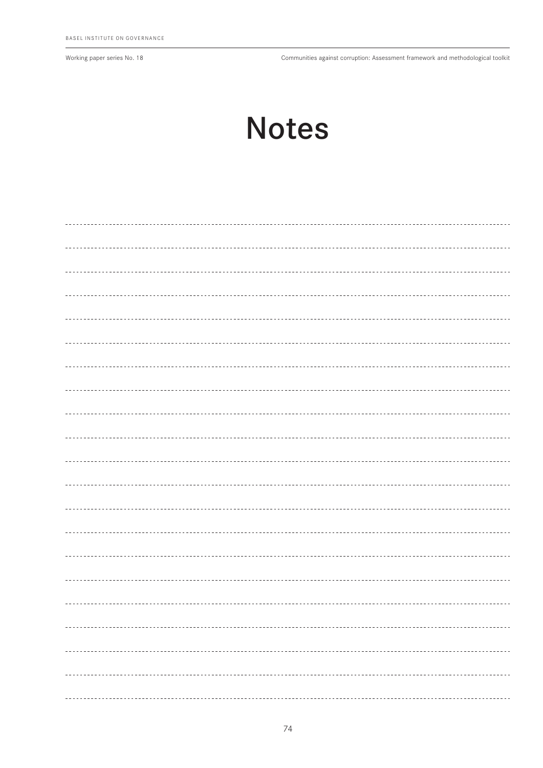Communities against corruption: Assessment framework and methodological toolkit

## **Notes**

| ------------- |  |
|---------------|--|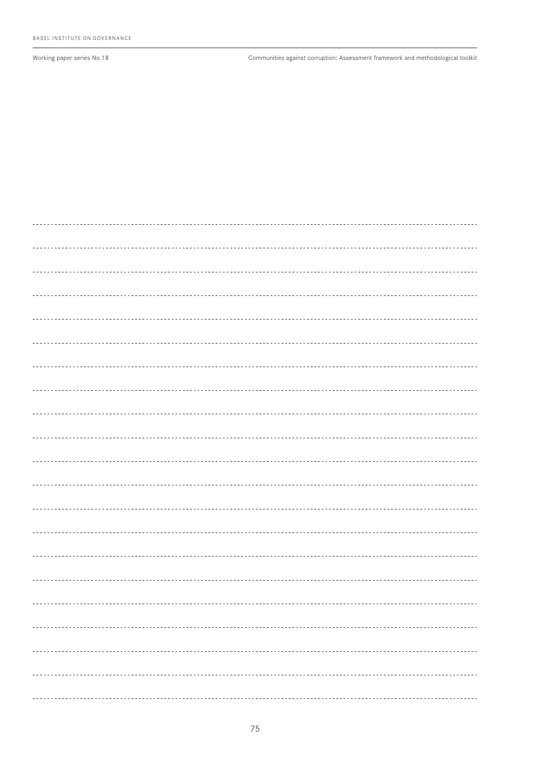Communities against corruption: Assessment framework and methodological toolkit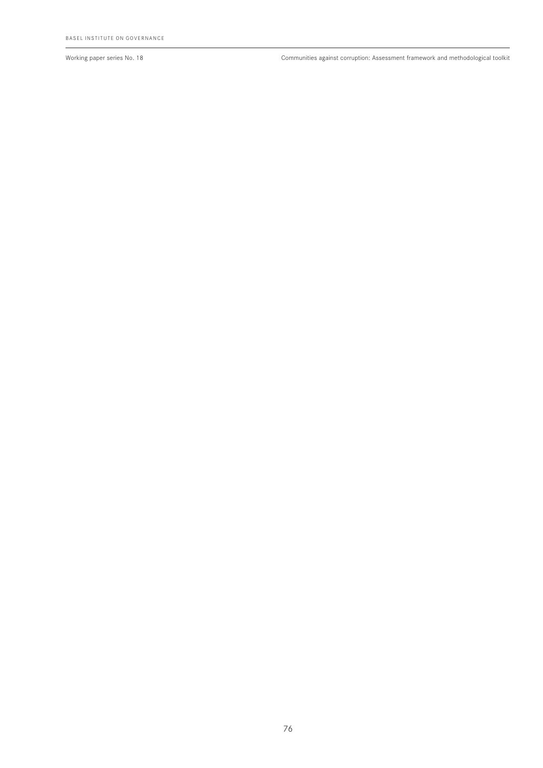Communities against corruption: Assessment framework and methodological toolkit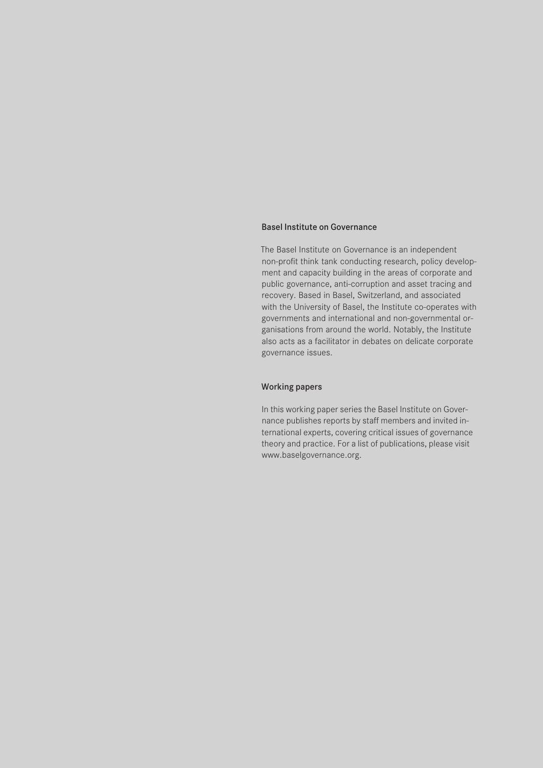#### Basel Institute on Governance

The Basel Institute on Governance is an independent non-profit think tank conducting research, policy development and capacity building in the areas of corporate and public governance, anti-corruption and asset tracing and recovery. Based in Basel, Switzerland, and associated with the University of Basel, the Institute co-operates with governments and international and non-governmental organisations from around the world. Notably, the Institute also acts as a facilitator in debates on delicate corporate governance issues.

#### Working papers

In this working paper series the Basel Institute on Governance publishes reports by staff members and invited international experts, covering critical issues of governance theory and practice. For a list of publications, please visit www.baselgovernance.org.